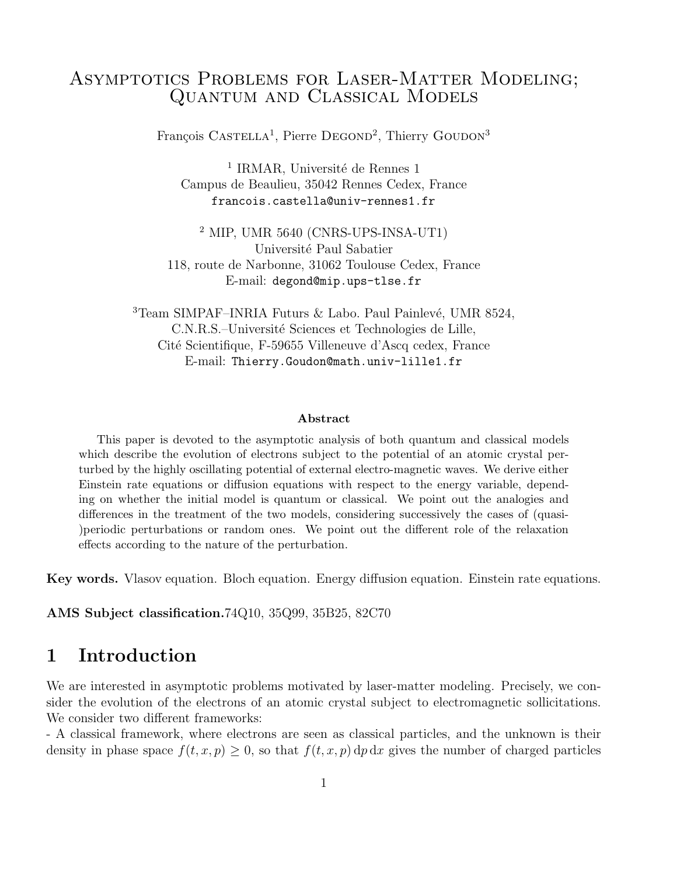# Asymptotics Problems for Laser-Matter Modeling; Quantum and Classical Models

François CASTELLA<sup>1</sup>, Pierre DEGOND<sup>2</sup>, Thierry GOUDON<sup>3</sup>

 $^1$  IRMAR, Université de Rennes  $1$ Campus de Beaulieu, 35042 Rennes Cedex, France francois.castella@univ-rennes1.fr

<sup>2</sup> MIP, UMR 5640 (CNRS-UPS-INSA-UT1) Université Paul Sabatier 118, route de Narbonne, 31062 Toulouse Cedex, France E-mail: degond@mip.ups-tlse.fr

 $3$ Team SIMPAF–INRIA Futurs & Labo. Paul Painlevé, UMR 8524, C.N.R.S.–Université Sciences et Technologies de Lille, Cité Scientifique, F-59655 Villeneuve d'Ascq cedex, France E-mail: Thierry.Goudon@math.univ-lille1.fr

#### Abstract

This paper is devoted to the asymptotic analysis of both quantum and classical models which describe the evolution of electrons subject to the potential of an atomic crystal perturbed by the highly oscillating potential of external electro-magnetic waves. We derive either Einstein rate equations or diffusion equations with respect to the energy variable, depending on whether the initial model is quantum or classical. We point out the analogies and differences in the treatment of the two models, considering successively the cases of (quasi- )periodic perturbations or random ones. We point out the different role of the relaxation effects according to the nature of the perturbation.

Key words. Vlasov equation. Bloch equation. Energy diffusion equation. Einstein rate equations.

AMS Subject classification.74Q10, 35Q99, 35B25, 82C70

## 1 Introduction

We are interested in asymptotic problems motivated by laser-matter modeling. Precisely, we consider the evolution of the electrons of an atomic crystal subject to electromagnetic sollicitations. We consider two different frameworks:

- A classical framework, where electrons are seen as classical particles, and the unknown is their density in phase space  $f(t, x, p) > 0$ , so that  $f(t, x, p) dp dx$  gives the number of charged particles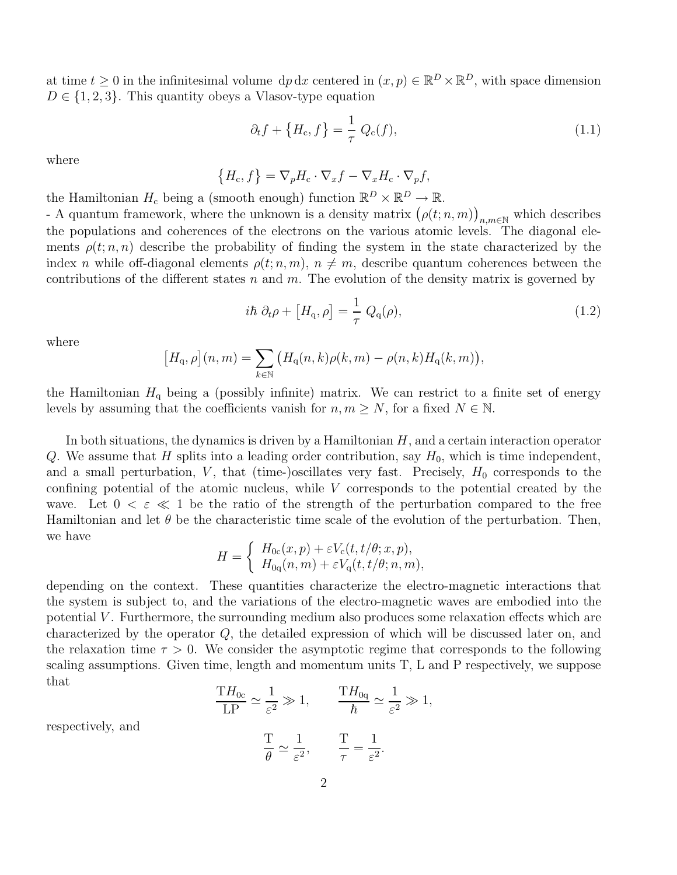at time  $t \geq 0$  in the infinitesimal volume  $dp dx$  centered in  $(x, p) \in \mathbb{R}^D \times \mathbb{R}^D$ , with space dimension  $D \in \{1, 2, 3\}$ . This quantity obeys a Vlasov-type equation

$$
\partial_t f + \left\{ H_c, f \right\} = \frac{1}{\tau} Q_c(f), \tag{1.1}
$$

where

$$
\left\{H_{\rm c}, f\right\} = \nabla_p H_{\rm c} \cdot \nabla_x f - \nabla_x H_{\rm c} \cdot \nabla_p f,
$$

the Hamiltonian  $H_c$  being a (smooth enough) function  $\mathbb{R}^D \times \mathbb{R}^D \to \mathbb{R}$ .

- A quantum framework, where the unknown is a density matrix  $(\rho(t; n, m))$  $n, m \in \mathbb{N}$  which describes the populations and coherences of the electrons on the various atomic levels. The diagonal elements  $\rho(t; n, n)$  describe the probability of finding the system in the state characterized by the index n while off-diagonal elements  $\rho(t; n, m)$ ,  $n \neq m$ , describe quantum coherences between the contributions of the different states n and m. The evolution of the density matrix is governed by

$$
i\hbar \partial_t \rho + [H_q, \rho] = \frac{1}{\tau} Q_q(\rho), \qquad (1.2)
$$

where

$$
[H_{\mathbf{q}}, \rho](n,m) = \sum_{k \in \mathbb{N}} \big( H_{\mathbf{q}}(n,k)\rho(k,m) - \rho(n,k)H_{\mathbf{q}}(k,m) \big),
$$

the Hamiltonian  $H_q$  being a (possibly infinite) matrix. We can restrict to a finite set of energy levels by assuming that the coefficients vanish for  $n, m \geq N$ , for a fixed  $N \in \mathbb{N}$ .

In both situations, the dynamics is driven by a Hamiltonian  $H$ , and a certain interaction operator Q. We assume that H splits into a leading order contribution, say  $H_0$ , which is time independent, and a small perturbation, V, that (time-)oscillates very fast. Precisely,  $H_0$  corresponds to the confining potential of the atomic nucleus, while V corresponds to the potential created by the wave. Let  $0 < \varepsilon \ll 1$  be the ratio of the strength of the perturbation compared to the free Hamiltonian and let  $\theta$  be the characteristic time scale of the evolution of the perturbation. Then, we have

$$
H = \begin{cases} H_{0c}(x, p) + \varepsilon V_c(t, t/\theta; x, p), \\ H_{0q}(n, m) + \varepsilon V_q(t, t/\theta; n, m), \end{cases}
$$

depending on the context. These quantities characterize the electro-magnetic interactions that the system is subject to, and the variations of the electro-magnetic waves are embodied into the potential V . Furthermore, the surrounding medium also produces some relaxation effects which are characterized by the operator Q, the detailed expression of which will be discussed later on, and the relaxation time  $\tau > 0$ . We consider the asymptotic regime that corresponds to the following scaling assumptions. Given time, length and momentum units T, L and P respectively, we suppose that

$$
\frac{\mathrm{T}H_{0c}}{\mathrm{LP}} \simeq \frac{1}{\varepsilon^2} \gg 1, \qquad \frac{\mathrm{T}H_{0q}}{\hbar} \simeq \frac{1}{\varepsilon^2} \gg 1,
$$

respectively, and

$$
\frac{T}{\theta} \simeq \frac{1}{\varepsilon^2}, \qquad \frac{T}{\tau} = \frac{1}{\varepsilon^2}.
$$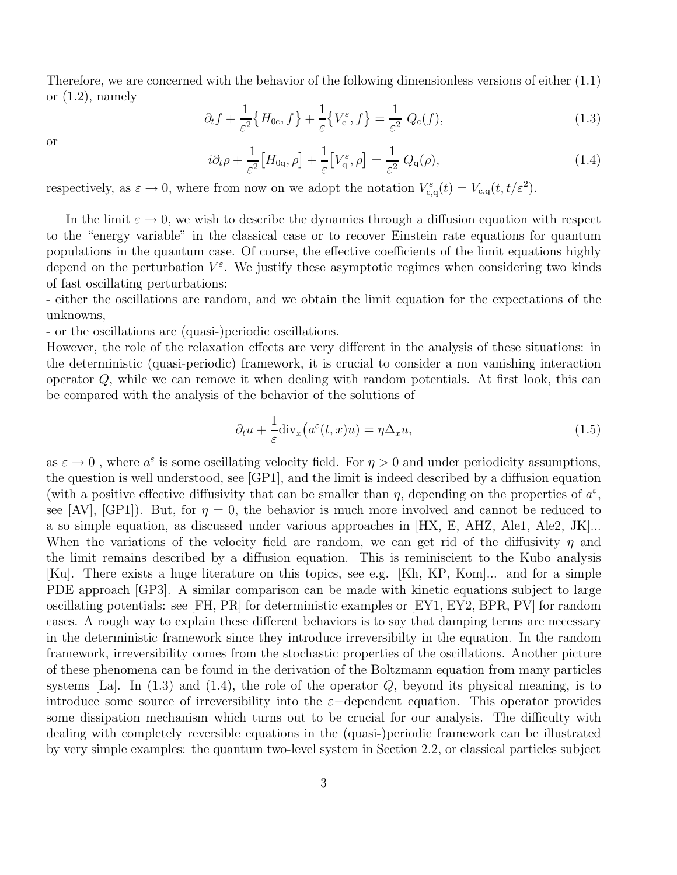Therefore, we are concerned with the behavior of the following dimensionless versions of either (1.1) or  $(1.2)$ , namely

$$
\partial_t f + \frac{1}{\varepsilon^2} \{ H_{0c}, f \} + \frac{1}{\varepsilon} \{ V_c^{\varepsilon}, f \} = \frac{1}{\varepsilon^2} Q_c(f), \tag{1.3}
$$

or

$$
i\partial_t \rho + \frac{1}{\varepsilon^2} \left[ H_{0\mathbf{q}}, \rho \right] + \frac{1}{\varepsilon} \left[ V_{\mathbf{q}}^\varepsilon, \rho \right] = \frac{1}{\varepsilon^2} \ Q_{\mathbf{q}}(\rho), \tag{1.4}
$$

respectively, as  $\varepsilon \to 0$ , where from now on we adopt the notation  $V_{c,q}^{\varepsilon}(t) = V_{c,q}(t, t/\varepsilon^2)$ .

In the limit  $\varepsilon \to 0$ , we wish to describe the dynamics through a diffusion equation with respect to the "energy variable" in the classical case or to recover Einstein rate equations for quantum populations in the quantum case. Of course, the effective coefficients of the limit equations highly depend on the perturbation  $V^{\varepsilon}$ . We justify these asymptotic regimes when considering two kinds of fast oscillating perturbations:

- either the oscillations are random, and we obtain the limit equation for the expectations of the unknowns,

- or the oscillations are (quasi-)periodic oscillations.

However, the role of the relaxation effects are very different in the analysis of these situations: in the deterministic (quasi-periodic) framework, it is crucial to consider a non vanishing interaction operator  $Q$ , while we can remove it when dealing with random potentials. At first look, this can be compared with the analysis of the behavior of the solutions of

$$
\partial_t u + \frac{1}{\varepsilon} \text{div}_x \big( a^\varepsilon(t, x) u \big) = \eta \Delta_x u,\tag{1.5}
$$

as  $\varepsilon \to 0$ , where  $a^{\varepsilon}$  is some oscillating velocity field. For  $\eta > 0$  and under periodicity assumptions, the question is well understood, see [GP1], and the limit is indeed described by a diffusion equation (with a positive effective diffusivity that can be smaller than  $\eta$ , depending on the properties of  $a^{\varepsilon}$ , see [AV], [GP1]). But, for  $\eta = 0$ , the behavior is much more involved and cannot be reduced to a so simple equation, as discussed under various approaches in [HX, E, AHZ, Ale1, Ale2, JK]... When the variations of the velocity field are random, we can get rid of the diffusivity  $\eta$  and the limit remains described by a diffusion equation. This is reminiscient to the Kubo analysis [Ku]. There exists a huge literature on this topics, see e.g. [Kh, KP, Kom]... and for a simple PDE approach [GP3]. A similar comparison can be made with kinetic equations subject to large oscillating potentials: see [FH, PR] for deterministic examples or [EY1, EY2, BPR, PV] for random cases. A rough way to explain these different behaviors is to say that damping terms are necessary in the deterministic framework since they introduce irreversibilty in the equation. In the random framework, irreversibility comes from the stochastic properties of the oscillations. Another picture of these phenomena can be found in the derivation of the Boltzmann equation from many particles systems [La]. In  $(1.3)$  and  $(1.4)$ , the role of the operator Q, beyond its physical meaning, is to introduce some source of irreversibility into the  $\varepsilon$ -dependent equation. This operator provides some dissipation mechanism which turns out to be crucial for our analysis. The difficulty with dealing with completely reversible equations in the (quasi-)periodic framework can be illustrated by very simple examples: the quantum two-level system in Section 2.2, or classical particles subject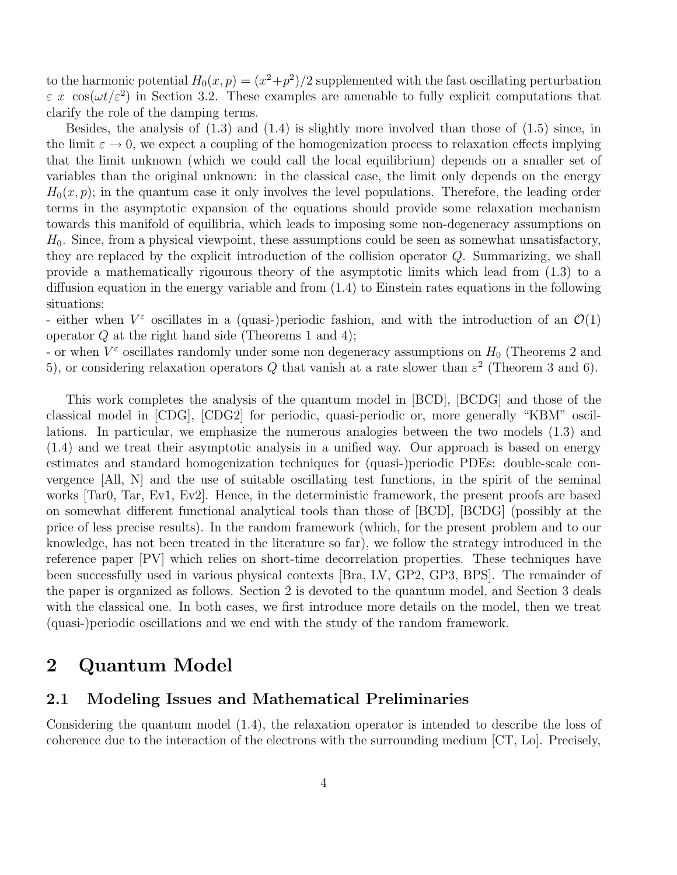to the harmonic potential  $H_0(x,p) = (x^2+p^2)/2$  supplemented with the fast oscillating perturbation  $\varepsilon$  x cos( $\omega t/\varepsilon^2$ ) in Section 3.2. These examples are amenable to fully explicit computations that clarify the role of the damping terms.

Besides, the analysis of  $(1.3)$  and  $(1.4)$  is slightly more involved than those of  $(1.5)$  since, in the limit  $\varepsilon \to 0$ , we expect a coupling of the homogenization process to relaxation effects implying that the limit unknown (which we could call the local equilibrium) depends on a smaller set of variables than the original unknown: in the classical case, the limit only depends on the energy  $H_0(x, p)$ ; in the quantum case it only involves the level populations. Therefore, the leading order terms in the asymptotic expansion of the equations should provide some relaxation mechanism towards this manifold of equilibria, which leads to imposing some non-degeneracy assumptions on  $H_0$ . Since, from a physical viewpoint, these assumptions could be seen as somewhat unsatisfactory, they are replaced by the explicit introduction of the collision operator Q. Summarizing, we shall provide a mathematically rigourous theory of the asymptotic limits which lead from (1.3) to a diffusion equation in the energy variable and from (1.4) to Einstein rates equations in the following situations:

- either when  $V^{\varepsilon}$  oscillates in a (quasi-)periodic fashion, and with the introduction of an  $\mathcal{O}(1)$ operator  $Q$  at the right hand side (Theorems 1 and 4);

- or when  $V^{\varepsilon}$  oscillates randomly under some non degeneracy assumptions on  $H_0$  (Theorems 2 and 5), or considering relaxation operators Q that vanish at a rate slower than  $\varepsilon^2$  (Theorem 3 and 6).

This work completes the analysis of the quantum model in [BCD], [BCDG] and those of the classical model in [CDG], [CDG2] for periodic, quasi-periodic or, more generally "KBM" oscillations. In particular, we emphasize the numerous analogies between the two models (1.3) and (1.4) and we treat their asymptotic analysis in a unified way. Our approach is based on energy estimates and standard homogenization techniques for (quasi-)periodic PDEs: double-scale convergence [All, N] and the use of suitable oscillating test functions, in the spirit of the seminal works [Tar0, Tar, Ev1, Ev2]. Hence, in the deterministic framework, the present proofs are based on somewhat different functional analytical tools than those of [BCD], [BCDG] (possibly at the price of less precise results). In the random framework (which, for the present problem and to our knowledge, has not been treated in the literature so far), we follow the strategy introduced in the reference paper [PV] which relies on short-time decorrelation properties. These techniques have been successfully used in various physical contexts [Bra, LV, GP2, GP3, BPS]. The remainder of the paper is organized as follows. Section 2 is devoted to the quantum model, and Section 3 deals with the classical one. In both cases, we first introduce more details on the model, then we treat (quasi-)periodic oscillations and we end with the study of the random framework.

## 2 Quantum Model

### 2.1 Modeling Issues and Mathematical Preliminaries

Considering the quantum model (1.4), the relaxation operator is intended to describe the loss of coherence due to the interaction of the electrons with the surrounding medium [CT, Lo]. Precisely,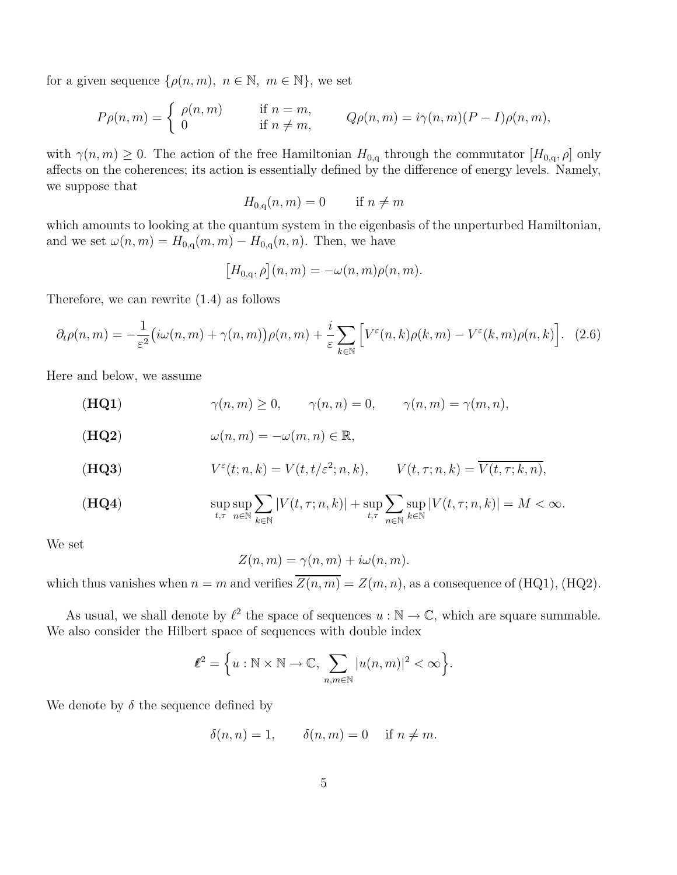for a given sequence  $\{\rho(n, m), n \in \mathbb{N}, m \in \mathbb{N}\}\,$ , we set

$$
P\rho(n,m) = \begin{cases} \rho(n,m) & \text{if } n = m, \\ 0 & \text{if } n \neq m, \end{cases} \qquad Q\rho(n,m) = i\gamma(n,m)(P - I)\rho(n,m),
$$

with  $\gamma(n,m) \geq 0$ . The action of the free Hamiltonian  $H_{0,q}$  through the commutator  $[H_{0,q}, \rho]$  only affects on the coherences; its action is essentially defined by the difference of energy levels. Namely, we suppose that

$$
H_{0,q}(n,m) = 0 \qquad \text{if } n \neq m
$$

which amounts to looking at the quantum system in the eigenbasis of the unperturbed Hamiltonian, and we set  $\omega(n,m) = H_{0,q}(m,m) - H_{0,q}(n,n)$ . Then, we have

$$
\big[H_{0,\mathbf{q}},\rho\big](n,m)=-\omega(n,m)\rho(n,m).
$$

Therefore, we can rewrite (1.4) as follows

$$
\partial_t \rho(n,m) = -\frac{1}{\varepsilon^2} \big( i\omega(n,m) + \gamma(n,m) \big) \rho(n,m) + \frac{i}{\varepsilon} \sum_{k \in \mathbb{N}} \Big[ V^{\varepsilon}(n,k) \rho(k,m) - V^{\varepsilon}(k,m) \rho(n,k) \Big]. \tag{2.6}
$$

Here and below, we assume

(HQ1)  $\gamma(n,m) \ge 0, \qquad \gamma(n,n) = 0, \qquad \gamma(n,m) = \gamma(m,n),$ 

$$
(\mathbf{HQ2}) \qquad \qquad \omega(n,m) = -\omega(m,n) \in \mathbb{R},
$$

$$
V^{\varepsilon}(t;n,k) = V(t,t/\varepsilon^2;n,k), \qquad V(t,\tau;n,k) = \overline{V(t,\tau;k,n)},
$$

$$
\textbf{(HQ4)} \qquad \qquad \sup_{t,\tau} \sup_{n \in \mathbb{N}} \sum_{k \in \mathbb{N}} |V(t,\tau;n,k)| + \sup_{t,\tau} \sum_{n \in \mathbb{N}} \sup_{k \in \mathbb{N}} |V(t,\tau;n,k)| = M < \infty.
$$

We set

$$
Z(n,m) = \gamma(n,m) + i\omega(n,m).
$$

which thus vanishes when  $n = m$  and verifies  $\overline{Z(n,m)} = Z(m,n)$ , as a consequence of (HQ1), (HQ2).

As usual, we shall denote by  $\ell^2$  the space of sequences  $u : \mathbb{N} \to \mathbb{C}$ , which are square summable. We also consider the Hilbert space of sequences with double index

$$
\ell^2 = \Big\{ u: \mathbb{N} \times \mathbb{N} \to \mathbb{C}, \sum_{n,m \in \mathbb{N}} |u(n,m)|^2 < \infty \Big\}.
$$

We denote by  $\delta$  the sequence defined by

$$
\delta(n, n) = 1, \qquad \delta(n, m) = 0 \quad \text{if } n \neq m.
$$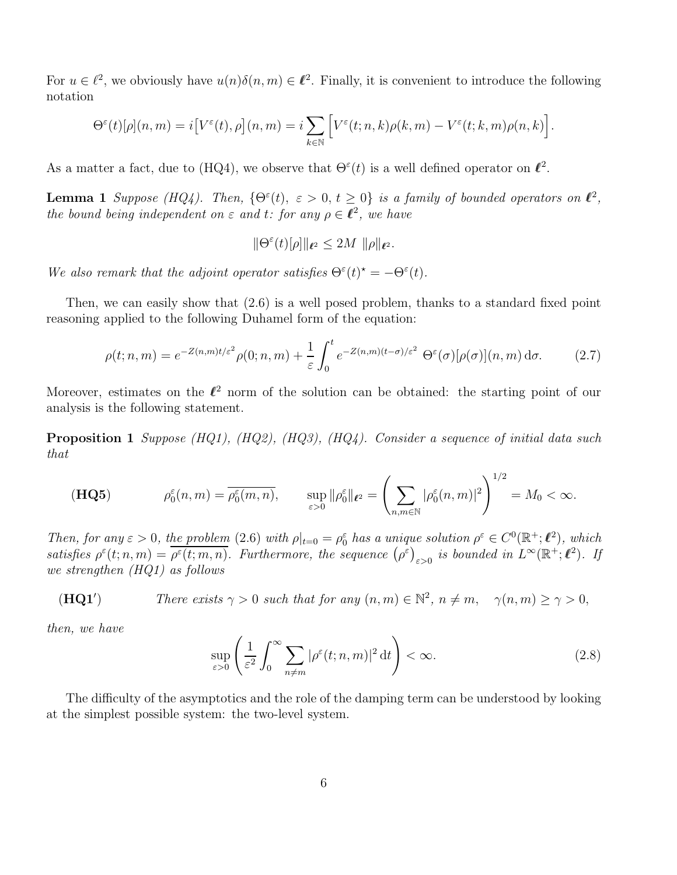For  $u \in \ell^2$ , we obviously have  $u(n)\delta(n,m) \in \ell^2$ . Finally, it is convenient to introduce the following notation

$$
\Theta^{\varepsilon}(t)[\rho](n,m) = i[V^{\varepsilon}(t),\rho](n,m) = i \sum_{k \in \mathbb{N}} \left[ V^{\varepsilon}(t;n,k)\rho(k,m) - V^{\varepsilon}(t;k,m)\rho(n,k) \right].
$$

As a matter a fact, due to (HQ4), we observe that  $\Theta^{\varepsilon}(t)$  is a well defined operator on  $\ell^2$ .

**Lemma 1** Suppose (HQ4). Then,  $\{\Theta^{\varepsilon}(t), \varepsilon > 0, t \geq 0\}$  is a family of bounded operators on  $\ell^2$ , the bound being independent on  $\varepsilon$  and  $t$ : for any  $\rho \in \ell^2$ , we have

$$
\|\Theta^{\varepsilon}(t)[\rho]\|_{\ell^2}\leq 2M\ \|\rho\|_{\ell^2}.
$$

We also remark that the adjoint operator satisfies  $\Theta^{\varepsilon}(t)^* = -\Theta^{\varepsilon}(t)$ .

Then, we can easily show that (2.6) is a well posed problem, thanks to a standard fixed point reasoning applied to the following Duhamel form of the equation:

$$
\rho(t;n,m) = e^{-Z(n,m)t/\varepsilon^2} \rho(0;n,m) + \frac{1}{\varepsilon} \int_0^t e^{-Z(n,m)(t-\sigma)/\varepsilon^2} \Theta^\varepsilon(\sigma) [\rho(\sigma)](n,m) d\sigma.
$$
 (2.7)

Moreover, estimates on the  $\ell^2$  norm of the solution can be obtained: the starting point of our analysis is the following statement.

Proposition 1 Suppose (HQ1), (HQ2), (HQ3), (HQ4). Consider a sequence of initial data such that

$$
(\mathbf{HQ5}) \qquad \rho_0^{\varepsilon}(n,m) = \overline{\rho_0^{\varepsilon}(m,n)}, \qquad \sup_{\varepsilon>0} \|\rho_0^{\varepsilon}\|_{\ell^2} = \left(\sum_{n,m\in\mathbb{N}} |\rho_0^{\varepsilon}(n,m)|^2\right)^{1/2} = M_0 < \infty.
$$

Then, for any  $\varepsilon > 0$ , the problem (2.6) with  $\rho|_{t=0} = \rho_0^{\varepsilon}$  has a unique solution  $\rho^{\varepsilon} \in C^0(\mathbb{R}^+;\mathbb{C}^2)$ , which satisfies  $\rho^{\varepsilon}(t; n,m) = \overline{\rho^{\varepsilon}(t; m,n)}$ . Furthermore, the sequence  $(\rho^{\varepsilon})_{\varepsilon>0}$  is bounded in  $L^{\infty}(\mathbb{R}^+;\ell^2)$ . If we strengthen (HQ1) as follows

(HQ1') *There exists* 
$$
\gamma > 0
$$
 *such that for any*  $(n, m) \in \mathbb{N}^2$ ,  $n \neq m$ ,  $\gamma(n, m) \geq \gamma > 0$ ,

then, we have

$$
\sup_{\varepsilon>0} \left( \frac{1}{\varepsilon^2} \int_0^\infty \sum_{n \neq m} |\rho^\varepsilon(t; n, m)|^2 \, \mathrm{d}t \right) < \infty. \tag{2.8}
$$

The difficulty of the asymptotics and the role of the damping term can be understood by looking at the simplest possible system: the two-level system.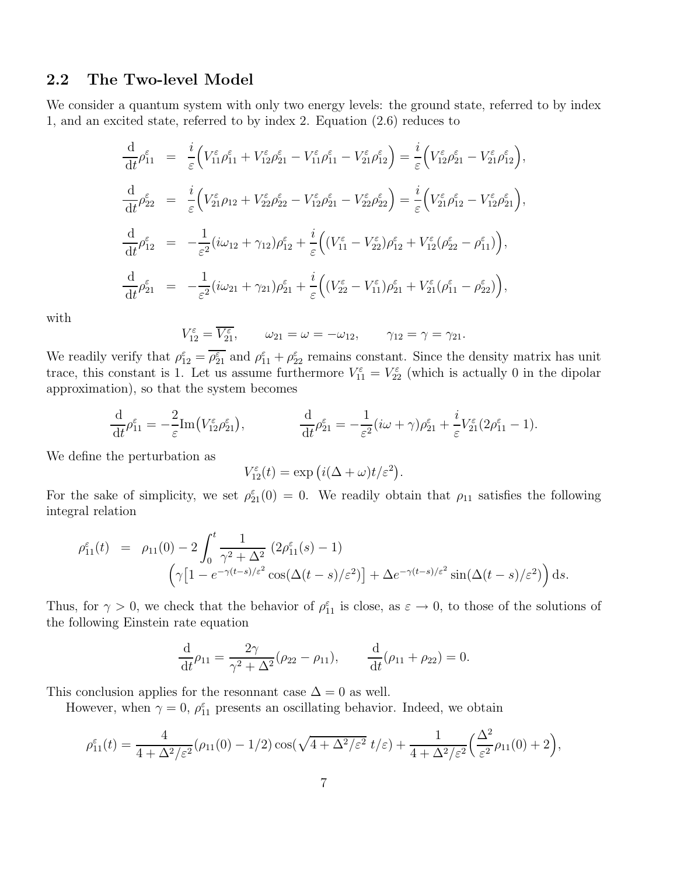### 2.2 The Two-level Model

We consider a quantum system with only two energy levels: the ground state, referred to by index 1, and an excited state, referred to by index 2. Equation (2.6) reduces to

$$
\frac{\mathrm{d}}{\mathrm{d}t}\rho_{11}^{\varepsilon} = \frac{i}{\varepsilon} \Big( V_{11}^{\varepsilon} \rho_{11}^{\varepsilon} + V_{12}^{\varepsilon} \rho_{21}^{\varepsilon} - V_{11}^{\varepsilon} \rho_{11}^{\varepsilon} - V_{21}^{\varepsilon} \rho_{12}^{\varepsilon} \Big) = \frac{i}{\varepsilon} \Big( V_{12}^{\varepsilon} \rho_{21}^{\varepsilon} - V_{21}^{\varepsilon} \rho_{12}^{\varepsilon} \Big),
$$
\n
$$
\frac{\mathrm{d}}{\mathrm{d}t} \rho_{22}^{\varepsilon} = \frac{i}{\varepsilon} \Big( V_{21}^{\varepsilon} \rho_{12} + V_{22}^{\varepsilon} \rho_{22}^{\varepsilon} - V_{12}^{\varepsilon} \rho_{21}^{\varepsilon} - V_{22}^{\varepsilon} \rho_{22}^{\varepsilon} \Big) = \frac{i}{\varepsilon} \Big( V_{21}^{\varepsilon} \rho_{12}^{\varepsilon} - V_{12}^{\varepsilon} \rho_{21}^{\varepsilon} \Big),
$$
\n
$$
\frac{\mathrm{d}}{\mathrm{d}t} \rho_{12}^{\varepsilon} = -\frac{1}{\varepsilon^2} (i\omega_{12} + \gamma_{12}) \rho_{12}^{\varepsilon} + \frac{i}{\varepsilon} \Big( (V_{11}^{\varepsilon} - V_{22}^{\varepsilon}) \rho_{12}^{\varepsilon} + V_{12}^{\varepsilon} (\rho_{22}^{\varepsilon} - \rho_{11}^{\varepsilon}) \Big),
$$
\n
$$
\frac{\mathrm{d}}{\mathrm{d}t} \rho_{21}^{\varepsilon} = -\frac{1}{\varepsilon^2} (i\omega_{21} + \gamma_{21}) \rho_{21}^{\varepsilon} + \frac{i}{\varepsilon} \Big( (V_{22}^{\varepsilon} - V_{11}^{\varepsilon}) \rho_{21}^{\varepsilon} + V_{21}^{\varepsilon} (\rho_{11}^{\varepsilon} - \rho_{22}^{\varepsilon}) \Big),
$$

with

$$
V_{12}^{\varepsilon} = \overline{V_{21}^{\varepsilon}}, \qquad \omega_{21} = \omega = -\omega_{12}, \qquad \gamma_{12} = \gamma = \gamma_{21}.
$$

We readily verify that  $\rho_{12}^{\varepsilon} = \overline{\rho_{21}^{\varepsilon}}$  and  $\rho_{11}^{\varepsilon} + \rho_{22}^{\varepsilon}$  remains constant. Since the density matrix has unit trace, this constant is 1. Let us assume furthermore  $V_{11}^{\varepsilon} = V_{22}^{\varepsilon}$  (which is actually 0 in the dipolar approximation), so that the system becomes

$$
\frac{\mathrm{d}}{\mathrm{d}t}\rho_{11}^{\varepsilon} = -\frac{2}{\varepsilon}\mathrm{Im}\big(V_{12}^{\varepsilon}\rho_{21}^{\varepsilon}\big), \qquad \qquad \frac{\mathrm{d}}{\mathrm{d}t}\rho_{21}^{\varepsilon} = -\frac{1}{\varepsilon^2}(i\omega+\gamma)\rho_{21}^{\varepsilon} + \frac{i}{\varepsilon}V_{21}^{\varepsilon}(2\rho_{11}^{\varepsilon}-1).
$$

We define the perturbation as

$$
V_{12}^{\varepsilon}(t) = \exp (i(\Delta + \omega)t/\varepsilon^{2}).
$$

For the sake of simplicity, we set  $\rho_{21}^{\varepsilon}(0) = 0$ . We readily obtain that  $\rho_{11}$  satisfies the following integral relation

$$
\rho_{11}^{\varepsilon}(t) = \rho_{11}(0) - 2 \int_0^t \frac{1}{\gamma^2 + \Delta^2} (2\rho_{11}^{\varepsilon}(s) - 1)
$$

$$
(\gamma \left[1 - e^{-\gamma(t-s)/\varepsilon^2} \cos(\Delta(t-s)/\varepsilon^2)\right] + \Delta e^{-\gamma(t-s)/\varepsilon^2} \sin(\Delta(t-s)/\varepsilon^2) ds.
$$

Thus, for  $\gamma > 0$ , we check that the behavior of  $\rho_{11}^{\varepsilon}$  is close, as  $\varepsilon \to 0$ , to those of the solutions of the following Einstein rate equation

$$
\frac{\mathrm{d}}{\mathrm{d}t}\rho_{11} = \frac{2\gamma}{\gamma^2 + \Delta^2}(\rho_{22} - \rho_{11}), \qquad \frac{\mathrm{d}}{\mathrm{d}t}(\rho_{11} + \rho_{22}) = 0.
$$

This conclusion applies for the resonnant case  $\Delta = 0$  as well.

However, when  $\gamma = 0$ ,  $\rho_{11}^{\varepsilon}$  presents an oscillating behavior. Indeed, we obtain

$$
\rho_{11}^{\varepsilon}(t) = \frac{4}{4 + \Delta^2/\varepsilon^2} (\rho_{11}(0) - 1/2) \cos(\sqrt{4 + \Delta^2/\varepsilon^2} \ t/\varepsilon) + \frac{1}{4 + \Delta^2/\varepsilon^2} \left(\frac{\Delta^2}{\varepsilon^2} \rho_{11}(0) + 2\right),
$$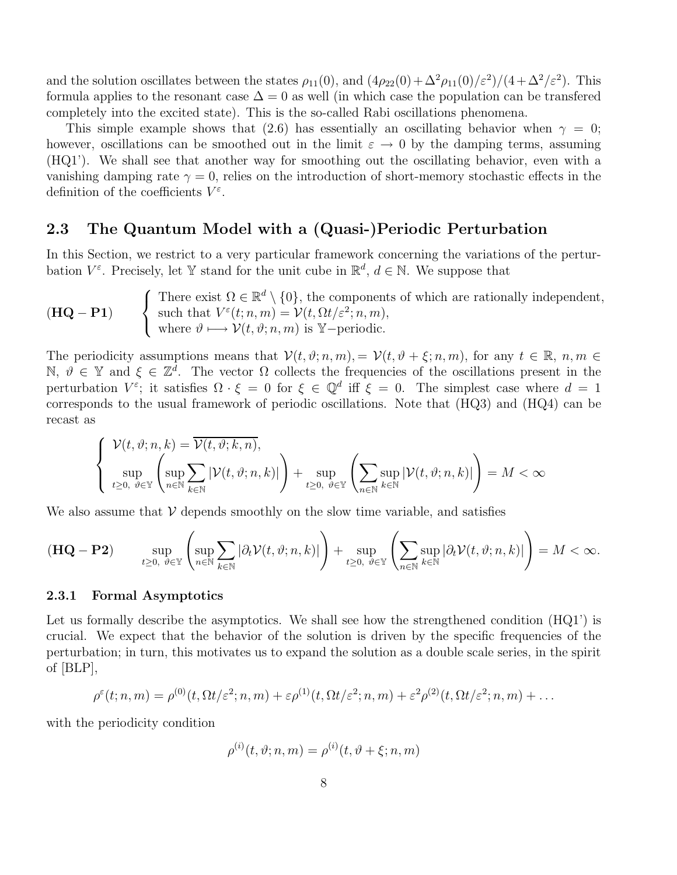and the solution oscillates between the states  $\rho_{11}(0)$ , and  $(4\rho_{22}(0) + \Delta^2 \rho_{11}(0)/\varepsilon^2)/(4 + \Delta^2/\varepsilon^2)$ . This formula applies to the resonant case  $\Delta = 0$  as well (in which case the population can be transfered completely into the excited state). This is the so-called Rabi oscillations phenomena.

This simple example shows that (2.6) has essentially an oscillating behavior when  $\gamma = 0$ ; however, oscillations can be smoothed out in the limit  $\varepsilon \to 0$  by the damping terms, assuming (HQ1'). We shall see that another way for smoothing out the oscillating behavior, even with a vanishing damping rate  $\gamma = 0$ , relies on the introduction of short-memory stochastic effects in the definition of the coefficients  $V^{\varepsilon}$ .

### 2.3 The Quantum Model with a (Quasi-)Periodic Perturbation

In this Section, we restrict to a very particular framework concerning the variations of the perturbation  $V^{\varepsilon}$ . Precisely, let Y stand for the unit cube in  $\mathbb{R}^{d}$ ,  $d \in \mathbb{N}$ . We suppose that

 $(HQ - P1)$  $\sqrt{ }$  $\frac{1}{2}$  $\mathbf{I}$ There exist  $\Omega \in \mathbb{R}^d \setminus \{0\}$ , the components of which are rationally independent, such that  $V^{\varepsilon}(t; n, m) = \mathcal{V}(t, \Omega t/\varepsilon^2; n, m),$ where  $\vartheta \longmapsto \mathcal{V}(t, \vartheta; n, m)$  is Y-periodic.

The periodicity assumptions means that  $\mathcal{V}(t, \vartheta; n, m) = \mathcal{V}(t, \vartheta + \xi; n, m)$ , for any  $t \in \mathbb{R}$ ,  $n, m \in$ N,  $\vartheta \in \mathbb{Y}$  and  $\xi \in \mathbb{Z}^d$ . The vector  $\Omega$  collects the frequencies of the oscillations present in the perturbation  $V^{\varepsilon}$ ; it satisfies  $\Omega \cdot \xi = 0$  for  $\xi \in \mathbb{Q}^d$  iff  $\xi = 0$ . The simplest case where  $d = 1$ corresponds to the usual framework of periodic oscillations. Note that (HQ3) and (HQ4) can be recast as

$$
\left\{\begin{aligned}\mathcal{V}(t,\vartheta;n,k) &= \overline{\mathcal{V}(t,\vartheta;k,n)},\\ \sup_{t\geq 0,\ \vartheta\in\mathbb{Y}}\left(\sup_{n\in\mathbb{N}}\sum_{k\in\mathbb{N}}|\mathcal{V}(t,\vartheta;n,k)|\right)+\sup_{t\geq 0,\ \vartheta\in\mathbb{Y}}\left(\sum_{n\in\mathbb{N}}\sup_{k\in\mathbb{N}}|\mathcal{V}(t,\vartheta;n,k)|\right)=M<\infty\end{aligned}\right.
$$

We also assume that  $\mathcal V$  depends smoothly on the slow time variable, and satisfies

$$
(\mathbf{HQ} - \mathbf{P2}) \qquad \sup_{t\geq 0, \ \vartheta \in \mathbb{Y}} \left( \sup_{n\in \mathbb{N}} \sum_{k\in \mathbb{N}} |\partial_t \mathcal{V}(t,\vartheta; n,k)| \right) + \sup_{t\geq 0, \ \vartheta \in \mathbb{Y}} \left( \sum_{n\in \mathbb{N}} \sup_{k\in \mathbb{N}} |\partial_t \mathcal{V}(t,\vartheta; n,k)| \right) = M < \infty.
$$

#### 2.3.1 Formal Asymptotics

Let us formally describe the asymptotics. We shall see how the strengthened condition  $(HQ1')$  is crucial. We expect that the behavior of the solution is driven by the specific frequencies of the perturbation; in turn, this motivates us to expand the solution as a double scale series, in the spirit of [BLP],

$$
\rho^{\varepsilon}(t;n,m)=\rho^{(0)}(t,\Omega t/\varepsilon^2;n,m)+\varepsilon\rho^{(1)}(t,\Omega t/\varepsilon^2;n,m)+\varepsilon^2\rho^{(2)}(t,\Omega t/\varepsilon^2;n,m)+\ldots
$$

with the periodicity condition

$$
\rho^{(i)}(t,\vartheta;n,m)=\rho^{(i)}(t,\vartheta+\xi;n,m)
$$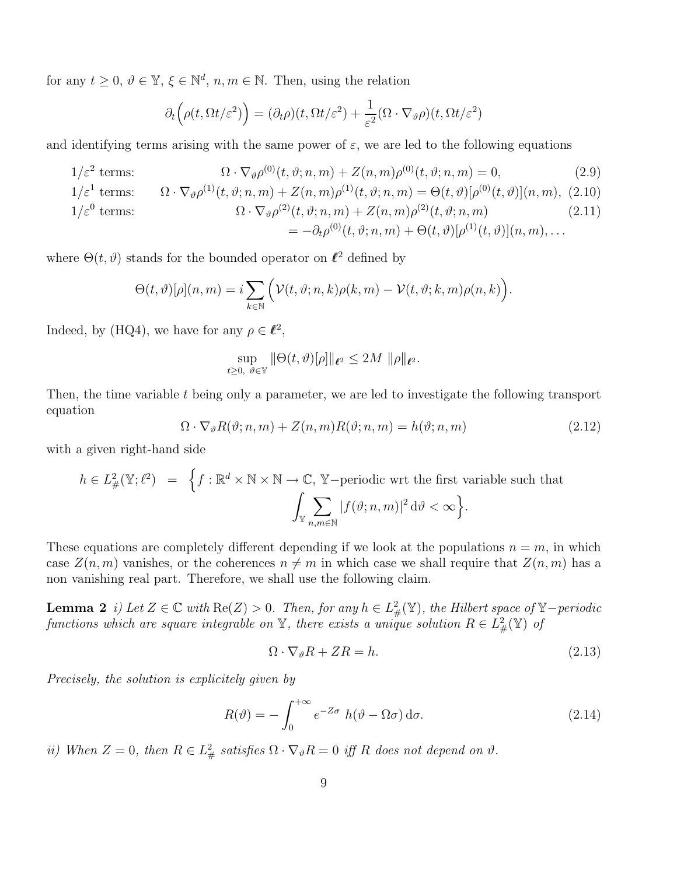for any  $t \geq 0$ ,  $\vartheta \in \mathbb{Y}$ ,  $\xi \in \mathbb{N}^d$ ,  $n, m \in \mathbb{N}$ . Then, using the relation

$$
\partial_t \left( \rho(t, \Omega t/\varepsilon^2) \right) = (\partial_t \rho)(t, \Omega t/\varepsilon^2) + \frac{1}{\varepsilon^2} (\Omega \cdot \nabla_{\vartheta} \rho)(t, \Omega t/\varepsilon^2)
$$

and identifying terms arising with the same power of  $\varepsilon$ , we are led to the following equations

$$
1/\varepsilon^2 \text{ terms:} \qquad \Omega \cdot \nabla_{\vartheta} \rho^{(0)}(t, \vartheta; n, m) + Z(n, m) \rho^{(0)}(t, \vartheta; n, m) = 0,\tag{2.9}
$$

$$
1/\varepsilon^1 \text{ terms:} \qquad \Omega \cdot \nabla_{\vartheta} \rho^{(1)}(t, \vartheta; n, m) + Z(n, m)\rho^{(1)}(t, \vartheta; n, m) = \Theta(t, \vartheta)[\rho^{(0)}(t, \vartheta)](n, m), \tag{2.10}
$$

$$
1/\varepsilon^{0} \text{ terms:} \qquad \Omega \cdot \nabla_{\vartheta} \rho^{(2)}(t, \vartheta; n, m) + Z(n, m)\rho^{(2)}(t, \vartheta; n, m) = -\partial_{t} \rho^{(0)}(t, \vartheta; n, m) + \Theta(t, \vartheta)[\rho^{(1)}(t, \vartheta)](n, m), \dots
$$
\n(2.11)

where  $\Theta(t, \vartheta)$  stands for the bounded operator on  $\ell^2$  defined by

$$
\Theta(t,\vartheta)[\rho](n,m) = i \sum_{k \in \mathbb{N}} \Big( \mathcal{V}(t,\vartheta;n,k)\rho(k,m) - \mathcal{V}(t,\vartheta;k,m)\rho(n,k) \Big).
$$

Indeed, by (HQ4), we have for any  $\rho \in \ell^2$ ,

$$
\sup_{t\geq 0, \ \vartheta\in\mathbb{Y}} \|\Theta(t,\vartheta)[\rho]\|_{\ell^2} \leq 2M \ \|\rho\|_{\ell^2}.
$$

Then, the time variable t being only a parameter, we are led to investigate the following transport equation

$$
\Omega \cdot \nabla_{\vartheta} R(\vartheta; n, m) + Z(n, m)R(\vartheta; n, m) = h(\vartheta; n, m)
$$
\n(2.12)

with a given right-hand side

$$
h \in L^2_{\#}(\mathbb{Y}; \ell^2) = \left\{ f : \mathbb{R}^d \times \mathbb{N} \times \mathbb{N} \to \mathbb{C}, \mathbb{Y}\text{-periodic wrt the first variable such that} \int_{\mathbb{Y}} \sum_{n,m \in \mathbb{N}} |f(\vartheta; n, m)|^2 d\vartheta < \infty \right\}.
$$

These equations are completely different depending if we look at the populations  $n = m$ , in which case  $Z(n, m)$  vanishes, or the coherences  $n \neq m$  in which case we shall require that  $Z(n, m)$  has a non vanishing real part. Therefore, we shall use the following claim.

**Lemma 2** i) Let  $Z \in \mathbb{C}$  with  $\text{Re}(Z) > 0$ . Then, for any  $h \in L^2_{\#}(\mathbb{Y})$ , the Hilbert space of  $\mathbb{Y}-$  periodic functions which are square integrable on  $\mathbb {Y},$  there exists a unique solution  $R\in L^2_{\#}(\mathbb {Y})$  of

$$
\Omega \cdot \nabla_{\vartheta} R + ZR = h. \tag{2.13}
$$

Precisely, the solution is explicitely given by

$$
R(\vartheta) = -\int_0^{+\infty} e^{-Z\sigma} h(\vartheta - \Omega\sigma) d\sigma.
$$
 (2.14)

ii) When  $Z = 0$ , then  $R \in L^2_{\#}$  satisfies  $\Omega \cdot \nabla_{\vartheta} R = 0$  iff R does not depend on  $\vartheta$ .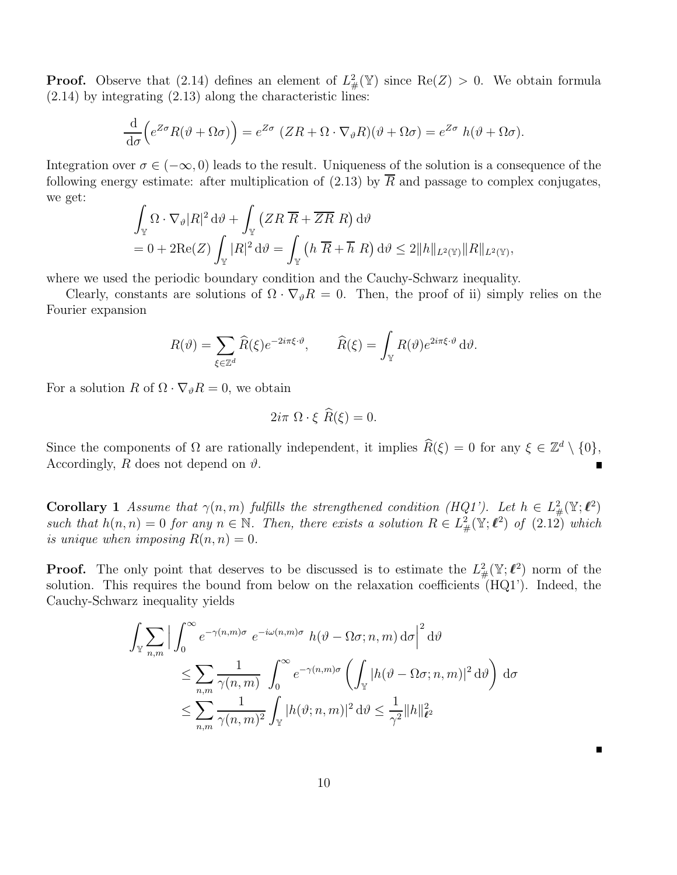**Proof.** Observe that (2.14) defines an element of  $L^2_{\#}(\mathbb{Y})$  since Re(Z) > 0. We obtain formula  $(2.14)$  by integrating  $(2.13)$  along the characteristic lines:

$$
\frac{\mathrm{d}}{\mathrm{d}\sigma}\Big(e^{Z\sigma}R(\vartheta+\Omega\sigma)\Big) = e^{Z\sigma}\left(ZR+\Omega\cdot\nabla_{\vartheta}R)(\vartheta+\Omega\sigma) = e^{Z\sigma}h(\vartheta+\Omega\sigma).
$$

Integration over  $\sigma \in (-\infty, 0)$  leads to the result. Uniqueness of the solution is a consequence of the following energy estimate: after multiplication of (2.13) by  $\overline{R}$  and passage to complex conjugates, we get:

$$
\int_{\mathbb{Y}} \Omega \cdot \nabla_{\vartheta} |R|^2 d\vartheta + \int_{\mathbb{Y}} (ZR \overline{R} + \overline{ZR} \ R) d\vartheta
$$
  
= 0 + 2Re(Z)  $\int_{\mathbb{Y}} |R|^2 d\vartheta = \int_{\mathbb{Y}} (h \overline{R} + \overline{h} \ R) d\vartheta \le 2||h||_{L^2(\mathbb{Y})} ||R||_{L^2(\mathbb{Y})},$ 

where we used the periodic boundary condition and the Cauchy-Schwarz inequality.

Clearly, constants are solutions of  $\Omega \cdot \nabla_{\vartheta} R = 0$ . Then, the proof of ii) simply relies on the Fourier expansion

$$
R(\vartheta) = \sum_{\xi \in \mathbb{Z}^d} \widehat{R}(\xi) e^{-2i\pi \xi \cdot \vartheta}, \qquad \widehat{R}(\xi) = \int_{\mathbb{Y}} R(\vartheta) e^{2i\pi \xi \cdot \vartheta} d\vartheta.
$$

For a solution R of  $\Omega \cdot \nabla_{\vartheta} R = 0$ , we obtain

$$
2i\pi \ \Omega \cdot \xi \ \widetilde{R}(\xi) = 0.
$$

Since the components of  $\Omega$  are rationally independent, it implies  $\hat{R}(\xi) = 0$  for any  $\xi \in \mathbb{Z}^d \setminus \{0\},$ Accordingly, R does not depend on  $\vartheta$ .

**Corollary 1** Assume that  $\gamma(n,m)$  fulfills the strengthened condition (HQ1'). Let  $h \in L^2_{\#}(\mathbb{Y}; \ell^2)$ such that  $h(n,n) = 0$  for any  $n \in \mathbb{N}$ . Then, there exists a solution  $R \in L^2_{\#}(\mathbb{Y}; \ell^2)$  of  $(2.12)$  which is unique when imposing  $R(n,n) = 0$ .

**Proof.** The only point that deserves to be discussed is to estimate the  $L^2_{\#}(\mathbb{Y}; \ell^2)$  norm of the solution. This requires the bound from below on the relaxation coefficients (HQ1'). Indeed, the Cauchy-Schwarz inequality yields

$$
\int_{\mathbb{Y}} \sum_{n,m} \left| \int_0^{\infty} e^{-\gamma(n,m)\sigma} e^{-i\omega(n,m)\sigma} h(\vartheta - \Omega \sigma; n, m) d\sigma \right|^2 d\vartheta
$$
  

$$
\leq \sum_{n,m} \frac{1}{\gamma(n,m)} \int_0^{\infty} e^{-\gamma(n,m)\sigma} \left( \int_{\mathbb{Y}} |h(\vartheta - \Omega \sigma; n, m)|^2 d\vartheta \right) d\sigma
$$
  

$$
\leq \sum_{n,m} \frac{1}{\gamma(n,m)^2} \int_{\mathbb{Y}} |h(\vartheta; n, m)|^2 d\vartheta \leq \frac{1}{\gamma^2} ||h||_{\ell^2}^2
$$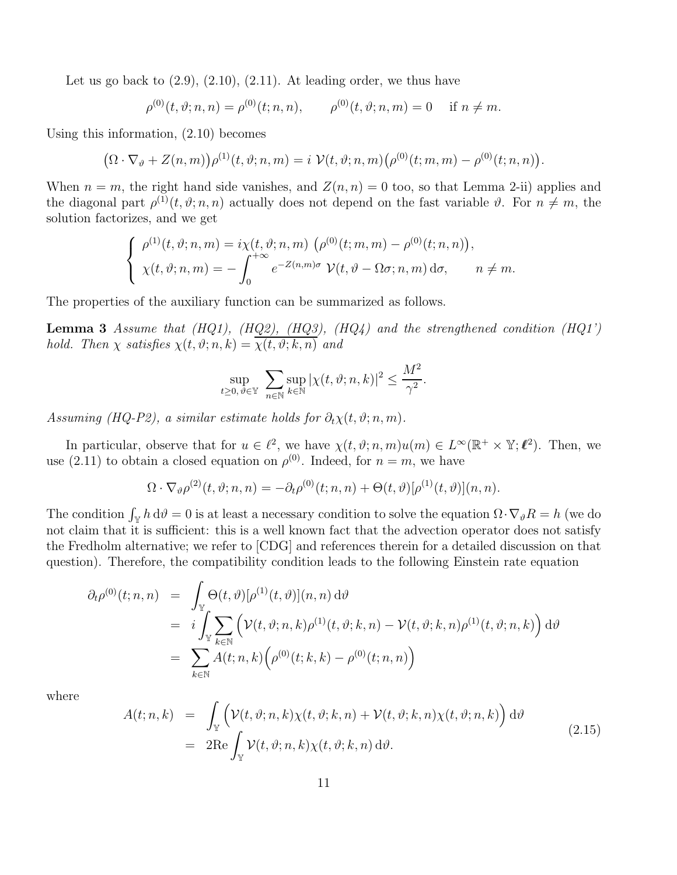Let us go back to  $(2.9)$ ,  $(2.10)$ ,  $(2.11)$ . At leading order, we thus have

$$
\rho^{(0)}(t,\vartheta;n,n) = \rho^{(0)}(t;n,n), \qquad \rho^{(0)}(t,\vartheta;n,m) = 0 \quad \text{if } n \neq m.
$$

Using this information, (2.10) becomes

$$
(\Omega \cdot \nabla_{\vartheta} + Z(n,m))\rho^{(1)}(t,\vartheta;n,m) = i \ \mathcal{V}(t,\vartheta;n,m) \big(\rho^{(0)}(t;m,m) - \rho^{(0)}(t;n,n)\big).
$$

When  $n = m$ , the right hand side vanishes, and  $Z(n, n) = 0$  too, so that Lemma 2-ii) applies and the diagonal part  $\rho^{(1)}(t, \vartheta; n, n)$  actually does not depend on the fast variable  $\vartheta$ . For  $n \neq m$ , the solution factorizes, and we get

$$
\begin{cases}\n\rho^{(1)}(t,\vartheta;n,m) = i\chi(t,\vartheta;n,m) \left(\rho^{(0)}(t;m,m) - \rho^{(0)}(t;n,n)\right), \\
\chi(t,\vartheta;n,m) = -\int_0^{+\infty} e^{-Z(n,m)\sigma} \mathcal{V}(t,\vartheta - \Omega\sigma;n,m) d\sigma, \qquad n \neq m.\n\end{cases}
$$

The properties of the auxiliary function can be summarized as follows.

**Lemma 3** Assume that  $(HQ1)$ ,  $(HQ2)$ ,  $(HQ3)$ ,  $(HQ4)$  and the strengthened condition  $(HQ1)$ hold. Then  $\chi$  satisfies  $\chi(t, \vartheta; n, k) = \overline{\chi(t, \vartheta; k, n)}$  and

$$
\sup_{t\geq 0, \vartheta\in \mathbb{Y}} \sum_{n\in \mathbb{N}} \sup_{k\in \mathbb{N}} |\chi(t, \vartheta; n, k)|^2 \leq \frac{M^2}{\gamma^2}.
$$

Assuming (HQ-P2), a similar estimate holds for  $\partial_t \chi(t, \vartheta; n, m)$ .

In particular, observe that for  $u \in \ell^2$ , we have  $\chi(t, \vartheta; n, m)u(m) \in L^{\infty}(\mathbb{R}^+ \times \mathbb{Y}; \ell^2)$ . Then, we use (2.11) to obtain a closed equation on  $\rho^{(0)}$ . Indeed, for  $n = m$ , we have

$$
\Omega \cdot \nabla_{\vartheta} \rho^{(2)}(t, \vartheta; n, n) = -\partial_t \rho^{(0)}(t; n, n) + \Theta(t, \vartheta) [\rho^{(1)}(t, \vartheta)](n, n).
$$

The condition  $\int_{\mathbb{Y}} h d\theta = 0$  is at least a necessary condition to solve the equation  $\Omega \cdot \nabla_{\theta} R = h$  (we do not claim that it is sufficient: this is a well known fact that the advection operator does not satisfy the Fredholm alternative; we refer to [CDG] and references therein for a detailed discussion on that question). Therefore, the compatibility condition leads to the following Einstein rate equation

$$
\partial_t \rho^{(0)}(t; n, n) = \int_{\mathbb{Y}} \Theta(t, \vartheta) [\rho^{(1)}(t, \vartheta)](n, n) d\vartheta
$$
  
\n
$$
= i \int_{\mathbb{Y}} \sum_{k \in \mathbb{N}} (\mathcal{V}(t, \vartheta; n, k) \rho^{(1)}(t, \vartheta; k, n) - \mathcal{V}(t, \vartheta; k, n) \rho^{(1)}(t, \vartheta; n, k)) d\vartheta
$$
  
\n
$$
= \sum_{k \in \mathbb{N}} A(t; n, k) (\rho^{(0)}(t; k, k) - \rho^{(0)}(t; n, n))
$$

where

$$
A(t; n, k) = \int_{\mathbb{Y}} \left( \mathcal{V}(t, \vartheta; n, k) \chi(t, \vartheta; k, n) + \mathcal{V}(t, \vartheta; k, n) \chi(t, \vartheta; n, k) \right) d\vartheta
$$
  
= 
$$
2 \text{Re} \int_{\mathbb{Y}} \mathcal{V}(t, \vartheta; n, k) \chi(t, \vartheta; k, n) d\vartheta.
$$
 (2.15)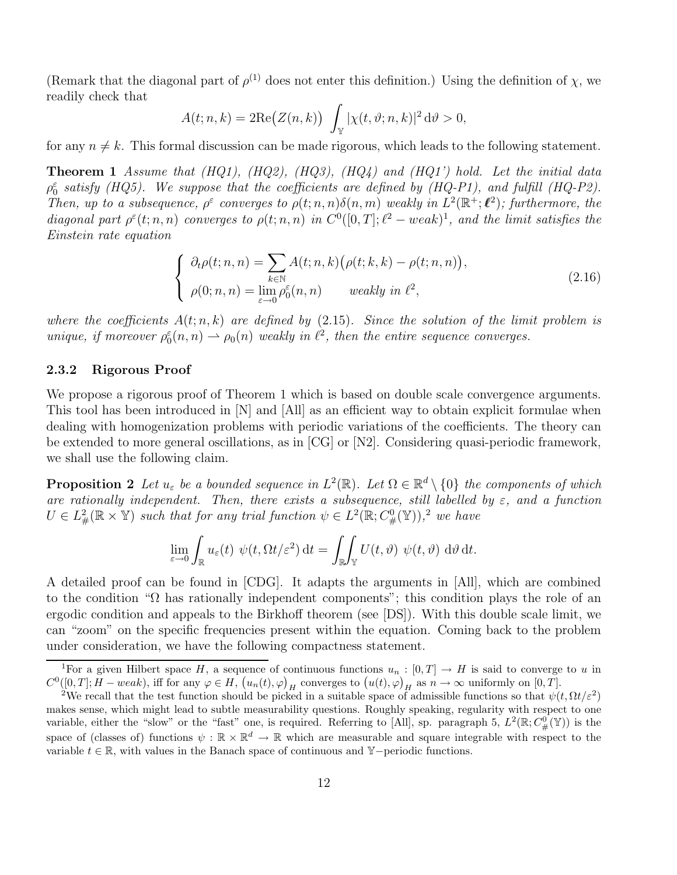(Remark that the diagonal part of  $\rho^{(1)}$  does not enter this definition.) Using the definition of  $\chi$ , we readily check that

$$
A(t; n, k) = 2\mathrm{Re}(Z(n, k)) \int_{\mathbb{Y}} |\chi(t, \vartheta; n, k)|^2 d\vartheta > 0,
$$

for any  $n \neq k$ . This formal discussion can be made rigorous, which leads to the following statement.

**Theorem 1** Assume that  $(HQ1)$ ,  $(HQ2)$ ,  $(HQ3)$ ,  $(HQ4)$  and  $(HQ1')$  hold. Let the initial data  $\rho_0^{\varepsilon}$  satisfy (HQ5). We suppose that the coefficients are defined by (HQ-P1), and fulfill (HQ-P2). Then, up to a subsequence,  $\rho^{\varepsilon}$  converges to  $\rho(t; n, n) \delta(n, m)$  weakly in  $L^2(\mathbb{R}^+; \ell^2)$ ; furthermore, the diagonal part  $\rho^{\varepsilon}(t; n, n)$  converges to  $\rho(t; n, n)$  in  $C^{0}([0, T]; \ell^{2} - weak)^{1}$ , and the limit satisfies the Einstein rate equation

$$
\begin{cases}\n\partial_t \rho(t; n, n) = \sum_{k \in \mathbb{N}} A(t; n, k) (\rho(t; k, k) - \rho(t; n, n)), \\
\rho(0; n, n) = \lim_{\varepsilon \to 0} \rho_0^{\varepsilon}(n, n) \quad \text{weakly in } \ell^2,\n\end{cases}
$$
\n(2.16)

where the coefficients  $A(t; n, k)$  are defined by  $(2.15)$ . Since the solution of the limit problem is unique, if moreover  $\rho_0^{\varepsilon}(n,n) \rightharpoonup \rho_0(n)$  weakly in  $\ell^2$ , then the entire sequence converges.

### 2.3.2 Rigorous Proof

We propose a rigorous proof of Theorem 1 which is based on double scale convergence arguments. This tool has been introduced in [N] and [All] as an efficient way to obtain explicit formulae when dealing with homogenization problems with periodic variations of the coefficients. The theory can be extended to more general oscillations, as in [CG] or [N2]. Considering quasi-periodic framework, we shall use the following claim.

**Proposition 2** Let  $u_{\varepsilon}$  be a bounded sequence in  $L^2(\mathbb{R})$ . Let  $\Omega \in \mathbb{R}^d \setminus \{0\}$  the components of which are rationally independent. Then, there exists a subsequence, still labelled by  $\varepsilon$ , and a function  $U \in L^2_{\#}(\mathbb{R} \times \mathbb{Y})$  such that for any trial function  $\psi \in L^2(\mathbb{R}; C^0_{\#}(\mathbb{Y}))$ , we have

$$
\lim_{\varepsilon \to 0} \int_{\mathbb{R}} u_{\varepsilon}(t) \psi(t, \Omega t/\varepsilon^2) dt = \iint_{\mathbb{R}} V(t, \vartheta) \psi(t, \vartheta) d\vartheta dt.
$$

A detailed proof can be found in [CDG]. It adapts the arguments in [All], which are combined to the condition "Ω has rationally independent components"; this condition plays the role of an ergodic condition and appeals to the Birkhoff theorem (see [DS]). With this double scale limit, we can "zoom" on the specific frequencies present within the equation. Coming back to the problem under consideration, we have the following compactness statement.

<sup>&</sup>lt;sup>1</sup>For a given Hilbert space H, a sequence of continuous functions  $u_n : [0, T] \to H$  is said to converge to u in  $C^0([0,T]; H-weak)$ , iff for any  $\varphi \in H$ ,  $(u_n(t), \varphi)_H$  converges to  $(u(t), \varphi)_H$  as  $n \to \infty$  uniformly on  $[0, T]$ .

<sup>&</sup>lt;sup>2</sup>We recall that the test function should be picked in a suitable space of admissible functions so that  $\psi(t, \Omega t/\varepsilon^2)$ makes sense, which might lead to subtle measurability questions. Roughly speaking, regularity with respect to one variable, either the "slow" or the "fast" one, is required. Referring to [All], sp. paragraph 5,  $L^2(\mathbb{R}; C^0_\#(\mathbb{Y}))$  is the space of (classes of) functions  $\psi : \mathbb{R} \times \mathbb{R}^d \to \mathbb{R}$  which are measurable and square integrable with respect to the variable  $t \in \mathbb{R}$ , with values in the Banach space of continuous and Y−periodic functions.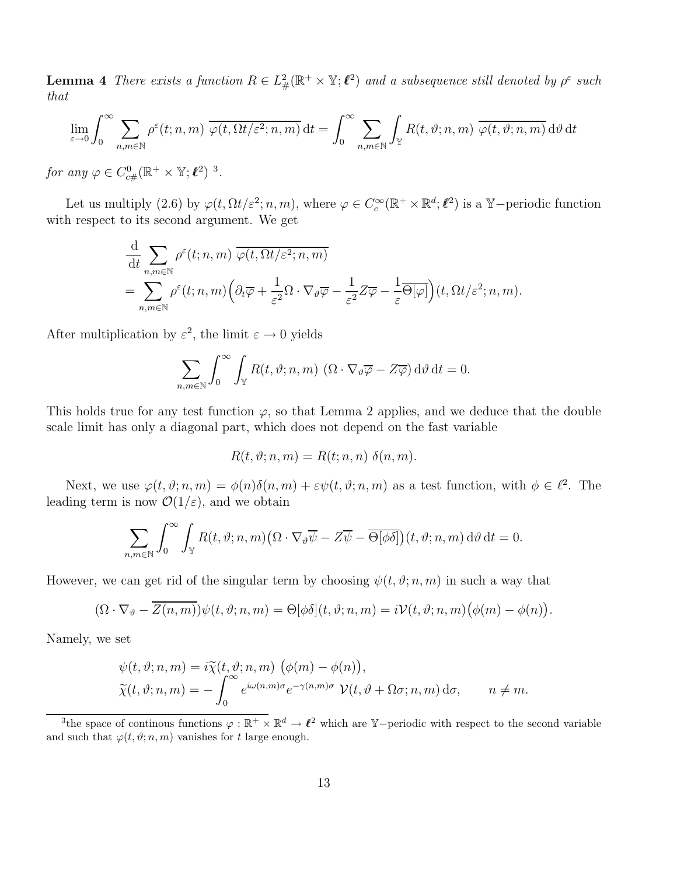**Lemma 4** There exists a function  $R \in L^2_{\#}(\mathbb{R}^+ \times \mathbb{Y}; \ell^2)$  and a subsequence still denoted by  $\rho^{\varepsilon}$  such that

$$
\lim_{\varepsilon \to 0} \int_0^\infty \sum_{n,m \in \mathbb{N}} \rho^{\varepsilon}(t; n, m) \overline{\varphi(t, \Omega t/\varepsilon^2; n, m)} dt = \int_0^\infty \sum_{n,m \in \mathbb{N}} \int_{\mathbb{Y}} R(t, \vartheta; n, m) \overline{\varphi(t, \vartheta; n, m)} d\vartheta dt
$$

for any  $\varphi \in C^0_{c\#}(\mathbb{R}^+ \times \mathbb{Y}; \ell^2)^{-3}$ .

Let us multiply (2.6) by  $\varphi(t, \Omega t/\varepsilon^2; n, m)$ , where  $\varphi \in C_c^{\infty}(\mathbb{R}^+ \times \mathbb{R}^d; \ell^2)$  is a Y-periodic function with respect to its second argument. We get

$$
\frac{\mathrm{d}}{\mathrm{d}t} \sum_{n,m \in \mathbb{N}} \rho^{\varepsilon}(t; n, m) \overline{\varphi(t, \Omega t/\varepsilon^2; n, m)} \n= \sum_{n,m \in \mathbb{N}} \rho^{\varepsilon}(t; n, m) \Big( \partial_t \overline{\varphi} + \frac{1}{\varepsilon^2} \Omega \cdot \nabla_{\vartheta} \overline{\varphi} - \frac{1}{\varepsilon^2} Z \overline{\varphi} - \frac{1}{\varepsilon} \overline{\Theta[\varphi]} \Big) (t, \Omega t/\varepsilon^2; n, m).
$$

After multiplication by  $\varepsilon^2$ , the limit  $\varepsilon \to 0$  yields

$$
\sum_{n,m\in\mathbb{N}} \int_0^\infty \int_\mathbb{Y} R(t,\vartheta;n,m) \, (\Omega \cdot \nabla_{\vartheta} \overline{\varphi} - Z \overline{\varphi}) \, \mathrm{d}\vartheta \, \mathrm{d}t = 0.
$$

This holds true for any test function  $\varphi$ , so that Lemma 2 applies, and we deduce that the double scale limit has only a diagonal part, which does not depend on the fast variable

$$
R(t, \vartheta; n, m) = R(t; n, n) \delta(n, m).
$$

Next, we use  $\varphi(t,\vartheta;n,m) = \varphi(n)\delta(n,m) + \varepsilon\psi(t,\vartheta;n,m)$  as a test function, with  $\phi \in \ell^2$ . The leading term is now  $\mathcal{O}(1/\varepsilon)$ , and we obtain

$$
\sum_{n,m\in\mathbb{N}}\int_0^\infty\int_\mathbb{Y} R(t,\vartheta;n,m)\big(\Omega\cdot\nabla_\vartheta\overline{\psi}-Z\overline{\psi}-\overline{\Theta[\phi\delta]}\big)(t,\vartheta;n,m)\,\mathrm{d}\vartheta\,\mathrm{d}t=0.
$$

However, we can get rid of the singular term by choosing  $\psi(t, \vartheta; n, m)$  in such a way that

$$
(\Omega \cdot \nabla_{\vartheta} - \overline{Z(n,m)})\psi(t,\vartheta;n,m) = \Theta[\phi\delta](t,\vartheta;n,m) = i\mathcal{V}(t,\vartheta;n,m)\big(\phi(m) - \phi(n)\big).
$$

Namely, we set

$$
\psi(t, \vartheta; n, m) = i \widetilde{\chi}(t, \vartheta; n, m) \left( \phi(m) - \phi(n) \right),
$$
  

$$
\widetilde{\chi}(t, \vartheta; n, m) = - \int_0^\infty e^{i\omega(n, m)\sigma} e^{-\gamma(n, m)\sigma} \mathcal{V}(t, \vartheta + \Omega \sigma; n, m) d\sigma, \qquad n \neq m.
$$

<sup>&</sup>lt;sup>3</sup>the space of continous functions  $\varphi : \mathbb{R}^+ \times \mathbb{R}^d \to \ell^2$  which are Y-periodic with respect to the second variable and such that  $\varphi(t, \vartheta; n, m)$  vanishes for t large enough.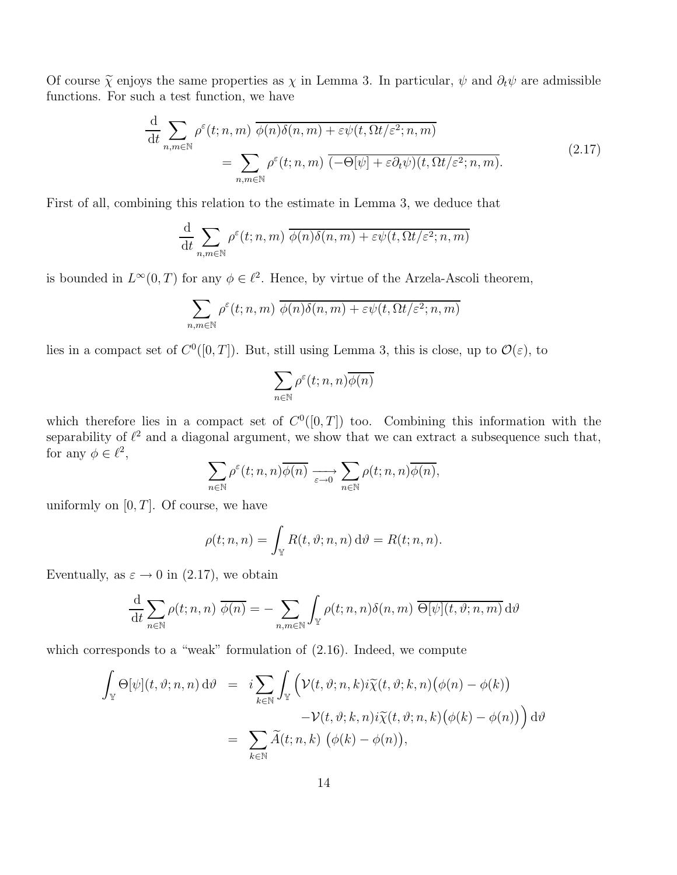Of course  $\tilde{\chi}$  enjoys the same properties as  $\chi$  in Lemma 3. In particular,  $\psi$  and  $\partial_t \psi$  are admissible functions. For such a test function, we have

$$
\frac{\mathrm{d}}{\mathrm{d}t} \sum_{n,m \in \mathbb{N}} \rho^{\varepsilon}(t;n,m) \overline{\phi(n)\delta(n,m)} + \varepsilon \psi(t,\Omega t/\varepsilon^2;n,m)
$$
\n
$$
= \sum_{n,m \in \mathbb{N}} \rho^{\varepsilon}(t;n,m) \overline{(-\Theta[\psi] + \varepsilon \partial_t \psi)(t,\Omega t/\varepsilon^2;n,m)}.
$$
\n(2.17)

First of all, combining this relation to the estimate in Lemma 3, we deduce that

$$
\frac{\mathrm{d}}{\mathrm{d}t} \sum_{n,m \in \mathbb{N}} \rho^{\varepsilon}(t;n,m) \overline{\phi(n)\delta(n,m) + \varepsilon \psi(t,\Omega t/\varepsilon^2;n,m)}
$$

is bounded in  $L^{\infty}(0,T)$  for any  $\phi \in \ell^2$ . Hence, by virtue of the Arzela-Ascoli theorem,

$$
\sum_{n,m\in\mathbb{N}} \rho^{\varepsilon}(t;n,m) \overline{\phi(n)\delta(n,m)} + \varepsilon \psi(t,\Omega t/\varepsilon^2;n,m)
$$

lies in a compact set of  $C^0([0,T])$ . But, still using Lemma 3, this is close, up to  $\mathcal{O}(\varepsilon)$ , to

$$
\sum_{n\in\mathbb{N}}\rho^\varepsilon(t;n,n)\overline{\phi(n)}
$$

which therefore lies in a compact set of  $C<sup>0</sup>(0,T]$  too. Combining this information with the separability of  $\ell^2$  and a diagonal argument, we show that we can extract a subsequence such that, for any  $\phi \in \ell^2$ ,  $\sum$ 

$$
\sum_{n\in\mathbb{N}}\rho^\varepsilon(t;n,n)\overline{\phi(n)}\xrightarrow[\varepsilon\to 0]{}\sum_{n\in\mathbb{N}}\rho(t;n,n)\overline{\phi(n)},
$$

uniformly on  $[0, T]$ . Of course, we have

$$
\rho(t; n, n) = \int_{\mathbb{Y}} R(t, \vartheta; n, n) d\vartheta = R(t; n, n).
$$

Eventually, as  $\varepsilon \to 0$  in (2.17), we obtain

$$
\frac{\mathrm{d}}{\mathrm{d}t} \sum_{n \in \mathbb{N}} \rho(t; n, n) \overline{\phi(n)} = - \sum_{n, m \in \mathbb{N}} \int_{\mathbb{Y}} \rho(t; n, n) \delta(n, m) \overline{\Theta[\psi](t, \vartheta; n, m)} \, \mathrm{d}\vartheta
$$

which corresponds to a "weak" formulation of  $(2.16)$ . Indeed, we compute

$$
\int_{\mathbb{Y}} \Theta[\psi](t, \vartheta; n, n) d\vartheta = i \sum_{k \in \mathbb{N}} \int_{\mathbb{Y}} \left( \mathcal{V}(t, \vartheta; n, k) i \widetilde{\chi}(t, \vartheta; k, n) (\phi(n) - \phi(k)) - \mathcal{V}(t, \vartheta; k, n) i \widetilde{\chi}(t, \vartheta; n, k) (\phi(k) - \phi(n)) \right) d\vartheta
$$

$$
= \sum_{k \in \mathbb{N}} \widetilde{A}(t; n, k) (\phi(k) - \phi(n)),
$$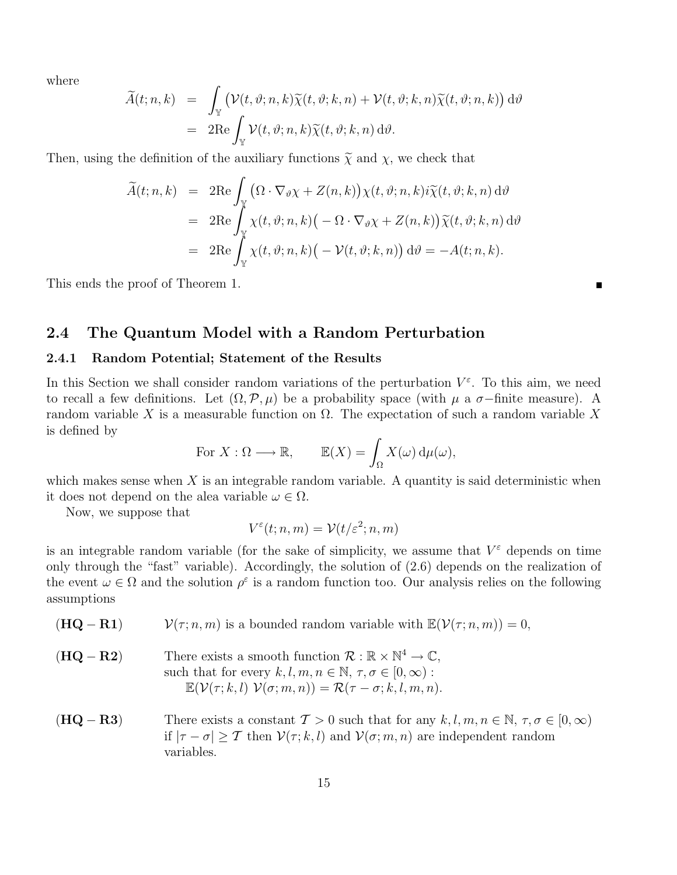where

$$
\widetilde{A}(t;n,k) = \int_{\mathbb{Y}} (\mathcal{V}(t,\vartheta;n,k)\widetilde{\chi}(t,\vartheta;k,n) + \mathcal{V}(t,\vartheta;k,n)\widetilde{\chi}(t,\vartheta;n,k)) d\vartheta \n= 2\mathrm{Re}\int_{\mathbb{Y}} \mathcal{V}(t,\vartheta;n,k)\widetilde{\chi}(t,\vartheta;k,n) d\vartheta.
$$

Then, using the definition of the auxiliary functions  $\tilde{\chi}$  and  $\chi$ , we check that

$$
\widetilde{A}(t;n,k) = 2\mathrm{Re} \int_{\mathbb{Y}} (\Omega \cdot \nabla_{\vartheta} \chi + Z(n,k)) \chi(t,\vartheta;n,k) i \widetilde{\chi}(t,\vartheta;k,n) d\vartheta \n= 2\mathrm{Re} \int_{\mathbb{Y}} \chi(t,\vartheta;n,k) (-\Omega \cdot \nabla_{\vartheta} \chi + Z(n,k)) \widetilde{\chi}(t,\vartheta;k,n) d\vartheta \n= 2\mathrm{Re} \int_{\mathbb{Y}} \chi(t,\vartheta;n,k) (-\mathcal{V}(t,\vartheta;k,n)) d\vartheta = -A(t;n,k).
$$

This ends the proof of Theorem 1.

### 2.4 The Quantum Model with a Random Perturbation

#### 2.4.1 Random Potential; Statement of the Results

In this Section we shall consider random variations of the perturbation  $V^{\varepsilon}$ . To this aim, we need to recall a few definitions. Let  $(\Omega, \mathcal{P}, \mu)$  be a probability space (with  $\mu$  a  $\sigma$ -finite measure). A random variable X is a measurable function on Ω. The expectation of such a random variable X is defined by

For 
$$
X : \Omega \longrightarrow \mathbb{R}
$$
,  $\mathbb{E}(X) = \int_{\Omega} X(\omega) d\mu(\omega)$ ,

which makes sense when  $X$  is an integrable random variable. A quantity is said deterministic when it does not depend on the alea variable  $\omega \in \Omega$ .

Now, we suppose that

$$
V^{\varepsilon}(t;n,m)=\mathcal{V}(t/\varepsilon^2;n,m)
$$

is an integrable random variable (for the sake of simplicity, we assume that  $V^{\varepsilon}$  depends on time only through the "fast" variable). Accordingly, the solution of (2.6) depends on the realization of the event  $\omega \in \Omega$  and the solution  $\rho^{\varepsilon}$  is a random function too. Our analysis relies on the following assumptions

- $(\mathbf{HQ} \mathbf{R1})$   $\mathcal{V}(\tau; n, m)$  is a bounded random variable with  $\mathbb{E}(\mathcal{V}(\tau; n, m)) = 0$ ,
- $(\mathbf{HQ} \mathbf{R2})$  There exists a smooth function  $\mathcal{R} : \mathbb{R} \times \mathbb{N}^4 \to \mathbb{C}$ , such that for every  $k, l, m, n \in \mathbb{N}, \tau, \sigma \in [0, \infty)$ :  $\mathbb{E}(\mathcal{V}(\tau; k, l) \; \mathcal{V}(\sigma; m, n)) = \mathcal{R}(\tau - \sigma; k, l, m, n).$
- (HQ − R3) There exists a constant  $\mathcal{T} > 0$  such that for any  $k, l, m, n \in \mathbb{N}, \tau, \sigma \in [0, \infty)$ if  $|\tau - \sigma| > \tau$  then  $V(\tau; k, l)$  and  $V(\sigma; m, n)$  are independent random variables.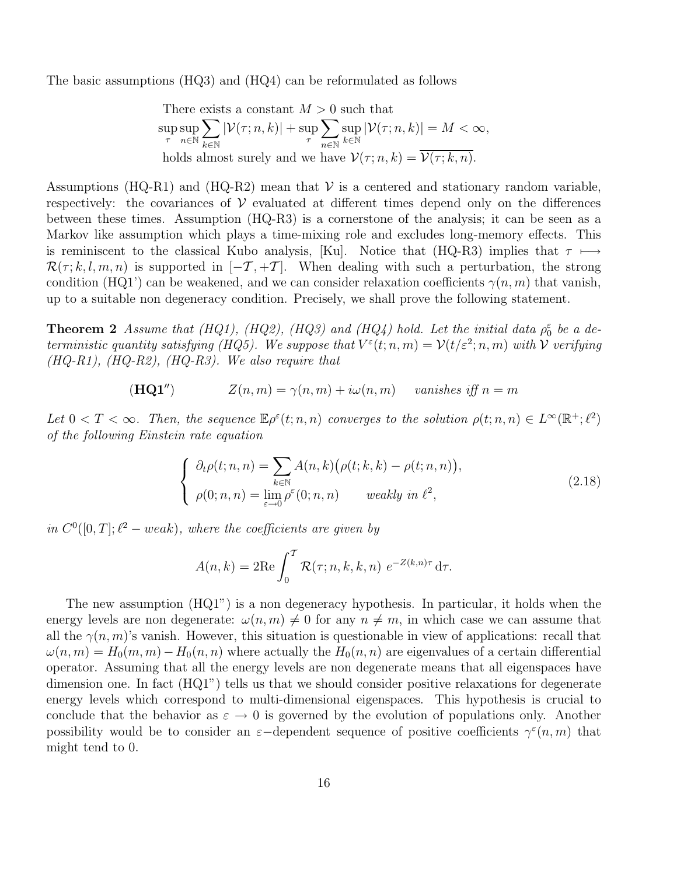The basic assumptions (HQ3) and (HQ4) can be reformulated as follows

There exists a constant 
$$
M > 0
$$
 such that  
\n
$$
\sup_{\tau} \sup_{n \in \mathbb{N}} \sum_{k \in \mathbb{N}} |\mathcal{V}(\tau; n, k)| + \sup_{\tau} \sum_{n \in \mathbb{N}} \sup_{k \in \mathbb{N}} |\mathcal{V}(\tau; n, k)| = M < \infty,
$$
\nholds almost surely and we have  $\mathcal{V}(\tau; n, k) = \overline{\mathcal{V}(\tau; k, n)}$ .

Assumptions (HQ-R1) and (HQ-R2) mean that  $V$  is a centered and stationary random variable, respectively: the covariances of  $\mathcal V$  evaluated at different times depend only on the differences between these times. Assumption (HQ-R3) is a cornerstone of the analysis; it can be seen as a Markov like assumption which plays a time-mixing role and excludes long-memory effects. This is reminiscent to the classical Kubo analysis, [Ku]. Notice that (HQ-R3) implies that  $\tau \mapsto$  $\mathcal{R}(\tau; k, l, m, n)$  is supported in  $[-\mathcal{T}, +\mathcal{T}]$ . When dealing with such a perturbation, the strong condition (HQ1') can be weakened, and we can consider relaxation coefficients  $\gamma(n, m)$  that vanish, up to a suitable non degeneracy condition. Precisely, we shall prove the following statement.

**Theorem 2** Assume that (HQ1), (HQ2), (HQ3) and (HQ4) hold. Let the initial data  $\rho_0^{\varepsilon}$  be a deterministic quantity satisfying (HQ5). We suppose that  $V^{\varepsilon}(t; n, m) = \mathcal{V}(t/\varepsilon^2; n, m)$  with  $\mathcal V$  verifying  $(HQ-R1), (HQ-R2), (HQ-R3).$  We also require that

$$
(\mathbf{HQ1''}) \qquad \qquad Z(n,m) = \gamma(n,m) + i\omega(n,m) \qquad vanishes \text{ iff } n = m
$$

Let  $0 < T < \infty$ . Then, the sequence  $\mathbb{E} \rho^{\varepsilon}(t; n, n)$  converges to the solution  $\rho(t; n, n) \in L^{\infty}(\mathbb{R}^+; \ell^2)$ of the following Einstein rate equation

$$
\begin{cases}\n\partial_t \rho(t; n, n) = \sum_{k \in \mathbb{N}} A(n, k) (\rho(t; k, k) - \rho(t; n, n)), \\
\rho(0; n, n) = \lim_{\varepsilon \to 0} \rho^{\varepsilon}(0; n, n) \quad \text{weakly in } \ell^2,\n\end{cases}
$$
\n(2.18)

in  $C^0([0,T]; \ell^2-weak)$ , where the coefficients are given by

$$
A(n,k) = 2\mathrm{Re}\int_0^T \mathcal{R}(\tau;n,k,k,n) e^{-Z(k,n)\tau} d\tau.
$$

The new assumption (HQ1") is a non degeneracy hypothesis. In particular, it holds when the energy levels are non degenerate:  $\omega(n,m) \neq 0$  for any  $n \neq m$ , in which case we can assume that all the  $\gamma(n,m)$ 's vanish. However, this situation is questionable in view of applications: recall that  $\omega(n,m) = H_0(m,m) - H_0(n,n)$  where actually the  $H_0(n,n)$  are eigenvalues of a certain differential operator. Assuming that all the energy levels are non degenerate means that all eigenspaces have dimension one. In fact  $(HQ1)$  tells us that we should consider positive relaxations for degenerate energy levels which correspond to multi-dimensional eigenspaces. This hypothesis is crucial to conclude that the behavior as  $\varepsilon \to 0$  is governed by the evolution of populations only. Another possibility would be to consider an  $\varepsilon$ -dependent sequence of positive coefficients  $\gamma^{\varepsilon}(n,m)$  that might tend to 0.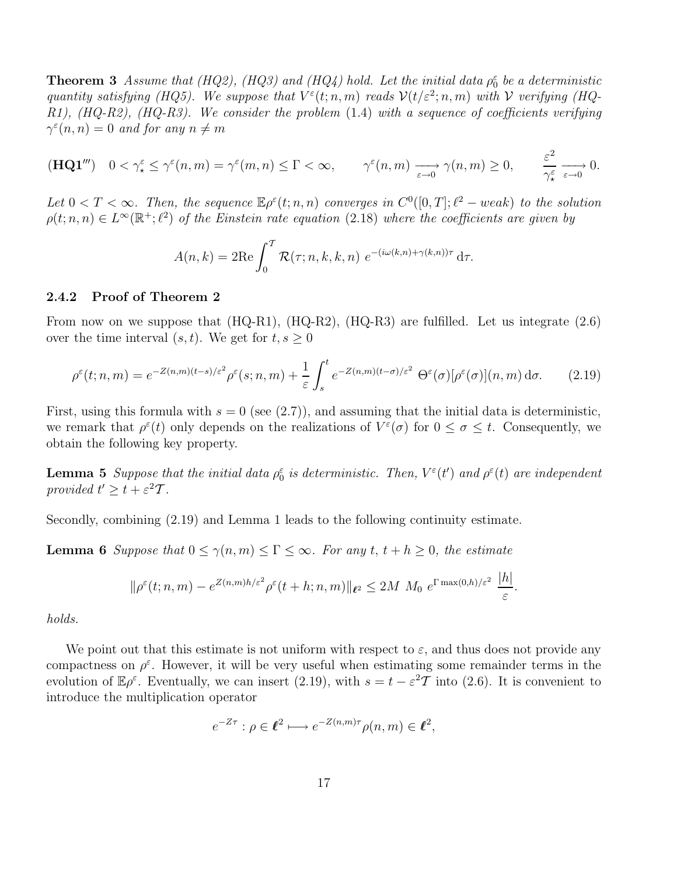**Theorem 3** Assume that (HQ2), (HQ3) and (HQ4) hold. Let the initial data  $\rho_0^{\varepsilon}$  be a deterministic quantity satisfying (HQ5). We suppose that  $V^{\varepsilon}(t;n,m)$  reads  $\mathcal{V}(t/\varepsilon^2;n,m)$  with  $\mathcal V$  verifying (HQ-R1), (HQ-R2), (HQ-R3). We consider the problem (1.4) with a sequence of coefficients verifying  $\gamma^{\varepsilon}(n, n) = 0$  and for any  $n \neq m$ 

$$
(\mathbf{HQ1}''') \quad 0 < \gamma_{\star}^{\varepsilon} \leq \gamma^{\varepsilon}(n,m) = \gamma^{\varepsilon}(m,n) \leq \Gamma < \infty, \qquad \gamma^{\varepsilon}(n,m) \xrightarrow[\varepsilon \to 0]{} \gamma(n,m) \geq 0, \qquad \frac{\varepsilon^2}{\gamma_{\star}^{\varepsilon}} \xrightarrow[\varepsilon \to 0]{} 0.
$$

Let  $0 < T < \infty$ . Then, the sequence  $\mathbb{E} \rho^{\varepsilon}(t; n, n)$  converges in  $C^{0}([0, T]; \ell^{2} - weak)$  to the solution  $\rho(t; n, n) \in L^{\infty}(\mathbb{R}^+; \ell^2)$  of the Einstein rate equation (2.18) where the coefficients are given by

$$
A(n,k) = 2\mathrm{Re}\int_0^T \mathcal{R}(\tau;n,k,k,n) e^{-(i\omega(k,n)+\gamma(k,n))\tau} d\tau.
$$

#### 2.4.2 Proof of Theorem 2

From now on we suppose that  $(HQ-R1)$ ,  $(HQ-R2)$ ,  $(HQ-R3)$  are fulfilled. Let us integrate  $(2.6)$ over the time interval  $(s, t)$ . We get for  $t, s \geq 0$ 

$$
\rho^{\varepsilon}(t;n,m) = e^{-Z(n,m)(t-s)/\varepsilon^2} \rho^{\varepsilon}(s;n,m) + \frac{1}{\varepsilon} \int_s^t e^{-Z(n,m)(t-\sigma)/\varepsilon^2} \Theta^{\varepsilon}(\sigma) [\rho^{\varepsilon}(\sigma)](n,m) d\sigma. \tag{2.19}
$$

First, using this formula with  $s = 0$  (see (2.7)), and assuming that the initial data is deterministic, we remark that  $\rho^{\varepsilon}(t)$  only depends on the realizations of  $V^{\varepsilon}(\sigma)$  for  $0 \leq \sigma \leq t$ . Consequently, we obtain the following key property.

**Lemma 5** Suppose that the initial data  $\rho_0^{\varepsilon}$  is deterministic. Then,  $V^{\varepsilon}(t')$  and  $\rho^{\varepsilon}(t)$  are independent provided  $t' \geq t + \varepsilon^2 T$ .

Secondly, combining (2.19) and Lemma 1 leads to the following continuity estimate.

**Lemma 6** Suppose that  $0 \le \gamma(n,m) \le \Gamma \le \infty$ . For any  $t, t + h \ge 0$ , the estimate

$$
\|\rho^{\varepsilon}(t;n,m)-e^{Z(n,m)h/\varepsilon^2}\rho^{\varepsilon}(t+h;n,m)\|_{\ell^2}\leq 2M\ M_0\ e^{\Gamma\max(0,h)/\varepsilon^2}\ \frac{|h|}{\varepsilon}
$$

.

holds.

We point out that this estimate is not uniform with respect to  $\varepsilon$ , and thus does not provide any compactness on  $\rho^{\varepsilon}$ . However, it will be very useful when estimating some remainder terms in the evolution of  $\mathbb{E}\rho^{\varepsilon}$ . Eventually, we can insert (2.19), with  $s = t - \varepsilon^2 \mathcal{T}$  into (2.6). It is convenient to introduce the multiplication operator

$$
e^{-Z\tau}: \rho \in \ell^2 \longmapsto e^{-Z(n,m)\tau} \rho(n,m) \in \ell^2,
$$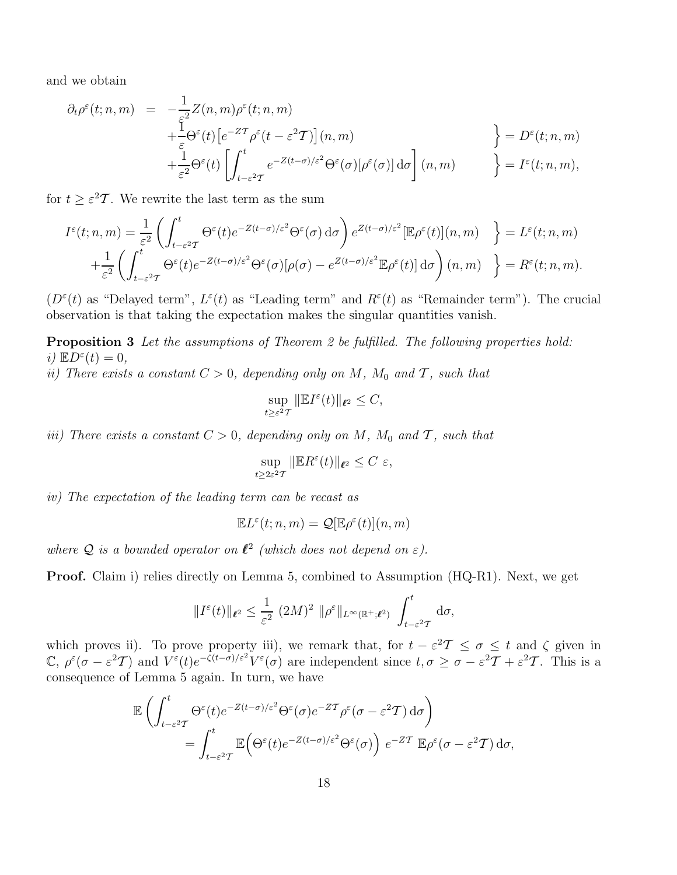and we obtain

$$
\partial_t \rho^{\varepsilon}(t; n, m) = -\frac{1}{\varepsilon^2} Z(n, m) \rho^{\varepsilon}(t; n, m) \n+ \frac{1}{\varepsilon} \Theta^{\varepsilon}(t) \left[ e^{-Z\mathcal{T}} \rho^{\varepsilon}(t - \varepsilon^2 \mathcal{T}) \right](n, m) \n+ \frac{1}{\varepsilon^2} \Theta^{\varepsilon}(t) \left[ \int_{t-\varepsilon^2 \mathcal{T}}^t e^{-Z(t-\sigma)/\varepsilon^2} \Theta^{\varepsilon}(\sigma) [\rho^{\varepsilon}(\sigma)] d\sigma \right](n, m) \n\right\} = D^{\varepsilon}(t; n, m),
$$

for  $t \geq \varepsilon^2 T$ . We rewrite the last term as the sum

$$
I^{\varepsilon}(t; n, m) = \frac{1}{\varepsilon^{2}} \left( \int_{t-\varepsilon^{2}T}^{t} \Theta^{\varepsilon}(t) e^{-Z(t-\sigma)/\varepsilon^{2}} \Theta^{\varepsilon}(\sigma) d\sigma \right) e^{Z(t-\sigma)/\varepsilon^{2}} [\mathbb{E} \rho^{\varepsilon}(t)](n, m) \quad \Big\} = L^{\varepsilon}(t; n, m)
$$

$$
+ \frac{1}{\varepsilon^{2}} \left( \int_{t-\varepsilon^{2}T}^{t} \Theta^{\varepsilon}(t) e^{-Z(t-\sigma)/\varepsilon^{2}} \Theta^{\varepsilon}(\sigma) [\rho(\sigma) - e^{Z(t-\sigma)/\varepsilon^{2}} \mathbb{E} \rho^{\varepsilon}(t)] d\sigma \right) (n, m) \quad \Big\} = R^{\varepsilon}(t; n, m).
$$

 $(D^{\varepsilon}(t))$  as "Delayed term",  $L^{\varepsilon}(t)$  as "Leading term" and  $R^{\varepsilon}(t)$  as "Remainder term"). The crucial observation is that taking the expectation makes the singular quantities vanish.

Proposition 3 Let the assumptions of Theorem 2 be fulfilled. The following properties hold: i)  $\mathbb{E}D^{\varepsilon}(t)=0,$ 

ii) There exists a constant  $C > 0$ , depending only on M, M<sub>0</sub> and T, such that

$$
\sup_{t\geq \varepsilon^2 T} \|\mathbb{E} I^{\varepsilon}(t)\|_{\ell^2} \leq C,
$$

iii) There exists a constant  $C > 0$ , depending only on M, M<sub>0</sub> and T, such that

$$
\sup_{t\geq 2\varepsilon^2 T} \|\mathbb{E} R^{\varepsilon}(t)\|_{\ell^2} \leq C \varepsilon,
$$

iv) The expectation of the leading term can be recast as

$$
\mathbb{E}L^{\varepsilon}(t;n,m) = \mathcal{Q}[\mathbb{E}\rho^{\varepsilon}(t)](n,m)
$$

where Q is a bounded operator on  $\ell^2$  (which does not depend on  $\varepsilon$ ).

Proof. Claim i) relies directly on Lemma 5, combined to Assumption (HQ-R1). Next, we get

$$
||I^{\varepsilon}(t)||_{\ell^2} \leq \frac{1}{\varepsilon^2} (2M)^2 ||\rho^{\varepsilon}||_{L^{\infty}(\mathbb{R}^+;\ell^2)} \int_{t-\varepsilon^2}^t d\sigma,
$$

which proves ii). To prove property iii), we remark that, for  $t - \varepsilon^2 T \le \sigma \le t$  and  $\zeta$  given in  $\mathbb{C}, \rho^{\varepsilon}(\sigma - \varepsilon^2 T)$  and  $V^{\varepsilon}(t)e^{-\zeta(t-\sigma)/\varepsilon^2}V^{\varepsilon}(\sigma)$  are independent since  $t, \sigma \geq \sigma - \varepsilon^2 T + \varepsilon^2 T$ . This is a consequence of Lemma 5 again. In turn, we have

$$
\mathbb{E}\left(\int_{t-\varepsilon^2 T}^{t} \Theta^\varepsilon(t) e^{-Z(t-\sigma)/\varepsilon^2} \Theta^\varepsilon(\sigma) e^{-Z T} \rho^\varepsilon(\sigma-\varepsilon^2 T) d\sigma\right) \n= \int_{t-\varepsilon^2 T}^{t} \mathbb{E}\left(\Theta^\varepsilon(t) e^{-Z(t-\sigma)/\varepsilon^2} \Theta^\varepsilon(\sigma)\right) e^{-Z T} \mathbb{E}\rho^\varepsilon(\sigma-\varepsilon^2 T) d\sigma,
$$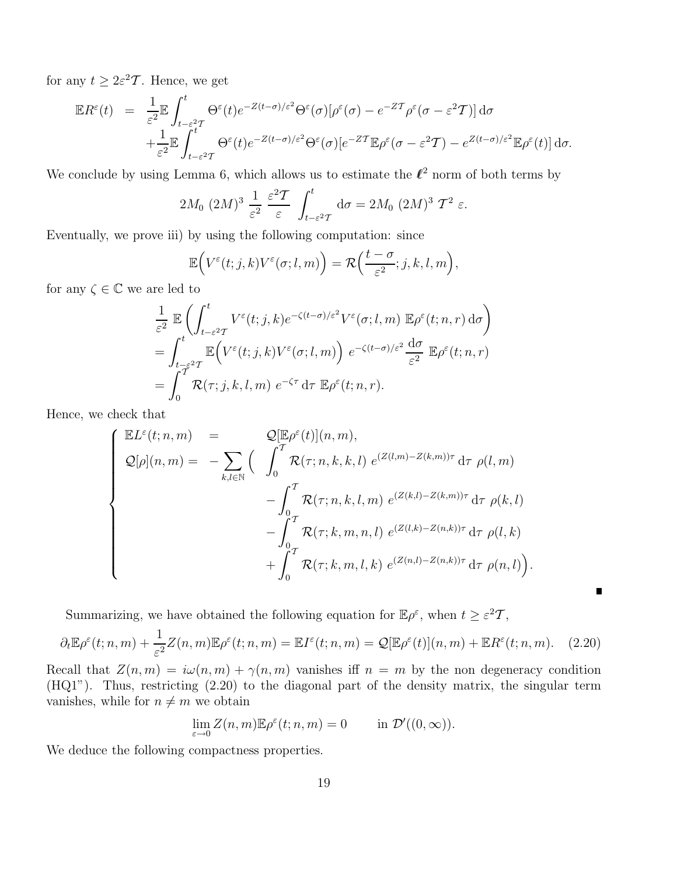for any  $t \geq 2\varepsilon^2 \mathcal{T}$ . Hence, we get

$$
\mathbb{E}R^{\varepsilon}(t) = \frac{1}{\varepsilon^{2}} \mathbb{E} \int_{t-\varepsilon^{2}T}^{t} \Theta^{\varepsilon}(t) e^{-Z(t-\sigma)/\varepsilon^{2}} \Theta^{\varepsilon}(\sigma) [\rho^{\varepsilon}(\sigma) - e^{-ZT} \rho^{\varepsilon}(\sigma - \varepsilon^{2}T)] d\sigma + \frac{1}{\varepsilon^{2}} \mathbb{E} \int_{t-\varepsilon^{2}T}^{t} \Theta^{\varepsilon}(t) e^{-Z(t-\sigma)/\varepsilon^{2}} \Theta^{\varepsilon}(\sigma) [e^{-ZT} \mathbb{E} \rho^{\varepsilon}(\sigma - \varepsilon^{2}T) - e^{Z(t-\sigma)/\varepsilon^{2}} \mathbb{E} \rho^{\varepsilon}(t)] d\sigma.
$$

We conclude by using Lemma 6, which allows us to estimate the  $\ell^2$  norm of both terms by

$$
2M_0 (2M)^3 \frac{1}{\varepsilon^2} \frac{\varepsilon^2 \mathcal{T}}{\varepsilon} \int_{t-\varepsilon^2 \mathcal{T}}^t \mathrm{d}\sigma = 2M_0 (2M)^3 \mathcal{T}^2 \varepsilon.
$$

Eventually, we prove iii) by using the following computation: since

$$
\mathbb{E}\Big(V^{\varepsilon}(t;j,k)V^{\varepsilon}(\sigma;l,m)\Big)=\mathcal{R}\Big(\frac{t-\sigma}{\varepsilon^2};j,k,l,m\Big),
$$

for any  $\zeta \in \mathbb{C}$  we are led to

$$
\frac{1}{\varepsilon^2} \mathbb{E} \left( \int_{t-\varepsilon^2 T}^t V^\varepsilon(t;j,k) e^{-\zeta(t-\sigma)/\varepsilon^2} V^\varepsilon(\sigma;l,m) \mathbb{E} \rho^\varepsilon(t;n,r) d\sigma \right)
$$
  
\n
$$
= \int_{t-\varepsilon^2 T}^t \mathbb{E} \left( V^\varepsilon(t;j,k) V^\varepsilon(\sigma;l,m) \right) e^{-\zeta(t-\sigma)/\varepsilon^2} \frac{d\sigma}{\varepsilon^2} \mathbb{E} \rho^\varepsilon(t;n,r)
$$
  
\n
$$
= \int_0^T \mathcal{R}(\tau;j,k,l,m) e^{-\zeta\tau} d\tau \mathbb{E} \rho^\varepsilon(t;n,r).
$$

Hence, we check that

$$
\begin{cases}\n\mathbb{E}L^{\varepsilon}(t;n,m) &= \mathcal{Q}[\mathbb{E}\rho^{\varepsilon}(t)](n,m), \\
\mathcal{Q}[\rho](n,m) &= -\sum_{k,l\in\mathbb{N}}\left(\int_{0}^{T}\mathcal{R}(\tau;n,k,k,l)\ e^{(Z(l,m)-Z(k,m))\tau} d\tau \ \rho(l,m) \right. \\
&\left. -\int_{0}^{T}\mathcal{R}(\tau;n,k,l,m)\ e^{(Z(k,l)-Z(k,m))\tau} d\tau \ \rho(k,l) \right. \\
&\left. -\int_{0}^{T}\mathcal{R}(\tau;k,m,n,l)\ e^{(Z(l,k)-Z(n,k))\tau} d\tau \ \rho(l,k) \right. \\
&\left. +\int_{0}^{T}\mathcal{R}(\tau;k,m,l,k)\ e^{(Z(n,l)-Z(n,k))\tau} d\tau \ \rho(n,l)\right).\n\end{cases}
$$

Summarizing, we have obtained the following equation for  $\mathbb{E} \rho^{\varepsilon}$ , when  $t \geq \varepsilon^2 \mathcal{T}$ ,

$$
\partial_t \mathbb{E} \rho^{\varepsilon}(t; n, m) + \frac{1}{\varepsilon^2} Z(n, m) \mathbb{E} \rho^{\varepsilon}(t; n, m) = \mathbb{E} I^{\varepsilon}(t; n, m) = \mathcal{Q}[\mathbb{E} \rho^{\varepsilon}(t)](n, m) + \mathbb{E} R^{\varepsilon}(t; n, m). \tag{2.20}
$$

 $\blacksquare$ 

Recall that  $Z(n, m) = i\omega(n, m) + \gamma(n, m)$  vanishes iff  $n = m$  by the non degeneracy condition (HQ1"). Thus, restricting (2.20) to the diagonal part of the density matrix, the singular term vanishes, while for  $n\neq m$  we obtain

$$
\lim_{\varepsilon \to 0} Z(n, m) \mathbb{E} \rho^{\varepsilon}(t; n, m) = 0 \quad \text{in } \mathcal{D}'((0, \infty)).
$$

We deduce the following compactness properties.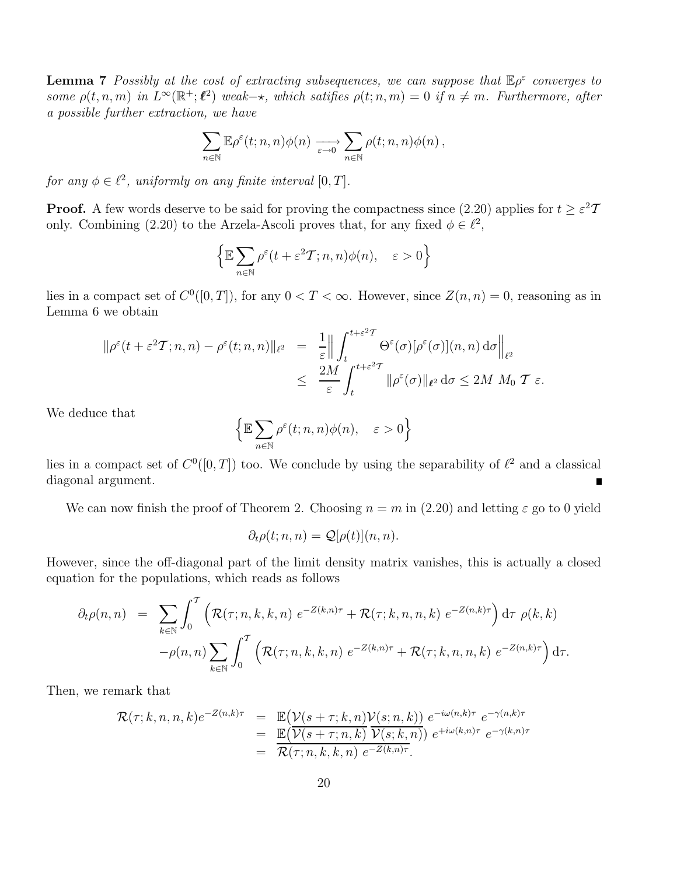**Lemma 7** Possibly at the cost of extracting subsequences, we can suppose that  $\mathbb{E} \rho^{\varepsilon}$  converges to some  $\rho(t,n,m)$  in  $L^{\infty}(\mathbb{R}^+;\ell^2)$  weak- $\star$ , which satifies  $\rho(t;n,m) = 0$  if  $n \neq m$ . Furthermore, after a possible further extraction, we have

$$
\sum_{n\in\mathbb{N}}\mathbb{E}\rho^{\varepsilon}(t;n,n)\phi(n)\xrightarrow[\varepsilon\to 0]{}\sum_{n\in\mathbb{N}}\rho(t;n,n)\phi(n),
$$

for any  $\phi \in \ell^2$ , uniformly on any finite interval  $[0, T]$ .

**Proof.** A few words deserve to be said for proving the compactness since  $(2.20)$  applies for  $t \geq \varepsilon^2 T$ only. Combining (2.20) to the Arzela-Ascoli proves that, for any fixed  $\phi \in \ell^2$ ,

$$
\Big\{\mathbb{E}\sum_{n\in\mathbb{N}}\rho^\varepsilon(t+\varepsilon^2T;n,n)\phi(n),\quad \varepsilon>0\Big\}
$$

lies in a compact set of  $C^0([0,T])$ , for any  $0 < T < \infty$ . However, since  $Z(n,n) = 0$ , reasoning as in Lemma 6 we obtain

$$
\begin{array}{rcl}\n\|\rho^{\varepsilon}(t+\varepsilon^{2}T;n,n)-\rho^{\varepsilon}(t;n,n)\|_{\ell^{2}} & = & \frac{1}{\varepsilon} \left\| \int_{t}^{t+\varepsilon^{2}T} \Theta^{\varepsilon}(\sigma)[\rho^{\varepsilon}(\sigma)](n,n) \, \mathrm{d}\sigma \right\|_{\ell^{2}} \\
& \leq & \frac{2M}{\varepsilon} \int_{t}^{t+\varepsilon^{2}T} \|\rho^{\varepsilon}(\sigma)\|_{\ell^{2}} \, \mathrm{d}\sigma \leq 2M \, M_{0} \, T \, \varepsilon.\n\end{array}
$$

We deduce that

$$
\Big\{\mathbb{E}\sum_{n\in\mathbb{N}}\rho^\varepsilon(t;n,n)\phi(n),\quad \varepsilon>0\Big\}
$$

lies in a compact set of  $C^0([0,T])$  too. We conclude by using the separability of  $\ell^2$  and a classical diagonal argument.

We can now finish the proof of Theorem 2. Choosing  $n = m$  in (2.20) and letting  $\varepsilon$  go to 0 yield

$$
\partial_t \rho(t; n, n) = \mathcal{Q}[\rho(t)](n, n).
$$

However, since the off-diagonal part of the limit density matrix vanishes, this is actually a closed equation for the populations, which reads as follows

$$
\partial_t \rho(n,n) = \sum_{k \in \mathbb{N}} \int_0^T \left( \mathcal{R}(\tau;n,k,k,n) e^{-Z(k,n)\tau} + \mathcal{R}(\tau;k,n,n,k) e^{-Z(n,k)\tau} \right) d\tau \, \rho(k,k)
$$

$$
-\rho(n,n) \sum_{k \in \mathbb{N}} \int_0^T \left( \mathcal{R}(\tau;n,k,k,n) e^{-Z(k,n)\tau} + \mathcal{R}(\tau;k,n,n,k) e^{-Z(n,k)\tau} \right) d\tau.
$$

Then, we remark that

$$
\mathcal{R}(\tau;k,n,n,k)e^{-Z(n,k)\tau} = \mathbb{E}(\mathcal{V}(s+\tau;k,n)\mathcal{V}(s;n,k)) e^{-i\omega(n,k)\tau} e^{-\gamma(n,k)\tau}
$$
  
\n
$$
= \mathbb{E}(\overline{\mathcal{V}(s+\tau;n,k)}\overline{\mathcal{V}(s;k,n)}) e^{+i\omega(k,n)\tau} e^{-\gamma(k,n)\tau}
$$
  
\n
$$
= \overline{\mathcal{R}(\tau;n,k,k,n)} e^{-Z(k,n)\tau}.
$$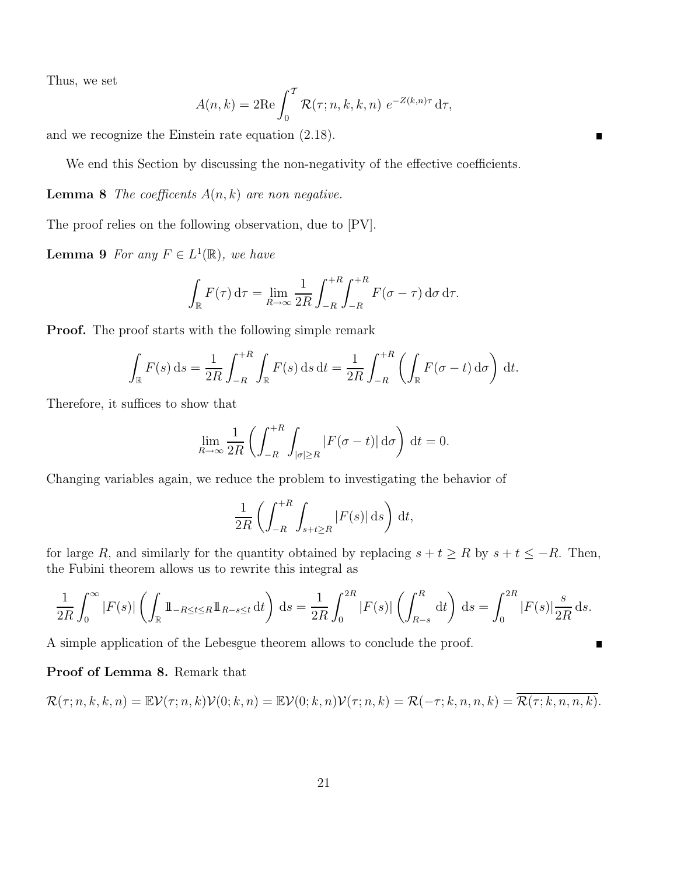Thus, we set

$$
A(n,k) = 2\mathrm{Re}\int_0^T \mathcal{R}(\tau;n,k,k,n) e^{-Z(k,n)\tau} d\tau,
$$

 $\blacksquare$ 

and we recognize the Einstein rate equation (2.18).

We end this Section by discussing the non-negativity of the effective coefficients.

**Lemma 8** The coefficents  $A(n, k)$  are non negative.

The proof relies on the following observation, due to [PV].

**Lemma 9** For any  $F \in L^1(\mathbb{R})$ , we have

$$
\int_{\mathbb{R}} F(\tau) d\tau = \lim_{R \to \infty} \frac{1}{2R} \int_{-R}^{+R} \int_{-R}^{+R} F(\sigma - \tau) d\sigma d\tau.
$$

**Proof.** The proof starts with the following simple remark

$$
\int_{\mathbb{R}} F(s) ds = \frac{1}{2R} \int_{-R}^{+R} \int_{\mathbb{R}} F(s) ds dt = \frac{1}{2R} \int_{-R}^{+R} \left( \int_{\mathbb{R}} F(\sigma - t) d\sigma \right) dt.
$$

Therefore, it suffices to show that

$$
\lim_{R \to \infty} \frac{1}{2R} \left( \int_{-R}^{+R} \int_{|\sigma| \ge R} |F(\sigma - t)| d\sigma \right) dt = 0.
$$

Changing variables again, we reduce the problem to investigating the behavior of

$$
\frac{1}{2R} \left( \int_{-R}^{+R} \int_{s+t \ge R} |F(s)| \, \mathrm{d}s \right) \, \mathrm{d}t,
$$

for large R, and similarly for the quantity obtained by replacing  $s + t \geq R$  by  $s + t \leq -R$ . Then, the Fubini theorem allows us to rewrite this integral as

$$
\frac{1}{2R} \int_0^{\infty} |F(s)| \left( \int_{\mathbb{R}} 1\!\!1_{-R \le t \le R} 1\!\!1_{R-s \le t} \, \mathrm{d}t \right) \, \mathrm{d}s = \frac{1}{2R} \int_0^{2R} |F(s)| \left( \int_{R-s}^R \, \mathrm{d}t \right) \, \mathrm{d}s = \int_0^{2R} |F(s)| \frac{s}{2R} \, \mathrm{d}s.
$$

A simple application of the Lebesgue theorem allows to conclude the proof.

### Proof of Lemma 8. Remark that

$$
\mathcal{R}(\tau;n,k,k,n) = \mathbb{E}\mathcal{V}(\tau;n,k)\mathcal{V}(0;k,n) = \mathbb{E}\mathcal{V}(0;k,n)\mathcal{V}(\tau;n,k) = \mathcal{R}(-\tau;k,n,n,k) = \mathcal{R}(\tau;k,n,n,k).
$$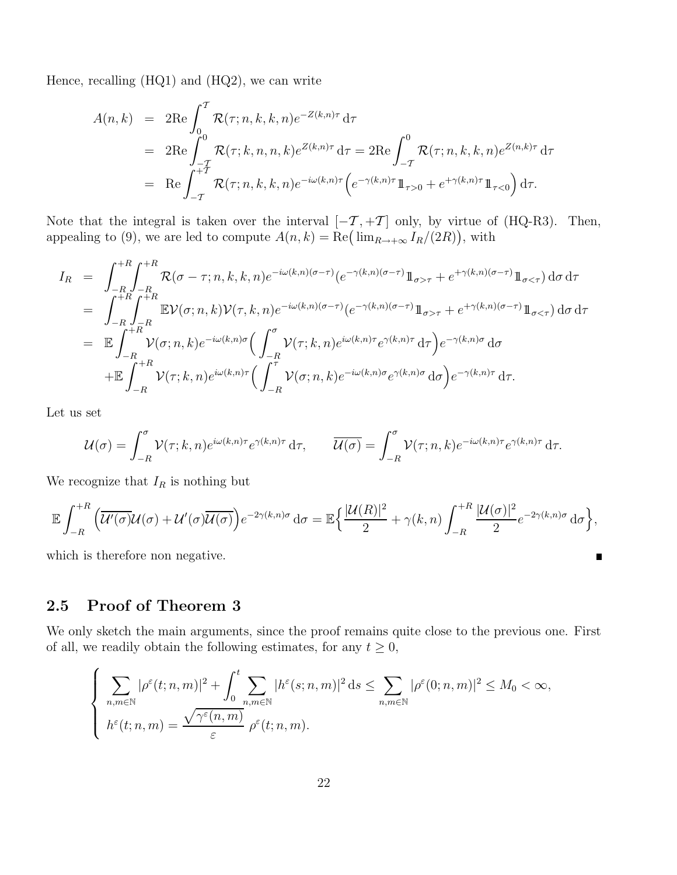Hence, recalling (HQ1) and (HQ2), we can write

$$
A(n,k) = 2\text{Re}\int_{0}^{T} \mathcal{R}(\tau;n,k,k,n)e^{-Z(k,n)\tau} d\tau
$$
  
= 2\text{Re}\int\_{-T}^{0} \mathcal{R}(\tau;k,n,n,k)e^{Z(k,n)\tau} d\tau = 2\text{Re}\int\_{-T}^{0} \mathcal{R}(\tau;n,k,k,n)e^{Z(n,k)\tau} d\tau  
= \text{Re}\int\_{-T}^{+T} \mathcal{R}(\tau;n,k,k,n)e^{-i\omega(k,n)\tau} \Big(e^{-\gamma(k,n)\tau}\mathbb{1}\_{\tau>0} + e^{+\gamma(k,n)\tau}\mathbb{1}\_{\tau<0}\Big) d\tau.

Note that the integral is taken over the interval  $[-T, +T]$  only, by virtue of (HQ-R3). Then, appealing to (9), we are led to compute  $A(n,k) = \text{Re}(\lim_{R\to+\infty} I_R/(2R))$ , with

$$
I_{R} = \int_{-R}^{+R} \int_{-R}^{+R} \mathcal{R}(\sigma - \tau; n, k, k, n) e^{-i\omega(k, n)(\sigma - \tau)} (e^{-\gamma(k, n)(\sigma - \tau)} 1\!\!1_{\sigma > \tau} + e^{+\gamma(k, n)(\sigma - \tau)} 1\!\!1_{\sigma < \tau}) d\sigma d\tau
$$
  
\n
$$
= \int_{-R}^{+R} \int_{-R}^{+R} \mathbb{E} \mathcal{V}(\sigma; n, k) \mathcal{V}(\tau, k, n) e^{-i\omega(k, n)(\sigma - \tau)} (e^{-\gamma(k, n)(\sigma - \tau)} 1\!\!1_{\sigma > \tau} + e^{+\gamma(k, n)(\sigma - \tau)} 1\!\!1_{\sigma < \tau}) d\sigma d\tau
$$
  
\n
$$
= \mathbb{E} \int_{-R}^{+R} \mathcal{V}(\sigma; n, k) e^{-i\omega(k, n)\sigma} \Big( \int_{-R}^{\sigma} \mathcal{V}(\tau; k, n) e^{i\omega(k, n)\tau} e^{\gamma(k, n)\tau} d\tau \Big) e^{-\gamma(k, n)\sigma} d\sigma
$$
  
\n
$$
+ \mathbb{E} \int_{-R}^{+R} \mathcal{V}(\tau; k, n) e^{i\omega(k, n)\tau} \Big( \int_{-R}^{\tau} \mathcal{V}(\sigma; n, k) e^{-i\omega(k, n)\sigma} e^{\gamma(k, n)\sigma} d\sigma \Big) e^{-\gamma(k, n)\tau} d\tau.
$$

Let us set

$$
\mathcal{U}(\sigma) = \int_{-R}^{\sigma} \mathcal{V}(\tau; k, n) e^{i\omega(k, n)\tau} e^{\gamma(k, n)\tau} d\tau, \qquad \overline{\mathcal{U}(\sigma)} = \int_{-R}^{\sigma} \mathcal{V}(\tau; n, k) e^{-i\omega(k, n)\tau} e^{\gamma(k, n)\tau} d\tau.
$$

We recognize that  $I_R$  is nothing but

$$
\mathbb{E}\int_{-R}^{+R}\Big(\overline{\mathcal{U}'(\sigma)}\mathcal{U}(\sigma)+\mathcal{U}'(\sigma)\overline{\mathcal{U}(\sigma)}\Big)e^{-2\gamma(k,n)\sigma} d\sigma = \mathbb{E}\Big\{\frac{|\mathcal{U}(R)|^2}{2}+\gamma(k,n)\int_{-R}^{+R}\frac{|\mathcal{U}(\sigma)|^2}{2}e^{-2\gamma(k,n)\sigma} d\sigma\Big\},\
$$

 $\blacksquare$ 

which is therefore non negative.

## 2.5 Proof of Theorem 3

We only sketch the main arguments, since the proof remains quite close to the previous one. First of all, we readily obtain the following estimates, for any  $t \geq 0$ ,

$$
\left\{\n\sum_{n,m\in\mathbb{N}}|\rho^{\varepsilon}(t;n,m)|^{2}+\int_{0}^{t}\sum_{n,m\in\mathbb{N}}|h^{\varepsilon}(s;n,m)|^{2} ds\leq \sum_{n,m\in\mathbb{N}}|\rho^{\varepsilon}(0;n,m)|^{2}\leq M_{0}<\infty, \right.
$$
  

$$
h^{\varepsilon}(t;n,m)=\frac{\sqrt{\gamma^{\varepsilon}(n,m)}}{\varepsilon}\rho^{\varepsilon}(t;n,m).
$$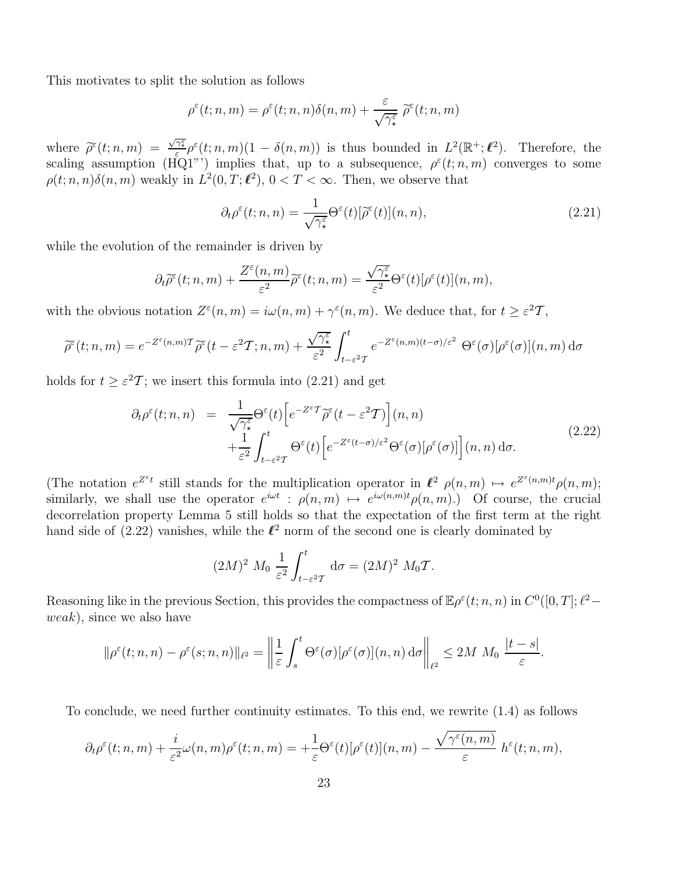This motivates to split the solution as follows

$$
\rho^{\varepsilon}(t;n,m) = \rho^{\varepsilon}(t;n,n)\delta(n,m) + \frac{\varepsilon}{\sqrt{\gamma_{\star}^{\varepsilon}}}\widetilde{\rho}^{\varepsilon}(t;n,m)
$$

where  $\widetilde{\rho}^{\varepsilon}(t;n,m) = \frac{\sqrt{\gamma_{\varepsilon}^{\varepsilon}}}{\varepsilon} \rho^{\varepsilon}(t;n,m) (1 - \delta(n,m))$  is thus bounded in  $L^2(\mathbb{R}^+;\ell^2)$ . Therefore, the scaling assumption (HQ1"') implies that, up to a subsequence,  $\rho^{\varepsilon}(t; n,m)$  converges to some  $\rho(t; n, n)\delta(n, m)$  weakly in  $L^2(0, T; \ell^2)$ ,  $0 < T < \infty$ . Then, we observe that

$$
\partial_t \rho^{\varepsilon}(t; n, n) = \frac{1}{\sqrt{\gamma_{\star}^{\varepsilon}}} \Theta^{\varepsilon}(t) [\widetilde{\rho}^{\varepsilon}(t)](n, n), \tag{2.21}
$$

while the evolution of the remainder is driven by

$$
\partial_t \widetilde{\rho}^{\varepsilon}(t;n,m) + \frac{Z^{\varepsilon}(n,m)}{\varepsilon^2} \widetilde{\rho}^{\varepsilon}(t;n,m) = \frac{\sqrt{\gamma_{\star}^{\varepsilon}}}{\varepsilon^2} \Theta^{\varepsilon}(t) [\rho^{\varepsilon}(t)](n,m),
$$

with the obvious notation  $Z^{\varepsilon}(n,m) = i\omega(n,m) + \gamma^{\varepsilon}(n,m)$ . We deduce that, for  $t \geq \varepsilon^2 T$ ,

$$
\widetilde{\rho}^{\varepsilon}(t;n,m) = e^{-Z^{\varepsilon}(n,m)\mathcal{T}}\widetilde{\rho}^{\varepsilon}(t-\varepsilon^2\mathcal{T};n,m) + \frac{\sqrt{\gamma_{\star}^{\varepsilon}}}{\varepsilon^2} \int_{t-\varepsilon^2\mathcal{T}}^{t} e^{-Z^{\varepsilon}(n,m)(t-\sigma)/\varepsilon^2} \Theta^{\varepsilon}(\sigma)[\rho^{\varepsilon}(\sigma)](n,m) d\sigma
$$

holds for  $t \geq \varepsilon^2 \mathcal{T}$ ; we insert this formula into (2.21) and get

$$
\partial_t \rho^{\varepsilon}(t; n, n) = \frac{1}{\sqrt{\gamma_{\star}^{\varepsilon}}} \Theta^{\varepsilon}(t) \left[ e^{-Z^{\varepsilon} \mathcal{T}} \widetilde{\rho}^{\varepsilon}(t - \varepsilon^2 \mathcal{T}) \right] (n, n) \n+ \frac{1}{\varepsilon^2} \int_{t - \varepsilon^2 \mathcal{T}}^t \Theta^{\varepsilon}(t) \left[ e^{-Z^{\varepsilon}(t - \sigma)/\varepsilon^2} \Theta^{\varepsilon}(\sigma) [\rho^{\varepsilon}(\sigma)] \right] (n, n) d\sigma.
$$
\n(2.22)

(The notation  $e^{Z^{\varepsilon}t}$  still stands for the multiplication operator in  $\ell^2$   $\rho(n,m) \mapsto e^{Z^{\varepsilon}(n,m)t} \rho(n,m);$ similarly, we shall use the operator  $e^{i\omega t}$  :  $\rho(n,m) \mapsto e^{i\omega(n,m)t} \rho(n,m)$ .) Of course, the crucial decorrelation property Lemma 5 still holds so that the expectation of the first term at the right hand side of  $(2.22)$  vanishes, while the  $\ell^2$  norm of the second one is clearly dominated by

$$
(2M)^2 M_0 \frac{1}{\varepsilon^2} \int_{t-\varepsilon^2 T}^t d\sigma = (2M)^2 M_0 T.
$$

Reasoning like in the previous Section, this provides the compactness of  $\mathbb{E}\rho^{\varepsilon}(t;n,n)$  in  $C^{0}([0,T];\ell^{2}$ weak), since we also have

$$
\|\rho^{\varepsilon}(t;n,n)-\rho^{\varepsilon}(s;n,n)\|_{\ell^2}=\left\|\frac{1}{\varepsilon}\int_{s}^{t}\Theta^{\varepsilon}(\sigma)[\rho^{\varepsilon}(\sigma)](n,n)\,d\sigma\right\|_{\ell^2}\leq 2M\,M_0\,\frac{|t-s|}{\varepsilon}.
$$

To conclude, we need further continuity estimates. To this end, we rewrite (1.4) as follows

$$
\partial_t \rho^{\varepsilon}(t;n,m) + \frac{i}{\varepsilon^2} \omega(n,m) \rho^{\varepsilon}(t;n,m) = +\frac{1}{\varepsilon} \Theta^{\varepsilon}(t) [\rho^{\varepsilon}(t)](n,m) - \frac{\sqrt{\gamma^{\varepsilon}(n,m)}}{\varepsilon} h^{\varepsilon}(t;n,m),
$$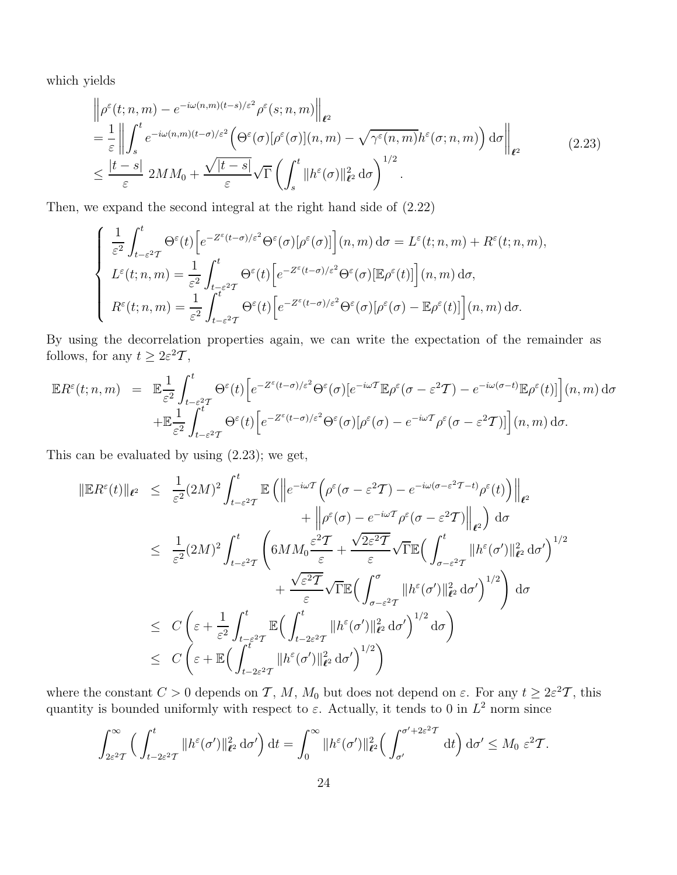which yields

$$
\begin{split}\n&\left\|\rho^{\varepsilon}(t;n,m)-e^{-i\omega(n,m)(t-s)/\varepsilon^{2}}\rho^{\varepsilon}(s;n,m)\right\|_{\ell^{2}} \\
&=\frac{1}{\varepsilon}\left\|\int_{s}^{t}e^{-i\omega(n,m)(t-\sigma)/\varepsilon^{2}}\left(\Theta^{\varepsilon}(\sigma)[\rho^{\varepsilon}(\sigma)](n,m)-\sqrt{\gamma^{\varepsilon}(n,m)}h^{\varepsilon}(\sigma;n,m)\right)\mathrm{d}\sigma\right\|_{\ell^{2}} \\
&\leq\frac{|t-s|}{\varepsilon}2MM_{0}+\frac{\sqrt{|t-s|}}{\varepsilon}\sqrt{\Gamma}\left(\int_{s}^{t}\|h^{\varepsilon}(\sigma)\|_{\ell^{2}}^{2}\mathrm{d}\sigma\right)^{1/2}.\n\end{split} \tag{2.23}
$$

Then, we expand the second integral at the right hand side of (2.22)

$$
\begin{cases} \frac{1}{\varepsilon^{2}} \int_{t-\varepsilon^{2}T}^{t} \Theta^{\varepsilon}(t) \Big[ e^{-Z^{\varepsilon}(t-\sigma)/\varepsilon^{2}} \Theta^{\varepsilon}(\sigma) [\rho^{\varepsilon}(\sigma)] \Big] (n,m) \, d\sigma = L^{\varepsilon}(t;n,m) + R^{\varepsilon}(t;n,m),\\ L^{\varepsilon}(t;n,m) = \frac{1}{\varepsilon^{2}} \int_{t-\varepsilon^{2}T}^{t} \Theta^{\varepsilon}(t) \Big[ e^{-Z^{\varepsilon}(t-\sigma)/\varepsilon^{2}} \Theta^{\varepsilon}(\sigma) [\mathbb{E}\rho^{\varepsilon}(t)] \Big] (n,m) \, d\sigma,\\ R^{\varepsilon}(t;n,m) = \frac{1}{\varepsilon^{2}} \int_{t-\varepsilon^{2}T}^{t} \Theta^{\varepsilon}(t) \Big[ e^{-Z^{\varepsilon}(t-\sigma)/\varepsilon^{2}} \Theta^{\varepsilon}(\sigma) [\rho^{\varepsilon}(\sigma) - \mathbb{E}\rho^{\varepsilon}(t)] \Big] (n,m) \, d\sigma. \end{cases}
$$

By using the decorrelation properties again, we can write the expectation of the remainder as follows, for any  $t \geq 2\varepsilon^2 \mathcal{T}$ ,

$$
\mathbb{E}R^{\varepsilon}(t;n,m) = \mathbb{E}\frac{1}{\varepsilon^{2}}\int_{t-\varepsilon^{2}T}^{t}\Theta^{\varepsilon}(t)\Big[e^{-Z^{\varepsilon}(t-\sigma)/\varepsilon^{2}}\Theta^{\varepsilon}(\sigma)[e^{-i\omega T}\mathbb{E}\rho^{\varepsilon}(\sigma-\varepsilon^{2}T)-e^{-i\omega(\sigma-t)}\mathbb{E}\rho^{\varepsilon}(t)]\Big](n,m)\,d\sigma
$$
  
 
$$
+\mathbb{E}\frac{1}{\varepsilon^{2}}\int_{t-\varepsilon^{2}T}^{t}\Theta^{\varepsilon}(t)\Big[e^{-Z^{\varepsilon}(t-\sigma)/\varepsilon^{2}}\Theta^{\varepsilon}(\sigma)[\rho^{\varepsilon}(\sigma)-e^{-i\omega T}\rho^{\varepsilon}(\sigma-\varepsilon^{2}T)]\Big](n,m)\,d\sigma.
$$

This can be evaluated by using (2.23); we get,

$$
\|\mathbb{E}R^{\varepsilon}(t)\|_{\ell^{2}} \leq \frac{1}{\varepsilon^{2}}(2M)^{2} \int_{t-\varepsilon^{2}T}^{t} \mathbb{E}\left(\left\|e^{-i\omega T}\left(\rho^{\varepsilon}(\sigma-\varepsilon^{2}T)-e^{-i\omega(\sigma-\varepsilon^{2}T-t)}\rho^{\varepsilon}(t)\right)\right\|_{\ell^{2}} + \left\|\rho^{\varepsilon}(\sigma)-e^{-i\omega T}\rho^{\varepsilon}(\sigma-\varepsilon^{2}T)\right\|_{\ell^{2}}\right) d\sigma
$$
  

$$
\leq \frac{1}{\varepsilon^{2}}(2M)^{2} \int_{t-\varepsilon^{2}T}^{t} \left(6MM_{0}\frac{\varepsilon^{2}T}{\varepsilon}+\frac{\sqrt{2\varepsilon^{2}T}}{\varepsilon}\sqrt{\Gamma}\mathbb{E}\left(\int_{\sigma-\varepsilon^{2}T}^{t}||h^{\varepsilon}(\sigma')||_{\ell^{2}}^{2} d\sigma'\right)^{1/2} + \frac{\sqrt{\varepsilon^{2}T}}{\varepsilon}\sqrt{\Gamma}\mathbb{E}\left(\int_{\sigma-\varepsilon^{2}T}^{\sigma}||h^{\varepsilon}(\sigma')||_{\ell^{2}}^{2} d\sigma'\right)^{1/2}\right) d\sigma
$$
  

$$
\leq C\left(\varepsilon+\frac{1}{\varepsilon^{2}}\int_{t-\varepsilon^{2}T}^{t} \mathbb{E}\left(\int_{t-2\varepsilon^{2}T}^{t}||h^{\varepsilon}(\sigma')||_{\ell^{2}}^{2} d\sigma'\right)^{1/2} d\sigma\right)
$$
  

$$
\leq C\left(\varepsilon+\mathbb{E}\left(\int_{t-2\varepsilon^{2}T}^{t}||h^{\varepsilon}(\sigma')||_{\ell^{2}}^{2} d\sigma'\right)^{1/2}\right)
$$

where the constant  $C > 0$  depends on T, M, M<sub>0</sub> but does not depend on  $\varepsilon$ . For any  $t \geq 2\varepsilon^2 T$ , this quantity is bounded uniformly with respect to  $\varepsilon$ . Actually, it tends to 0 in  $L^2$  norm since

$$
\int_{2\varepsilon^2 T}^{\infty} \left( \int_{t-2\varepsilon^2 T}^t \|h^{\varepsilon}(\sigma')\|_{\ell^2}^2 d\sigma' \right) dt = \int_0^{\infty} \|h^{\varepsilon}(\sigma')\|_{\ell^2}^2 \left( \int_{\sigma'}^{\sigma'+2\varepsilon^2 T} dt \right) d\sigma' \leq M_0 \varepsilon^2 T.
$$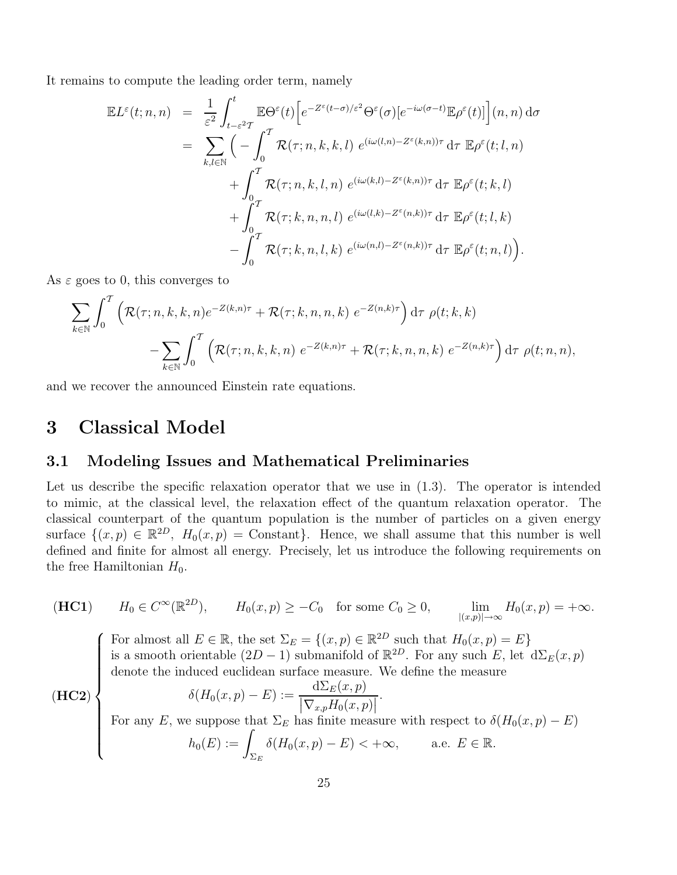It remains to compute the leading order term, namely

$$
\mathbb{E}L^{\varepsilon}(t;n,n) = \frac{1}{\varepsilon^{2}} \int_{t-\varepsilon^{2}T}^{t} \mathbb{E}\Theta^{\varepsilon}(t) \Big[e^{-Z^{\varepsilon}(t-\sigma)/\varepsilon^{2}}\Theta^{\varepsilon}(\sigma)[e^{-i\omega(\sigma-t)}\mathbb{E}\rho^{\varepsilon}(t)]\Big](n,n) d\sigma
$$
  
\n
$$
= \sum_{k,l\in\mathbb{N}} \Big(-\int_{0}^{T} \mathcal{R}(\tau;n,k,k,l) e^{(i\omega(l,n)-Z^{\varepsilon}(k,n))\tau} d\tau \mathbb{E}\rho^{\varepsilon}(t;l,n) + \int_{0}^{T} \mathcal{R}(\tau;n,k,l,n) e^{(i\omega(k,l)-Z^{\varepsilon}(k,n))\tau} d\tau \mathbb{E}\rho^{\varepsilon}(t;k,l) + \int_{0}^{T} \mathcal{R}(\tau;k,n,n,l) e^{(i\omega(l,k)-Z^{\varepsilon}(n,k))\tau} d\tau \mathbb{E}\rho^{\varepsilon}(t;l,k) - \int_{0}^{T} \mathcal{R}(\tau;k,n,l,k) e^{(i\omega(n,l)-Z^{\varepsilon}(n,k))\tau} d\tau \mathbb{E}\rho^{\varepsilon}(t;n,l) \Big).
$$

As  $\varepsilon$  goes to 0, this converges to

$$
\sum_{k \in \mathbb{N}} \int_0^T \left( \mathcal{R}(\tau; n, k, k, n) e^{-Z(k, n)\tau} + \mathcal{R}(\tau; k, n, n, k) e^{-Z(n, k)\tau} \right) d\tau \, \rho(t; k, k) \n- \sum_{k \in \mathbb{N}} \int_0^T \left( \mathcal{R}(\tau; n, k, k, n) e^{-Z(k, n)\tau} + \mathcal{R}(\tau; k, n, n, k) e^{-Z(n, k)\tau} \right) d\tau \, \rho(t; n, n),
$$

and we recover the announced Einstein rate equations.

## 3 Classical Model

 $\sqrt{ }$ 

### 3.1 Modeling Issues and Mathematical Preliminaries

Let us describe the specific relaxation operator that we use in  $(1.3)$ . The operator is intended to mimic, at the classical level, the relaxation effect of the quantum relaxation operator. The classical counterpart of the quantum population is the number of particles on a given energy surface  $\{(x, p) \in \mathbb{R}^{2D}, H_0(x, p) = \text{Constant}\}.$  Hence, we shall assume that this number is well defined and finite for almost all energy. Precisely, let us introduce the following requirements on the free Hamiltonian  $H_0$ .

(HC1) 
$$
H_0 \in C^{\infty}(\mathbb{R}^{2D}),
$$
  $H_0(x,p) \geq -C_0$  for some  $C_0 \geq 0,$   $\lim_{|(x,p)| \to \infty} H_0(x,p) = +\infty.$ 

For almost all  $E \in \mathbb{R}$ , the set  $\Sigma_E = \{(x, p) \in \mathbb{R}^{2D} \text{ such that } H_0(x, p) = E\}$ is a smooth orientable  $(2D-1)$  submanifold of  $\mathbb{R}^{2D}$ . For any such E, let  $d\Sigma_E(x, p)$ denote the induced euclidean surface measure. We define the measure

**(HC2)**  
\nFor almost an 
$$
E \in \mathbb{R}
$$
, the set  $\mathbb{Z}_E$   $\{(x, p) \in \mathbb{R}^2$  for any such  $E$ , let  $d\Sigma_E(x, p)$   
\ndenote the induced euclidean surface measure. We define the measure  
\n
$$
\delta(H_0(x, p) - E) := \frac{d\Sigma_E(x, p)}{|\nabla_{x, p} H_0(x, p)|}.
$$
\nFor any  $E$ , we suppose that  $\Sigma_E$  has finite measure with respect to  $\delta(H_0(x, p) - E)$   
\n
$$
h_0(E) := \int_{\Sigma_E} \delta(H_0(x, p) - E) < +\infty, \qquad \text{a.e. } E \in \mathbb{R}.
$$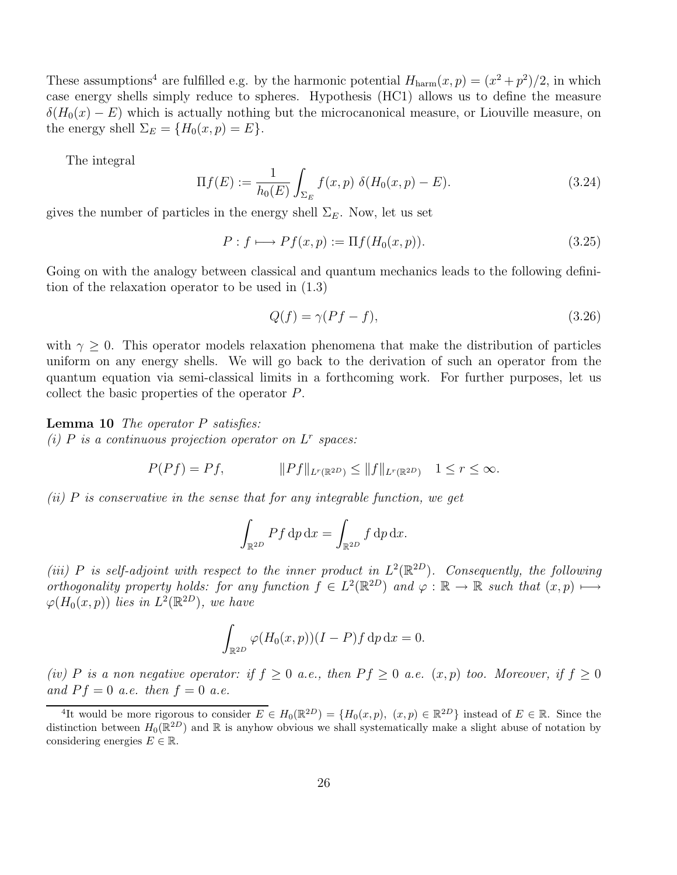These assumptions<sup>4</sup> are fulfilled e.g. by the harmonic potential  $H_{\text{harm}}(x, p) = (x^2 + p^2)/2$ , in which case energy shells simply reduce to spheres. Hypothesis (HC1) allows us to define the measure  $\delta(H_0(x) - E)$  which is actually nothing but the microcanonical measure, or Liouville measure, on the energy shell  $\Sigma_E = \{H_0(x,p) = E\}.$ 

The integral

$$
\Pi f(E) := \frac{1}{h_0(E)} \int_{\Sigma_E} f(x, p) \ \delta(H_0(x, p) - E). \tag{3.24}
$$

gives the number of particles in the energy shell  $\Sigma_E$ . Now, let us set

$$
P: f \longmapsto Pf(x, p) := \Pi f(H_0(x, p)). \tag{3.25}
$$

Going on with the analogy between classical and quantum mechanics leads to the following definition of the relaxation operator to be used in (1.3)

$$
Q(f) = \gamma (Pf - f),\tag{3.26}
$$

with  $\gamma \geq 0$ . This operator models relaxation phenomena that make the distribution of particles uniform on any energy shells. We will go back to the derivation of such an operator from the quantum equation via semi-classical limits in a forthcoming work. For further purposes, let us collect the basic properties of the operator P.

**Lemma 10** The operator  $P$  satisfies: (i)  $P$  is a continuous projection operator on  $L^r$  spaces:

$$
P(Pf) = Pf, \qquad \qquad \|Pf\|_{L^r(\mathbb{R}^{2D})} \le \|f\|_{L^r(\mathbb{R}^{2D})} \quad 1 \le r \le \infty.
$$

 $(ii)$  P is conservative in the sense that for any integrable function, we get

$$
\int_{\mathbb{R}^{2D}} P f \, \mathrm{d}p \, \mathrm{d}x = \int_{\mathbb{R}^{2D}} f \, \mathrm{d}p \, \mathrm{d}x.
$$

(iii) P is self-adjoint with respect to the inner product in  $L^2(\mathbb{R}^{2D})$ . Consequently, the following orthogonality property holds: for any function  $f \in L^2(\mathbb{R}^{2D})$  and  $\varphi : \mathbb{R} \to \mathbb{R}$  such that  $(x, p) \mapsto$  $\varphi(H_0(x,p))$  lies in  $L^2(\mathbb{R}^{2D})$ , we have

$$
\int_{\mathbb{R}^{2D}} \varphi(H_0(x,p))(I-P)f \, \mathrm{d}p \, \mathrm{d}x = 0.
$$

(iv) P is a non negative operator: if  $f \geq 0$  a.e., then  $Pf \geq 0$  a.e.  $(x, p)$  too. Moreover, if  $f \geq 0$ and  $Pf = 0$  a.e. then  $f = 0$  a.e.

<sup>&</sup>lt;sup>4</sup>It would be more rigorous to consider  $E \in H_0(\mathbb{R}^{2D}) = \{H_0(x,p), (x,p) \in \mathbb{R}^{2D}\}\$  instead of  $E \in \mathbb{R}$ . Since the distinction between  $H_0(\mathbb{R}^{2D})$  and  $\mathbb R$  is anyhow obvious we shall systematically make a slight abuse of notation by considering energies  $E \in \mathbb{R}$ .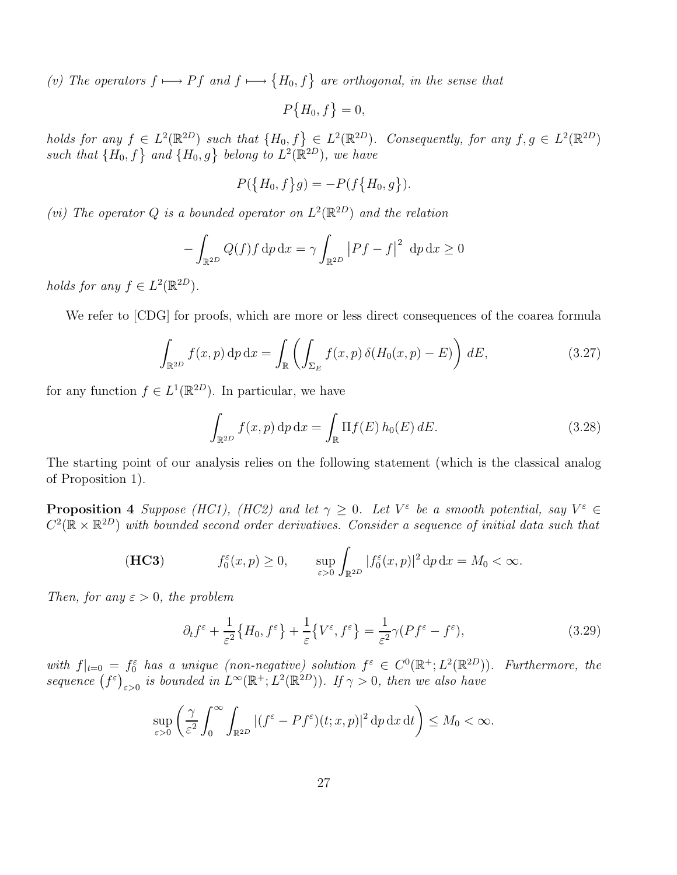(v) The operators  $f \mapsto Pf$  and  $f \mapsto \{H_0, f\}$  are orthogonal, in the sense that

$$
P\big\{H_0, f\big\}=0,
$$

holds for any  $f \in L^2(\mathbb{R}^{2D})$  such that  $\{H_0, f\} \in L^2(\mathbb{R}^{2D})$ . Consequently, for any  $f, g \in L^2(\mathbb{R}^{2D})$ such that  $\{H_0, f\}$  and  $\{H_0, g\}$  belong to  $L^2(\mathbb{R}^{2D})$ , we have

$$
P({H_0, f}g) = -P(f{H_0, g}).
$$

(vi) The operator Q is a bounded operator on  $L^2(\mathbb{R}^{2D})$  and the relation

$$
-\int_{\mathbb{R}^{2D}} Q(f)f \, \mathrm{d}p \, \mathrm{d}x = \gamma \int_{\mathbb{R}^{2D}} |Pf - f|^2 \, \mathrm{d}p \, \mathrm{d}x \ge 0
$$

holds for any  $f \in L^2(\mathbb{R}^{2D})$ .

We refer to [CDG] for proofs, which are more or less direct consequences of the coarea formula

$$
\int_{\mathbb{R}^{2D}} f(x, p) \, \mathrm{d}p \, \mathrm{d}x = \int_{\mathbb{R}} \left( \int_{\Sigma_E} f(x, p) \, \delta(H_0(x, p) - E) \right) \, dE,\tag{3.27}
$$

for any function  $f \in L^1(\mathbb{R}^{2D})$ . In particular, we have

$$
\int_{\mathbb{R}^{2D}} f(x, p) \, \mathrm{d}p \, \mathrm{d}x = \int_{\mathbb{R}} \Pi f(E) \, h_0(E) \, dE. \tag{3.28}
$$

The starting point of our analysis relies on the following statement (which is the classical analog of Proposition 1).

**Proposition 4** Suppose (HC1), (HC2) and let  $\gamma \geq 0$ . Let  $V^{\varepsilon}$  be a smooth potential, say  $V^{\varepsilon} \in \mathbb{R}^{n}$  $C^2(\mathbb{R} \times \mathbb{R}^{2D})$  with bounded second order derivatives. Consider a sequence of initial data such that

(**HC3**) 
$$
f_0^{\varepsilon}(x, p) \geq 0, \qquad \sup_{\varepsilon > 0} \int_{\mathbb{R}^{2D}} |f_0^{\varepsilon}(x, p)|^2 dp dx = M_0 < \infty.
$$

Then, for any  $\varepsilon > 0$ , the problem

$$
\partial_t f^\varepsilon + \frac{1}{\varepsilon^2} \{ H_0, f^\varepsilon \} + \frac{1}{\varepsilon} \{ V^\varepsilon, f^\varepsilon \} = \frac{1}{\varepsilon^2} \gamma (P f^\varepsilon - f^\varepsilon), \tag{3.29}
$$

with  $f|_{t=0} = f_0^{\varepsilon}$  has a unique (non-negative) solution  $f^{\varepsilon} \in C^0(\mathbb{R}^+; L^2(\mathbb{R}^{2D}))$ . Furthermore, the sequence  $(f^{\varepsilon})_{\varepsilon>0}$  is bounded in  $L^{\infty}(\mathbb{R}^+; L^2(\mathbb{R}^{2D}))$ . If  $\gamma > 0$ , then we also have

$$
\sup_{\varepsilon>0}\left(\frac{\gamma}{\varepsilon^2}\int_0^\infty \int_{\mathbb{R}^{2D}}|(f^\varepsilon-Pf^\varepsilon)(t;x,p)|^2\,\mathrm{d} p\,\mathrm{d} x\,\mathrm{d} t\right)\leq M_0<\infty.
$$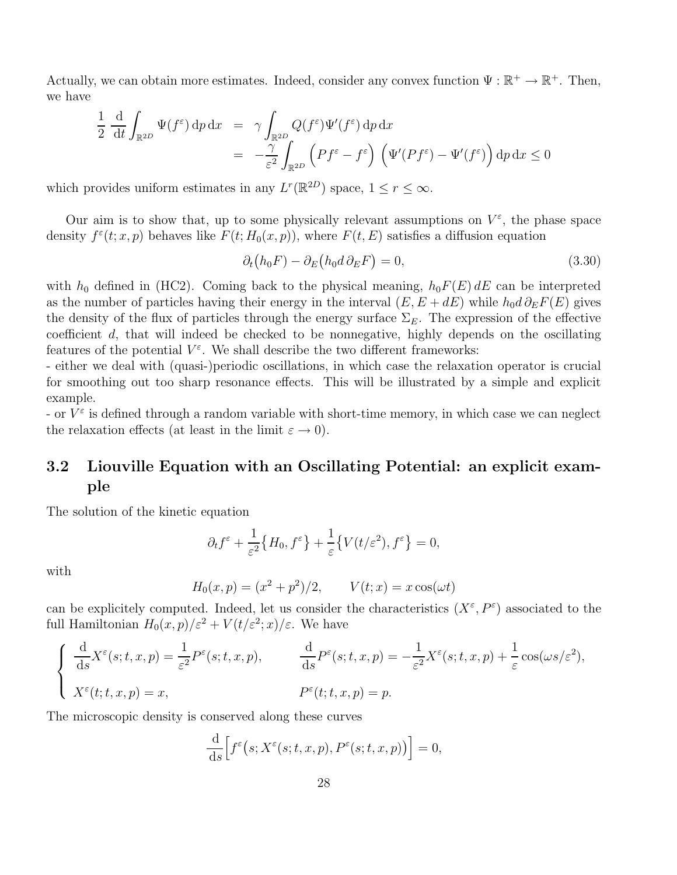Actually, we can obtain more estimates. Indeed, consider any convex function  $\Psi : \mathbb{R}^+ \to \mathbb{R}^+$ . Then, we have

$$
\frac{1}{2} \frac{d}{dt} \int_{\mathbb{R}^{2D}} \Psi(f^{\varepsilon}) \, \mathrm{d}p \, \mathrm{d}x = \gamma \int_{\mathbb{R}^{2D}} Q(f^{\varepsilon}) \Psi'(f^{\varepsilon}) \, \mathrm{d}p \, \mathrm{d}x \n= -\frac{\gamma}{\varepsilon^2} \int_{\mathbb{R}^{2D}} \left( Pf^{\varepsilon} - f^{\varepsilon} \right) \left( \Psi'(Pf^{\varepsilon}) - \Psi'(f^{\varepsilon}) \right) \mathrm{d}p \, \mathrm{d}x \le 0
$$

which provides uniform estimates in any  $L^r(\mathbb{R}^{2D})$  space,  $1 \leq r \leq \infty$ .

Our aim is to show that, up to some physically relevant assumptions on  $V^{\varepsilon}$ , the phase space density  $f^{\varepsilon}(t; x, p)$  behaves like  $F(t; H_0(x, p))$ , where  $F(t, E)$  satisfies a diffusion equation

$$
\partial_t (h_0 F) - \partial_E (h_0 d \partial_E F) = 0,\t\t(3.30)
$$

with  $h_0$  defined in (HC2). Coming back to the physical meaning,  $h_0F(E) dE$  can be interpreted as the number of particles having their energy in the interval  $(E, E + dE)$  while  $h_0 d \partial_E F(E)$  gives the density of the flux of particles through the energy surface  $\Sigma_E$ . The expression of the effective coefficient d, that will indeed be checked to be nonnegative, highly depends on the oscillating features of the potential  $V^{\varepsilon}$ . We shall describe the two different frameworks:

- either we deal with (quasi-)periodic oscillations, in which case the relaxation operator is crucial for smoothing out too sharp resonance effects. This will be illustrated by a simple and explicit example.

- or  $V^{\varepsilon}$  is defined through a random variable with short-time memory, in which case we can neglect the relaxation effects (at least in the limit  $\varepsilon \to 0$ ).

## 3.2 Liouville Equation with an Oscillating Potential: an explicit example

The solution of the kinetic equation

$$
\partial_t f^{\varepsilon} + \frac{1}{\varepsilon^2} \big\{ H_0, f^{\varepsilon} \big\} + \frac{1}{\varepsilon} \big\{ V(t/\varepsilon^2), f^{\varepsilon} \big\} = 0,
$$

with

$$
H_0(x, p) = (x^2 + p^2)/2,
$$
  $V(t; x) = x \cos(\omega t)$ 

can be explicitely computed. Indeed, let us consider the characteristics  $(X^{\varepsilon}, P^{\varepsilon})$  associated to the full Hamiltonian  $H_0(x,p)/\varepsilon^2 + V(t/\varepsilon^2;x)/\varepsilon$ . We have

$$
\begin{cases}\n\frac{\mathrm{d}}{\mathrm{d}s}X^{\varepsilon}(s;t,x,p) = \frac{1}{\varepsilon^{2}}P^{\varepsilon}(s;t,x,p), & \frac{\mathrm{d}}{\mathrm{d}s}P^{\varepsilon}(s;t,x,p) = -\frac{1}{\varepsilon^{2}}X^{\varepsilon}(s;t,x,p) + \frac{1}{\varepsilon}\cos(\omega s/\varepsilon^{2}), \\
X^{\varepsilon}(t;t,x,p) = x, & P^{\varepsilon}(t;t,x,p) = p.\n\end{cases}
$$

The microscopic density is conserved along these curves

$$
\frac{\mathrm{d}}{\mathrm{d}s}\Big[f^{\varepsilon}\big(s;X^{\varepsilon}(s;t,x,p),P^{\varepsilon}(s;t,x,p)\big)\Big]=0,
$$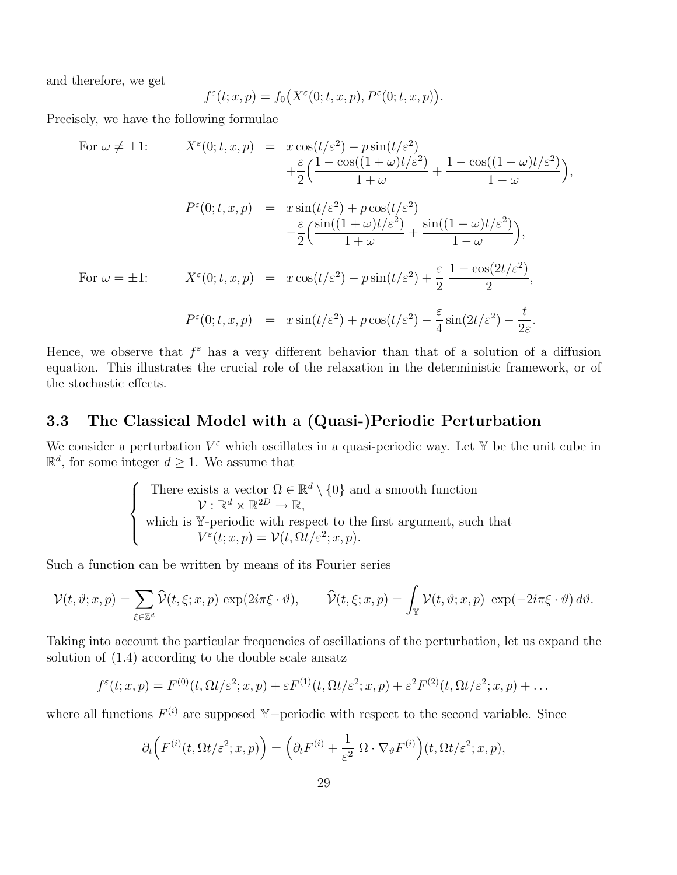and therefore, we get

$$
f^{\varepsilon}(t; x, p) = f_0(X^{\varepsilon}(0; t, x, p), P^{\varepsilon}(0; t, x, p)).
$$

Precisely, we have the following formulae

For 
$$
\omega \neq \pm 1
$$
:  
\n
$$
X^{\varepsilon}(0; t, x, p) = x \cos(t/\varepsilon^{2}) - p \sin(t/\varepsilon^{2}) + \frac{1 - \cos((1 - \omega)t/\varepsilon^{2})}{1 + \omega} + \frac{1 - \cos((1 - \omega)t/\varepsilon^{2})}{1 - \omega}),
$$
\n
$$
P^{\varepsilon}(0; t, x, p) = x \sin(t/\varepsilon^{2}) + p \cos(t/\varepsilon^{2}) + \frac{\sin((1 - \omega)t/\varepsilon^{2})}{1 - \omega}),
$$
\nFor  $\omega = \pm 1$ :  
\n
$$
X^{\varepsilon}(0; t, x, p) = x \cos(t/\varepsilon^{2}) - p \sin(t/\varepsilon^{2}) + \frac{\varepsilon}{2} \frac{1 - \cos(2t/\varepsilon^{2})}{2},
$$
\n
$$
P^{\varepsilon}(0; t, x, p) = x \sin(t/\varepsilon^{2}) + p \cos(t/\varepsilon^{2}) - \frac{\varepsilon}{4} \sin(2t/\varepsilon^{2}) - \frac{t}{2\varepsilon}.
$$

Hence, we observe that  $f^{\varepsilon}$  has a very different behavior than that of a solution of a diffusion equation. This illustrates the crucial role of the relaxation in the deterministic framework, or of the stochastic effects.

### 3.3 The Classical Model with a (Quasi-)Periodic Perturbation

We consider a perturbation  $V^{\varepsilon}$  which oscillates in a quasi-periodic way. Let Y be the unit cube in  $\mathbb{R}^d$ , for some integer  $d \geq 1$ . We assume that

There exists a vector 
$$
\Omega \in \mathbb{R}^d \setminus \{0\}
$$
 and a smooth function  
\n $\mathcal{V}: \mathbb{R}^d \times \mathbb{R}^{2D} \to \mathbb{R}$ ,  
\nwhich is  $\mathbb{Y}$ -periodic with respect to the first argument, such that  
\n $V^{\varepsilon}(t; x, p) = \mathcal{V}(t, \Omega t/\varepsilon^2; x, p)$ .

Such a function can be written by means of its Fourier series

$$
\mathcal{V}(t,\vartheta;x,p)=\sum_{\xi\in\mathbb{Z}^d}\widehat{\mathcal{V}}(t,\xi;x,p)\,\exp(2i\pi\xi\cdot\vartheta),\qquad\widehat{\mathcal{V}}(t,\xi;x,p)=\int_{\mathbb{Y}}\mathcal{V}(t,\vartheta;x,p)\,\exp(-2i\pi\xi\cdot\vartheta)\,d\vartheta.
$$

Taking into account the particular frequencies of oscillations of the perturbation, let us expand the solution of (1.4) according to the double scale ansatz

$$
f^{\varepsilon}(t; x, p) = F^{(0)}(t, \Omega t/\varepsilon^2; x, p) + \varepsilon F^{(1)}(t, \Omega t/\varepsilon^2; x, p) + \varepsilon^2 F^{(2)}(t, \Omega t/\varepsilon^2; x, p) + \dots
$$

where all functions  $F^{(i)}$  are supposed Y-periodic with respect to the second variable. Since

$$
\partial_t \Big( F^{(i)}(t, \Omega t/\varepsilon^2; x, p) \Big) = \Big( \partial_t F^{(i)} + \frac{1}{\varepsilon^2} \ \Omega \cdot \nabla_{\vartheta} F^{(i)} \Big) (t, \Omega t/\varepsilon^2; x, p),
$$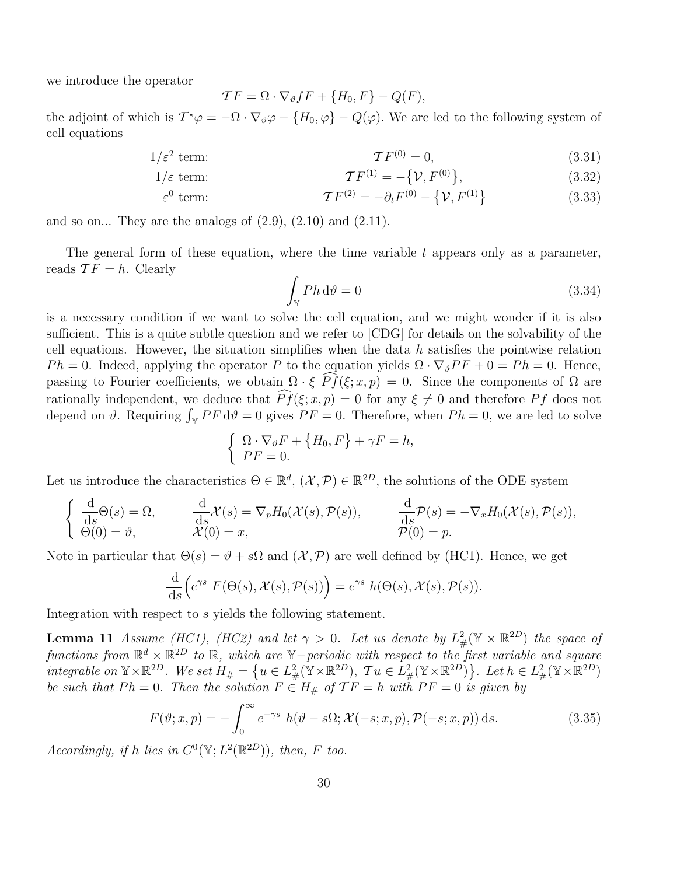we introduce the operator

$$
\mathcal{T}F = \Omega \cdot \nabla_{\vartheta} fF + \{H_0, F\} - Q(F),
$$

the adjoint of which is  $T^*\varphi = -\Omega \cdot \nabla_{\vartheta} \varphi - \{H_0, \varphi\} - Q(\varphi)$ . We are led to the following system of cell equations

$$
\mathcal{T}F^{(0)} = 0,\tag{3.31}
$$

$$
\mathcal{T}F^{(1)} = -\{\mathcal{V}, F^{(0)}\},\tag{3.32}
$$

$$
\varepsilon^{0} \text{ term:} \qquad \qquad \mathcal{T}F^{(2)} = -\partial_{t}F^{(0)} - \{ \mathcal{V}, F^{(1)} \} \qquad (3.33)
$$

and so on... They are the analogs of  $(2.9)$ ,  $(2.10)$  and  $(2.11)$ .

The general form of these equation, where the time variable  $t$  appears only as a parameter, reads  $TF = h$ . Clearly

$$
\int_{\mathbb{Y}} P h \, \mathrm{d}\vartheta = 0 \tag{3.34}
$$

is a necessary condition if we want to solve the cell equation, and we might wonder if it is also sufficient. This is a quite subtle question and we refer to [CDG] for details on the solvability of the cell equations. However, the situation simplifies when the data  $h$  satisfies the pointwise relation  $Ph = 0$ . Indeed, applying the operator P to the equation yields  $\Omega \cdot \nabla_{\vartheta} PF + 0 = Ph = 0$ . Hence, passing to Fourier coefficients, we obtain  $\Omega \cdot \xi \widehat{Pf}(\xi; x, p) = 0$ . Since the components of  $\Omega$  are rationally independent, we deduce that  $\widehat{Pf}(\xi; x, p) = 0$  for any  $\xi \neq 0$  and therefore Pf does not depend on  $\vartheta$ . Requiring  $\int_{\mathbb{Y}} PF d\vartheta = 0$  gives  $PF = 0$ . Therefore, when  $Ph = 0$ , we are led to solve

$$
\begin{cases} \Omega \cdot \nabla_{\vartheta} F + \{H_0, F\} + \gamma F = h, \\ PF = 0. \end{cases}
$$

Let us introduce the characteristics  $\Theta \in \mathbb{R}^d$ ,  $(\mathcal{X}, \mathcal{P}) \in \mathbb{R}^{2D}$ , the solutions of the ODE system

$$
\begin{cases}\n\frac{\mathrm{d}}{\mathrm{d}s}\Theta(s) = \Omega, & \frac{\mathrm{d}}{\mathrm{d}s}\mathcal{X}(s) = \nabla_p H_0(\mathcal{X}(s), \mathcal{P}(s)), & \frac{\mathrm{d}}{\mathrm{d}s}\mathcal{P}(s) = -\nabla_x H_0(\mathcal{X}(s), \mathcal{P}(s)), \\
\Theta(0) = \vartheta, & \mathcal{X}(0) = x,\n\end{cases}
$$

Note in particular that  $\Theta(s) = \vartheta + s\Omega$  and  $(\mathcal{X}, \mathcal{P})$  are well defined by (HC1). Hence, we get

$$
\frac{\mathrm{d}}{\mathrm{d}s}\Big(e^{\gamma s}\ F(\Theta(s), \mathcal{X}(s), \mathcal{P}(s))\Big) = e^{\gamma s}\ h(\Theta(s), \mathcal{X}(s), \mathcal{P}(s)).
$$

Integration with respect to s yields the following statement.

**Lemma 11** Assume (HC1), (HC2) and let  $\gamma > 0$ . Let us denote by  $L^2_{\#}(\mathbb{Y} \times \mathbb{R}^{2D})$  the space of functions from  $\mathbb{R}^d \times \mathbb{R}^{2D}$  to  $\mathbb{R}$ , which are  $\mathbb{Y}-$  periodic with respect to the first variable and square integrable on  $\mathbb{Y} \times \mathbb{R}^{2D}$ . We set  $H_{\#} = \left\{ u \in L^2_{\#}(\mathbb{Y} \times \mathbb{R}^{2D}), \ T u \in L^2_{\#}(\mathbb{Y} \times \mathbb{R}^{2D}) \right\}$ . Let  $h \in L^2_{\#}(\mathbb{Y} \times \mathbb{R}^{2D})$ be such that  $Ph = 0$ . Then the solution  $F \in H_{\#}$  of  $TF = h$  with  $PF = 0$  is given by

$$
F(\vartheta; x, p) = -\int_0^\infty e^{-\gamma s} h(\vartheta - s\Omega; \mathcal{X}(-s; x, p), \mathcal{P}(-s; x, p)) ds.
$$
 (3.35)

Accordingly, if h lies in  $C^0(\mathbb{Y}; L^2(\mathbb{R}^{2D}))$ , then, F too.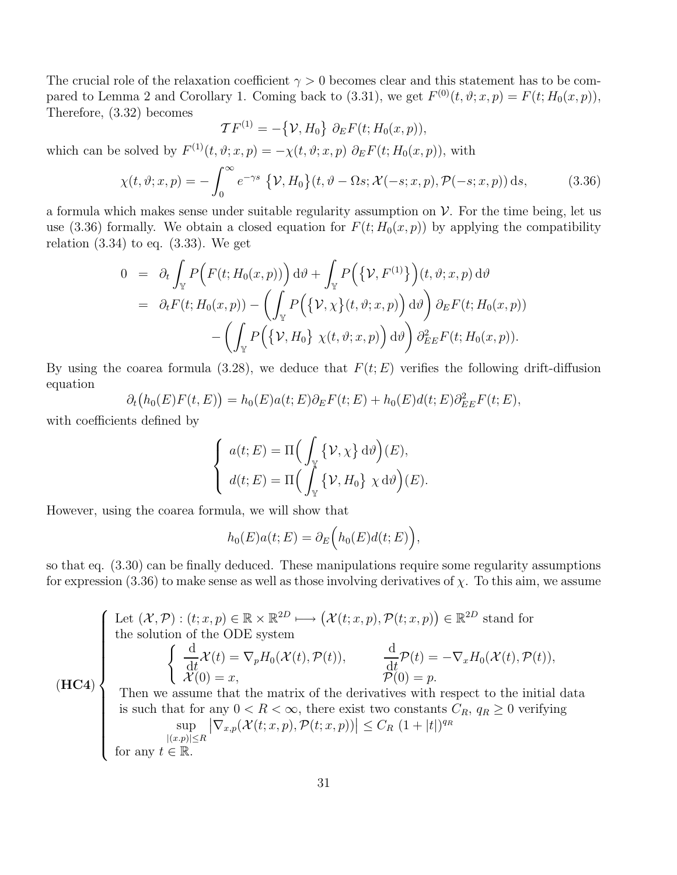The crucial role of the relaxation coefficient  $\gamma > 0$  becomes clear and this statement has to be compared to Lemma 2 and Corollary 1. Coming back to (3.31), we get  $F^{(0)}(t, \vartheta; x, p) = F(t; H_0(x, p)),$ Therefore, (3.32) becomes

$$
\mathcal{T}F^{(1)} = -\big\{\mathcal{V}, H_0\big\} \partial_E F(t; H_0(x, p)),
$$

which can be solved by  $F^{(1)}(t, \vartheta; x, p) = -\chi(t, \vartheta; x, p) \partial_E F(t; H_0(x, p)),$  with

$$
\chi(t,\vartheta;x,p) = -\int_0^\infty e^{-\gamma s} \left\{ \mathcal{V}, H_0 \right\} (t, \vartheta - \Omega s; \mathcal{X}(-s;x,p), \mathcal{P}(-s;x,p)) \, \mathrm{d}s,\tag{3.36}
$$

a formula which makes sense under suitable regularity assumption on  $\mathcal V$ . For the time being, let us use (3.36) formally. We obtain a closed equation for  $F(t; H_0(x, p))$  by applying the compatibility relation  $(3.34)$  to eq.  $(3.33)$ . We get

$$
0 = \partial_t \int_{\mathbb{Y}} P\Big(F(t; H_0(x, p))\Big) d\theta + \int_{\mathbb{Y}} P\Big(\{\mathcal{V}, F^{(1)}\}\Big)(t, \vartheta; x, p) d\vartheta
$$
  
\n
$$
= \partial_t F(t; H_0(x, p)) - \left(\int_{\mathbb{Y}} P\Big(\{\mathcal{V}, \chi\}(t, \vartheta; x, p)\Big) d\vartheta\right) \partial_E F(t; H_0(x, p))
$$
  
\n
$$
- \left(\int_{\mathbb{Y}} P\Big(\{\mathcal{V}, H_0\} \chi(t, \vartheta; x, p)\Big) d\vartheta\right) \partial_{EE}^2 F(t; H_0(x, p)).
$$

By using the coarea formula (3.28), we deduce that  $F(t; E)$  verifies the following drift-diffusion equation

$$
\partial_t (h_0(E)F(t,E)) = h_0(E)a(t;E)\partial_E F(t;E) + h_0(E)d(t;E)\partial_{EE}^2 F(t;E),
$$

with coefficients defined by

$$
\begin{cases}\na(t;E) = \Pi \Big(\int_{\mathbb{Y}} {\{\mathcal{V}, \chi\} \, \mathrm{d}\vartheta}\Big)(E), \\
d(t;E) = \Pi \Big(\int_{\mathbb{Y}} {\{\mathcal{V}, H_0\} \, \chi \, \mathrm{d}\vartheta}\Big)(E). \n\end{cases}
$$

However, using the coarea formula, we will show that

$$
h_0(E)a(t;E) = \partial_E\Big(h_0(E)d(t;E)\Big),\,
$$

so that eq. (3.30) can be finally deduced. These manipulations require some regularity assumptions for expression (3.36) to make sense as well as those involving derivatives of  $\chi$ . To this aim, we assume

 $(HC4)$ Let  $(\mathcal{X}, \mathcal{P}) : (t; x, p) \in \mathbb{R} \times \mathbb{R}^{2D} \longmapsto (\mathcal{X}(t; x, p), \mathcal{P}(t; x, p)) \in \mathbb{R}^{2D}$  stand for  $\overline{\phantom{a}}$  $\begin{array}{c} \hline \end{array}$ the solution of the ODE system  $\int d$  $\frac{d\mathbf{x}}{dt}\mathcal{X}(t) = \nabla_p H_0(\mathcal{X}(t), \mathcal{P}(t)),$ d  $\frac{d\mathbf{x}}{dt}\mathcal{P}(t) = -\nabla_x H_0(\mathcal{X}(t), \mathcal{P}(t)),$  $\mathcal{X}(0) = x,$   $\mathcal{P}(0) = p.$ Then we assume that the matrix of the derivatives with respect to the initial data is such that for any  $0 < R < \infty$ , there exist two constants  $C_R$ ,  $q_R \ge 0$  verifying sup  $|(x.p)| \leq R$  $\left|\nabla_{x,p}(\mathcal{X}(t;x,p),\mathcal{P}(t;x,p))\right| \leq C_R (1+|t|)^{qn}$ for any  $t \in \mathbb{R}$ .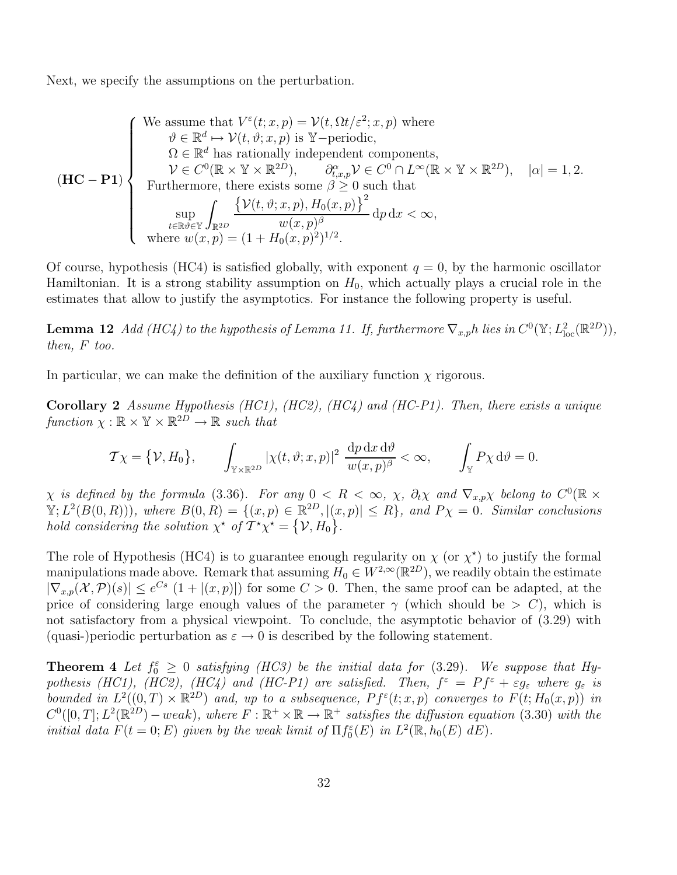Next, we specify the assumptions on the perturbation.

We assume that 
$$
V^{\varepsilon}(t; x, p) = \mathcal{V}(t, \Omega t/\varepsilon^2; x, p)
$$
 where  
\n $\vartheta \in \mathbb{R}^d \mapsto \mathcal{V}(t, \vartheta; x, p)$  is  $\mathbb{Y}$ -periodic,  
\n $\Omega \in \mathbb{R}^d$  has rationally independent components,  
\n $\mathcal{V} \in C^0(\mathbb{R} \times \mathbb{Y} \times \mathbb{R}^{2D}), \qquad \partial_{t, x, p}^{\alpha} \mathcal{V} \in C^0 \cap L^{\infty}(\mathbb{R} \times \mathbb{Y} \times \mathbb{R}^{2D}), |\alpha| = 1, 2.$   
\nFurthermore, there exists some  $\beta \ge 0$  such that  
\n
$$
\sup_{t \in \mathbb{R} \vartheta \in \mathbb{Y}} \int_{\mathbb{R}^{2D}} \frac{\{\mathcal{V}(t, \vartheta; x, p), H_0(x, p)\}^2}{w(x, p)^{\beta}} dp dx < \infty,
$$
\nwhere  $w(x, p) = (1 + H_0(x, p)^2)^{1/2}.$ 

Of course, hypothesis (HC4) is satisfied globally, with exponent  $q = 0$ , by the harmonic oscillator Hamiltonian. It is a strong stability assumption on  $H_0$ , which actually plays a crucial role in the estimates that allow to justify the asymptotics. For instance the following property is useful.

**Lemma 12** Add (HC4) to the hypothesis of Lemma 11. If, furthermore  $\nabla_{x,p}h$  lies in  $C^0(\mathbb{Y}; L^2_{loc}(\mathbb{R}^{2D}))$ , then, F too.

In particular, we can make the definition of the auxiliary function  $\chi$  rigorous.

Corollary 2 Assume Hypothesis (HC1), (HC2), (HC4) and (HC-P1). Then, there exists a unique function  $\chi : \mathbb{R} \times \mathbb{Y} \times \mathbb{R}^{2D} \to \mathbb{R}$  such that

$$
\mathcal{T}\chi = \{\mathcal{V}, H_0\}, \qquad \int_{\mathbb{Y}\times\mathbb{R}^{2D}} |\chi(t, \vartheta; x, p)|^2 \frac{\mathrm{d}p \, \mathrm{d}x \, \mathrm{d}\vartheta}{w(x, p)^\beta} < \infty, \qquad \int_{\mathbb{Y}} P\chi \, \mathrm{d}\vartheta = 0.
$$

 $\chi$  is defined by the formula (3.36). For any  $0 < R < \infty$ ,  $\chi$ ,  $\partial_t \chi$  and  $\nabla_{x,p}\chi$  belong to  $C^0(\mathbb{R} \times$  $\mathbb{Y}; L^2(B(0,R)))$ , where  $B(0,R) = \{(x,p) \in \mathbb{R}^{2D}, |(x,p)| \leq R\}$ , and  $P\chi = 0$ . Similar conclusions hold considering the solution  $\chi^*$  of  $\overline{T}^* \chi^* = {\mathcal{V}, H_0}$ .

The role of Hypothesis (HC4) is to guarantee enough regularity on  $\chi$  (or  $\chi^*$ ) to justify the formal manipulations made above. Remark that assuming  $H_0 \in W^{2,\infty}(\mathbb{R}^{2D})$ , we readily obtain the estimate  $|\nabla_{x,p}(\mathcal{X}, \mathcal{P})(s)| \leq e^{Cs} (1+|(x, p)|)$  for some  $C > 0$ . Then, the same proof can be adapted, at the price of considering large enough values of the parameter  $\gamma$  (which should be  $> C$ ), which is not satisfactory from a physical viewpoint. To conclude, the asymptotic behavior of (3.29) with (quasi-)periodic perturbation as  $\varepsilon \to 0$  is described by the following statement.

**Theorem 4** Let  $f_0^{\varepsilon} \geq 0$  satisfying (HC3) be the initial data for (3.29). We suppose that Hypothesis (HC1), (HC2), (HC4) and (HC-P1) are satisfied. Then,  $f^{\varepsilon} = Pf^{\varepsilon} + \varepsilon g_{\varepsilon}$  where  $g_{\varepsilon}$  is bounded in  $L^2((0,T)\times \mathbb{R}^{2D})$  and, up to a subsequence,  $Pf^{\varepsilon}(t;x,p)$  converges to  $F(t;H_0(x,p))$  in  $C^0([0,T]; L^2(\mathbb{R}^{2D})-weak)$ , where  $F : \mathbb{R}^+ \times \mathbb{R} \to \mathbb{R}^+$  satisfies the diffusion equation (3.30) with the initial data  $F(t = 0; E)$  given by the weak limit of  $\Pi f_0^{\varepsilon}(E)$  in  $L^2(\mathbb{R}, h_0(E) dE)$ .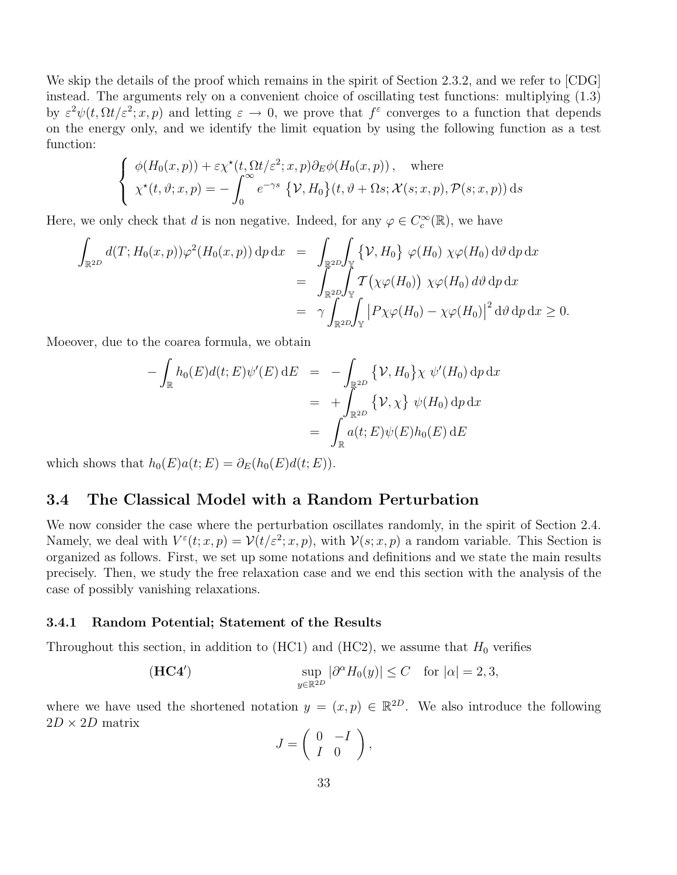We skip the details of the proof which remains in the spirit of Section 2.3.2, and we refer to [CDG] instead. The arguments rely on a convenient choice of oscillating test functions: multiplying (1.3) by  $\varepsilon^2 \psi(t, \Omega t/\varepsilon^2; x, p)$  and letting  $\varepsilon \to 0$ , we prove that  $f^{\varepsilon}$  converges to a function that depends on the energy only, and we identify the limit equation by using the following function as a test function:

$$
\begin{cases}\n\phi(H_0(x,p)) + \varepsilon \chi^*(t, \Omega t/\varepsilon^2; x, p) \partial_E \phi(H_0(x,p)), \quad \text{where} \\
\chi^*(t, \vartheta; x, p) = -\int_0^\infty e^{-\gamma s} \{ \mathcal{V}, H_0 \}(t, \vartheta + \Omega s; \mathcal{X}(s; x, p), \mathcal{P}(s; x, p)) \,ds\n\end{cases}
$$

Here, we only check that d is non negative. Indeed, for any  $\varphi \in C_c^{\infty}(\mathbb{R})$ , we have

$$
\int_{\mathbb{R}^{2D}} d(T; H_0(x, p)) \varphi^2(H_0(x, p)) \, dp \, dx = \int_{\mathbb{R}^{2D}} \int_{\mathbb{Y}} \{ \mathcal{V}, H_0 \} \varphi(H_0) \, \chi \varphi(H_0) \, d\vartheta \, dp \, dx
$$
\n
$$
= \int_{\mathbb{R}^{2D}} \int_{\mathbb{Y}} T(\chi \varphi(H_0)) \, \chi \varphi(H_0) \, d\vartheta \, dp \, dx
$$
\n
$$
= \gamma \int_{\mathbb{R}^{2D}} \int_{\mathbb{Y}} |P \chi \varphi(H_0) - \chi \varphi(H_0)|^2 \, d\vartheta \, dp \, dx \ge 0.
$$

Moeover, due to the coarea formula, we obtain

$$
-\int_{\mathbb{R}} h_0(E)d(t;E)\psi'(E) dE = -\int_{\mathbb{R}^{2D}} \{V, H_0\}\chi \psi'(H_0) dp dx
$$
  

$$
= +\int_{\mathbb{R}^{2D}} \{V, \chi\} \psi(H_0) dp dx
$$
  

$$
= \int_{\mathbb{R}} a(t;E)\psi(E)h_0(E) dE
$$

which shows that  $h_0(E)a(t; E) = \partial_E(h_0(E)d(t; E)).$ 

### 3.4 The Classical Model with a Random Perturbation

We now consider the case where the perturbation oscillates randomly, in the spirit of Section 2.4. Namely, we deal with  $V^{\varepsilon}(t; x, p) = \mathcal{V}(t/\varepsilon^2; x, p)$ , with  $\mathcal{V}(s; x, p)$  a random variable. This Section is organized as follows. First, we set up some notations and definitions and we state the main results precisely. Then, we study the free relaxation case and we end this section with the analysis of the case of possibly vanishing relaxations.

#### 3.4.1 Random Potential; Statement of the Results

Throughout this section, in addition to (HC1) and (HC2), we assume that  $H_0$  verifies

(HC4') 
$$
\sup_{y \in \mathbb{R}^{2D}} |\partial^{\alpha} H_0(y)| \leq C \quad \text{for } |\alpha| = 2, 3,
$$

where we have used the shortened notation  $y = (x, p) \in \mathbb{R}^{2D}$ . We also introduce the following  $2D \times 2D$  matrix

$$
J=\left(\begin{array}{cc} 0 & -I \\ I & 0 \end{array}\right),\,
$$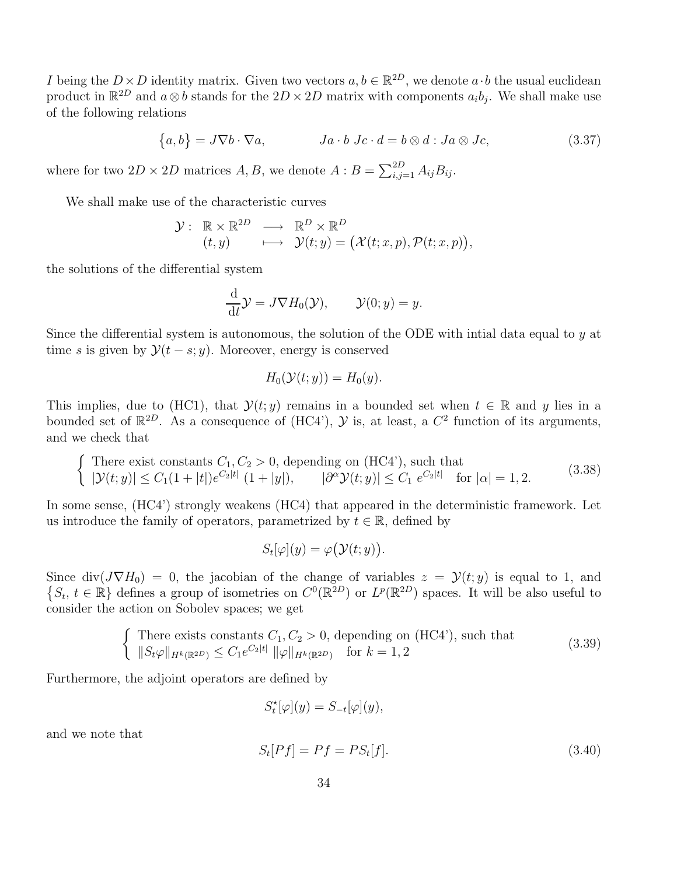I being the  $D \times D$  identity matrix. Given two vectors  $a, b \in \mathbb{R}^{2D}$ , we denote  $a \cdot b$  the usual euclidean product in  $\mathbb{R}^{2D}$  and  $a \otimes b$  stands for the  $2D \times 2D$  matrix with components  $a_i b_j$ . We shall make use of the following relations

$$
\{a, b\} = J \nabla b \cdot \nabla a, \qquad \qquad Ja \cdot b \; Jc \cdot d = b \otimes d : Ja \otimes Jc,
$$
\n
$$
(3.37)
$$

where for two  $2D \times 2D$  matrices  $A, B$ , we denote  $A : B = \sum_{i,j=1}^{2D} A_{ij} B_{ij}$ .

We shall make use of the characteristic curves

$$
\mathcal{Y}:\begin{array}{ccc}\mathbb{R}\times\mathbb{R}^{2D}&\longrightarrow &\mathbb{R}^D\times\mathbb{R}^D\\(t,y)&\longmapsto&\mathcal{Y}(t;y)=\big(\mathcal{X}(t;x,p),\mathcal{P}(t;x,p)\big),\end{array}
$$

the solutions of the differential system

$$
\frac{\mathrm{d}}{\mathrm{d}t}\mathcal{Y}=J\nabla H_0(\mathcal{Y}), \qquad \mathcal{Y}(0;y)=y.
$$

Since the differential system is autonomous, the solution of the ODE with intial data equal to  $y$  at time s is given by  $\mathcal{Y}(t-s; y)$ . Moreover, energy is conserved

$$
H_0(\mathcal{Y}(t;y)) = H_0(y).
$$

This implies, due to (HC1), that  $\mathcal{Y}(t; y)$  remains in a bounded set when  $t \in \mathbb{R}$  and y lies in a bounded set of  $\mathbb{R}^{2D}$ . As a consequence of (HC4'),  $\mathcal{Y}$  is, at least, a  $C^2$  function of its arguments, and we check that

$$
\begin{cases}\n\text{There exist constants } C_1, C_2 > 0, \text{ depending on (HC4'), such that} \\
|\mathcal{Y}(t;y)| \le C_1(1+|t|)e^{C_2|t|} (1+|y|), \qquad |\partial^{\alpha}\mathcal{Y}(t;y)| \le C_1 e^{C_2|t|} \quad \text{for } |\alpha| = 1, 2.\n\end{cases} (3.38)
$$

In some sense, (HC4') strongly weakens (HC4) that appeared in the deterministic framework. Let us introduce the family of operators, parametrized by  $t \in \mathbb{R}$ , defined by

$$
S_t[\varphi](y) = \varphi(\mathcal{Y}(t;y)).
$$

Since div( $J\nabla H_0$ ) = 0, the jacobian of the change of variables  $z = \mathcal{Y}(t; y)$  is equal to 1, and  $\{S_t, t \in \mathbb{R}\}\$  defines a group of isometries on  $C^0(\mathbb{R}^2)$  or  $L^p(\mathbb{R}^2)$  spaces. It will be also useful to consider the action on Sobolev spaces; we get

$$
\begin{cases}\n\text{There exists constants } C_1, C_2 > 0, \text{ depending on (HC4'), such that} \\
\|S_t \varphi\|_{H^k(\mathbb{R}^{2D})} \le C_1 e^{C_2|t|} \|\varphi\|_{H^k(\mathbb{R}^{2D})} \quad \text{for } k = 1, 2\n\end{cases} \tag{3.39}
$$

Furthermore, the adjoint operators are defined by

$$
S_t^{\star}[\varphi](y) = S_{-t}[\varphi](y),
$$

and we note that

$$
S_t[Pf] = Pf = PS_t[f].\tag{3.40}
$$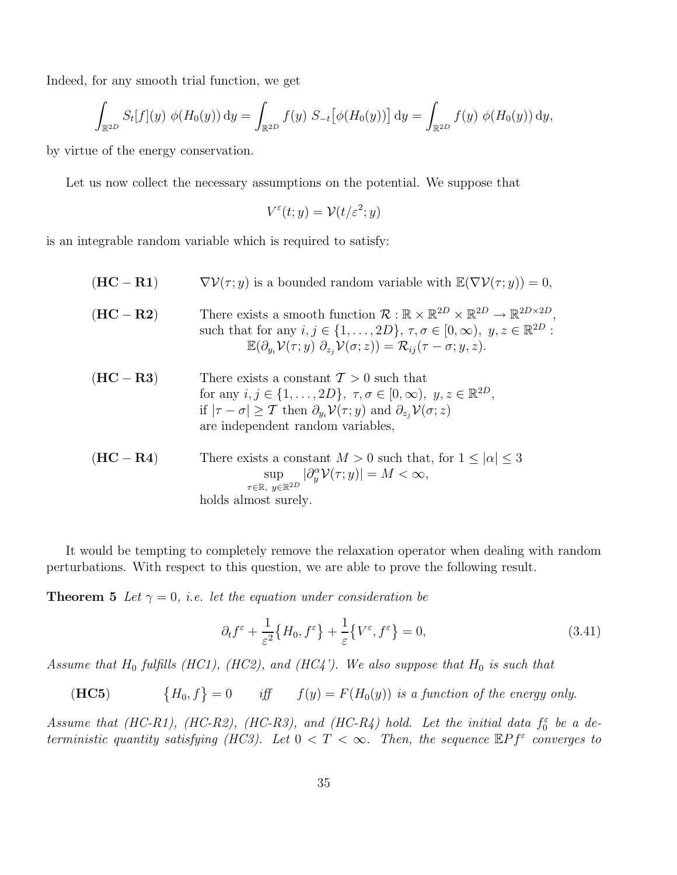Indeed, for any smooth trial function, we get

$$
\int_{\mathbb{R}^{2D}} S_t[f](y) \phi(H_0(y)) dy = \int_{\mathbb{R}^{2D}} f(y) S_{-t} [\phi(H_0(y))] dy = \int_{\mathbb{R}^{2D}} f(y) \phi(H_0(y)) dy,
$$

by virtue of the energy conservation.

Let us now collect the necessary assumptions on the potential. We suppose that

$$
V^{\varepsilon}(t; y) = \mathcal{V}(t/\varepsilon^2; y)
$$

is an integrable random variable which is required to satisfy:

| $(HC - R1)$ | $\nabla \mathcal{V}(\tau; y)$ is a bounded random variable with $\mathbb{E}(\nabla \mathcal{V}(\tau; y)) = 0$ ,                                                                                                                                                                                                                                                         |
|-------------|-------------------------------------------------------------------------------------------------------------------------------------------------------------------------------------------------------------------------------------------------------------------------------------------------------------------------------------------------------------------------|
| $(HC - R2)$ | There exists a smooth function $\mathcal{R}: \mathbb{R} \times \mathbb{R}^{2D} \times \mathbb{R}^{2D} \to \mathbb{R}^{2D \times 2D}$ .<br>such that for any $i, j \in \{1, , 2D\}, \tau, \sigma \in [0, \infty), y, z \in \mathbb{R}^{2D}$ :<br>$\mathbb{E}(\partial_{u_i}\mathcal{V}(\tau;y)\,\partial_{z_i}\mathcal{V}(\sigma;z))=\mathcal{R}_{ij}(\tau-\sigma;y,z).$ |
| $(HC - R3)$ | There exists a constant $\mathcal{T} > 0$ such that<br>for any $i, j \in \{1, , 2D\}, \tau, \sigma \in [0, \infty), y, z \in \mathbb{R}^{2D},$<br>if $ \tau - \sigma  \geq \mathcal{T}$ then $\partial_{y_i} \mathcal{V}(\tau; y)$ and $\partial_{z_i} \mathcal{V}(\sigma; z)$<br>are independent random variables,                                                     |
| $(HC - R4)$ | There exists a constant $M > 0$ such that, for $1 \leq  \alpha  \leq 3$<br>$\sup_{\tau \in \mathbb{R}, \ y \in \mathbb{R}^{2D}} \left  \partial_y^\alpha \mathcal{V}(\tau; y) \right  = M < \infty,$<br>holds almost surely.                                                                                                                                            |

It would be tempting to completely remove the relaxation operator when dealing with random perturbations. With respect to this question, we are able to prove the following result.

**Theorem 5** Let  $\gamma = 0$ , *i.e.* let the equation under consideration be

$$
\partial_t f^\varepsilon + \frac{1}{\varepsilon^2} \{ H_0, f^\varepsilon \} + \frac{1}{\varepsilon} \{ V^\varepsilon, f^\varepsilon \} = 0, \tag{3.41}
$$

Assume that  $H_0$  fulfills (HC1), (HC2), and (HC4'). We also suppose that  $H_0$  is such that

 $(HC5)$  ${H_0, f}=0$  iff  $f(y) = F(H_0(y))$  is a function of the energy only.

Assume that (HC-R1), (HC-R2), (HC-R3), and (HC-R4) hold. Let the initial data  $f_0^{\varepsilon}$  be a deterministic quantity satisfying (HC3). Let  $0 < T < \infty$ . Then, the sequence  $\mathbb{E} P f^{\varepsilon}$  converges to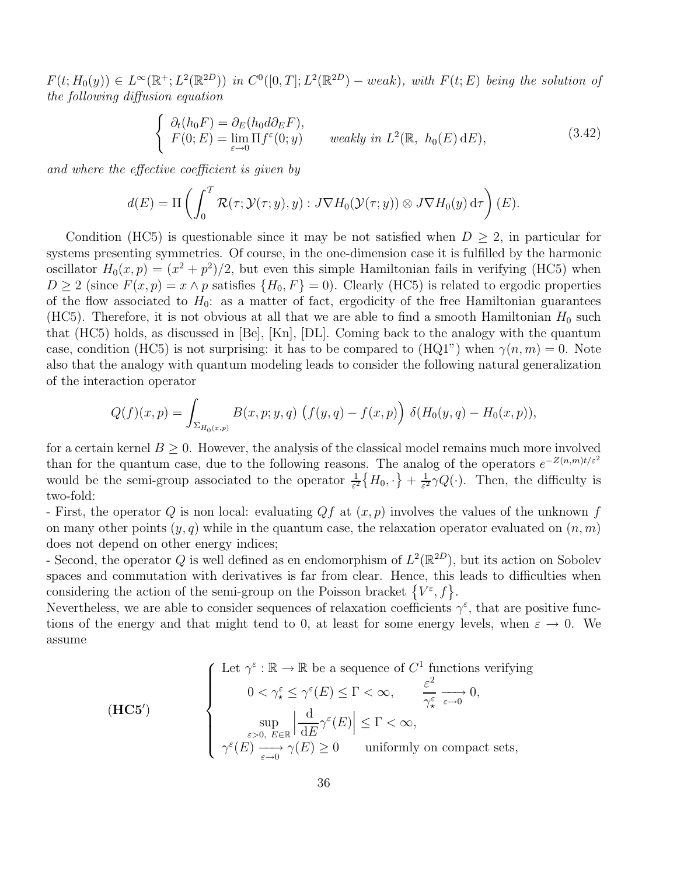$F(t; H_0(y)) \in L^{\infty}(\mathbb{R}^+; L^2(\mathbb{R}^{2D}))$  in  $C^0([0,T]; L^2(\mathbb{R}^{2D}) - weak)$ , with  $F(t; E)$  being the solution of the following diffusion equation

$$
\begin{cases}\n\partial_t (h_0 F) = \partial_E (h_0 d \partial_E F), \\
F(0; E) = \lim_{\varepsilon \to 0} \Pi f^{\varepsilon}(0; y) \quad \text{weakly in } L^2(\mathbb{R}, h_0(E) dE),\n\end{cases} (3.42)
$$

and where the effective coefficient is given by

$$
d(E) = \Pi \left( \int_0^T \mathcal{R}(\tau; \mathcal{Y}(\tau; y), y) : J \nabla H_0(\mathcal{Y}(\tau; y)) \otimes J \nabla H_0(y) d\tau \right) (E).
$$

Condition (HC5) is questionable since it may be not satisfied when  $D > 2$ , in particular for systems presenting symmetries. Of course, in the one-dimension case it is fulfilled by the harmonic oscillator  $H_0(x,p) = (x^2 + p^2)/2$ , but even this simple Hamiltonian fails in verifying (HC5) when  $D \ge 2$  (since  $F(x, p) = x \wedge p$  satisfies  $\{H_0, F\} = 0$ ). Clearly (HC5) is related to ergodic properties of the flow associated to  $H_0$ : as a matter of fact, ergodicity of the free Hamiltonian guarantees (HC5). Therefore, it is not obvious at all that we are able to find a smooth Hamiltonian  $H_0$  such that (HC5) holds, as discussed in [Be], [Kn], [DL]. Coming back to the analogy with the quantum case, condition (HC5) is not surprising: it has to be compared to (HQ1") when  $\gamma(n,m) = 0$ . Note also that the analogy with quantum modeling leads to consider the following natural generalization of the interaction operator

$$
Q(f)(x,p) = \int_{\Sigma_{H_0(x,p)}} B(x,p;y,q) \left(f(y,q) - f(x,p)\right) \delta(H_0(y,q) - H_0(x,p)),
$$

for a certain kernel  $B \geq 0$ . However, the analysis of the classical model remains much more involved than for the quantum case, due to the following reasons. The analog of the operators  $e^{-Z(n,m)t/\varepsilon^2}$ would be the semi-group associated to the operator  $\frac{1}{\varepsilon^2} \{H_0, \cdot\} + \frac{1}{\varepsilon^2}$  $\frac{1}{\varepsilon^2} \gamma Q(\cdot)$ . Then, the difficulty is two-fold:

- First, the operator Q is non local: evaluating  $Qf$  at  $(x, p)$  involves the values of the unknown f on many other points  $(y, q)$  while in the quantum case, the relaxation operator evaluated on  $(n, m)$ does not depend on other energy indices;

- Second, the operator Q is well defined as en endomorphism of  $L^2(\mathbb{R}^{2D})$ , but its action on Sobolev spaces and commutation with derivatives is far from clear. Hence, this leads to difficulties when considering the action of the semi-group on the Poisson bracket  $\{V^{\varepsilon}, f\}.$ 

Nevertheless, we are able to consider sequences of relaxation coefficients  $\gamma^{\varepsilon}$ , that are positive functions of the energy and that might tend to 0, at least for some energy levels, when  $\varepsilon \to 0$ . We assume

(HC5')  
\n
$$
\left\{\n\begin{array}{c}\n\text{Let } \gamma^{\varepsilon} : \mathbb{R} \to \mathbb{R} \text{ be a sequence of } C^1 \text{ functions verifying} \\
0 < \gamma^{\varepsilon}_\star \leq \gamma^{\varepsilon}(E) \leq \Gamma < \infty, \\
\sup_{\varepsilon > 0, E \in \mathbb{R}} \left| \frac{d}{dE} \gamma^{\varepsilon}(E) \right| \leq \Gamma < \infty, \\
\gamma^{\varepsilon}(E) \xrightarrow[\varepsilon \to 0]{} \gamma(E) \geq 0 \qquad \text{uniformly on compact sets,} \n\end{array}\n\right.
$$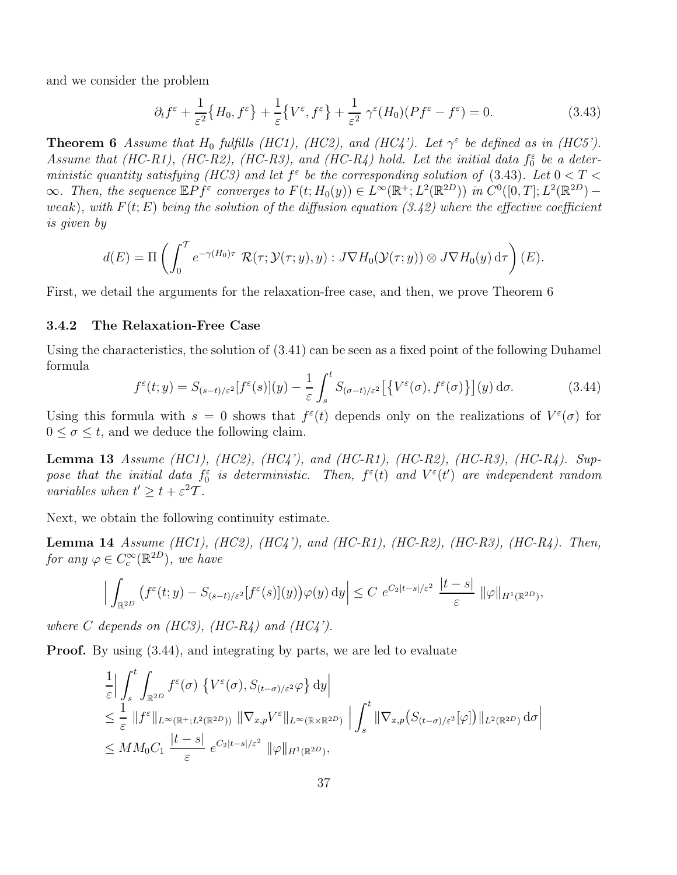and we consider the problem

$$
\partial_t f^\varepsilon + \frac{1}{\varepsilon^2} \{ H_0, f^\varepsilon \} + \frac{1}{\varepsilon} \{ V^\varepsilon, f^\varepsilon \} + \frac{1}{\varepsilon^2} \gamma^\varepsilon (H_0) (P f^\varepsilon - f^\varepsilon) = 0. \tag{3.43}
$$

**Theorem 6** Assume that  $H_0$  fulfills (HC1), (HC2), and (HC4'). Let  $\gamma^{\varepsilon}$  be defined as in (HC5'). Assume that (HC-R1), (HC-R2), (HC-R3), and (HC-R4) hold. Let the initial data  $f_0^{\varepsilon}$  be a deterministic quantity satisfying (HC3) and let  $f^{\epsilon}$  be the corresponding solution of (3.43). Let  $0 < T <$  $\infty$ . Then, the sequence  $\mathbb{E}Pf^{\varepsilon}$  converges to  $F(t; H_0(y)) \in L^{\infty}(\mathbb{R}^+; L^2(\mathbb{R}^{2D}))$  in  $C^0([0, T]; L^2(\mathbb{R}^{2D})$ weak), with  $F(t; E)$  being the solution of the diffusion equation (3.42) where the effective coefficient is given by

$$
d(E) = \Pi \left( \int_0^T e^{-\gamma(H_0)\tau} \mathcal{R}(\tau; \mathcal{Y}(\tau; y), y) : J \nabla H_0(\mathcal{Y}(\tau; y)) \otimes J \nabla H_0(y) d\tau \right) (E).
$$

First, we detail the arguments for the relaxation-free case, and then, we prove Theorem 6

#### 3.4.2 The Relaxation-Free Case

Using the characteristics, the solution of (3.41) can be seen as a fixed point of the following Duhamel formula

$$
f^{\varepsilon}(t; y) = S_{(s-t)/\varepsilon^2}[f^{\varepsilon}(s)](y) - \frac{1}{\varepsilon} \int_s^t S_{(\sigma-t)/\varepsilon^2}[\{V^{\varepsilon}(\sigma), f^{\varepsilon}(\sigma)\}](y) d\sigma.
$$
 (3.44)

Using this formula with  $s = 0$  shows that  $f^{\varepsilon}(t)$  depends only on the realizations of  $V^{\varepsilon}(\sigma)$  for  $0 \leq \sigma \leq t$ , and we deduce the following claim.

**Lemma 13** Assume (HC1), (HC2), (HC4'), and (HC-R1), (HC-R2), (HC-R3), (HC-R4). Suppose that the initial data  $f_0^{\varepsilon}$  is deterministic. Then,  $f^{\varepsilon}(t)$  and  $V^{\varepsilon}(t')$  are independent random variables when  $t' \geq t + \varepsilon^2 T$ .

Next, we obtain the following continuity estimate.

**Lemma 14** Assume (HC1), (HC2), (HC4'), and (HC-R1), (HC-R2), (HC-R3), (HC-R4). Then, for any  $\varphi \in C_c^{\infty}(\mathbb{R}^{2D})$ , we have

$$
\Big|\int_{\mathbb{R}^{2D}}\big(f^{\varepsilon}(t;y)-S_{(s-t)/\varepsilon^{2}}[f^{\varepsilon}(s)](y)\big)\varphi(y)\,\mathrm{d}y\Big|\leq C\,\,e^{C_{2}|t-s|/\varepsilon^{2}}\,\,\frac{|t-s|}{\varepsilon}\,\,\|\varphi\|_{H^{1}(\mathbb{R}^{2D})},
$$

where C depends on  $(HC3)$ ,  $(HC-R4)$  and  $(HC4')$ .

**Proof.** By using  $(3.44)$ , and integrating by parts, we are led to evaluate

$$
\frac{1}{\varepsilon} \Big| \int_{s}^{t} \int_{\mathbb{R}^{2D}} f^{\varepsilon}(\sigma) \left\{ V^{\varepsilon}(\sigma), S_{(t-\sigma)/\varepsilon^{2}} \varphi \right\} d\mathbf{y} \Big|
$$
\n
$$
\leq \frac{1}{\varepsilon} \| f^{\varepsilon} \|_{L^{\infty}(\mathbb{R}^{+}; L^{2}(\mathbb{R}^{2D}))} \| \nabla_{x,p} V^{\varepsilon} \|_{L^{\infty}(\mathbb{R} \times \mathbb{R}^{2D})} \Big| \int_{s}^{t} \| \nabla_{x,p} (S_{(t-\sigma)/\varepsilon^{2}}[\varphi]) \|_{L^{2}(\mathbb{R}^{2D})} d\sigma \Big|
$$
\n
$$
\leq MM_{0} C_{1} \frac{|t-s|}{\varepsilon} e^{C_{2}|t-s|/\varepsilon^{2}} \| \varphi \|_{H^{1}(\mathbb{R}^{2D})},
$$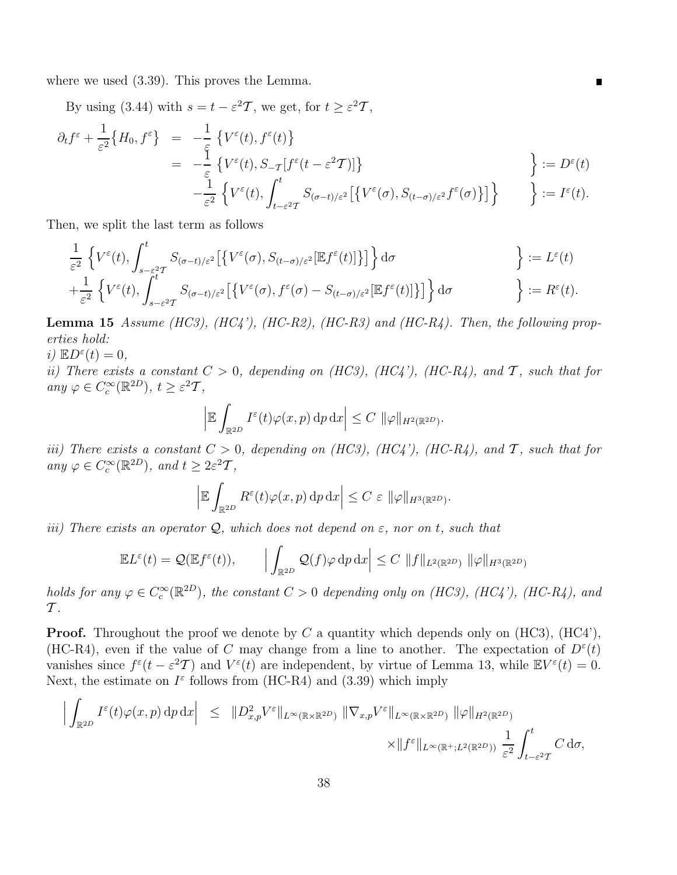where we used (3.39). This proves the Lemma.

By using (3.44) with  $s = t - \varepsilon^2 T$ , we get, for  $t \ge \varepsilon^2 T$ ,

$$
\partial_t f^{\varepsilon} + \frac{1}{\varepsilon^2} \{ H_0, f^{\varepsilon} \} = -\frac{1}{\varepsilon} \{ V^{\varepsilon}(t), f^{\varepsilon}(t) \} \n= -\frac{1}{\varepsilon} \{ V^{\varepsilon}(t), S_{-\mathcal{T}}[f^{\varepsilon}(t-\varepsilon^2 \mathcal{T})] \} \n- \frac{1}{\varepsilon^2} \{ V^{\varepsilon}(t), \int_{t-\varepsilon^2 \mathcal{T}}^t S_{(\sigma-t)/\varepsilon^2} [\{ V^{\varepsilon}(\sigma), S_{(t-\sigma)/\varepsilon^2} f^{\varepsilon}(\sigma) \}] \} \qquad \Big\} := D^{\varepsilon}(t).
$$

П

Then, we split the last term as follows

$$
\frac{1}{\varepsilon^2} \left\{ V^{\varepsilon}(t), \int_{s-\varepsilon^2 T}^t S_{(\sigma-t)/\varepsilon^2} \left[ \left\{ V^{\varepsilon}(\sigma), S_{(t-\sigma)/\varepsilon^2}[\mathbb{E} f^{\varepsilon}(t)] \right\} \right] \right\} d\sigma \right\} := L^{\varepsilon}(t) \n+ \frac{1}{\varepsilon^2} \left\{ V^{\varepsilon}(t), \int_{s-\varepsilon^2 T}^t S_{(\sigma-t)/\varepsilon^2} \left[ \left\{ V^{\varepsilon}(\sigma), f^{\varepsilon}(\sigma) - S_{(t-\sigma)/\varepsilon^2}[\mathbb{E} f^{\varepsilon}(t)] \right\} \right] \right\} d\sigma \right\} := R^{\varepsilon}(t).
$$

**Lemma 15** Assume (HC3), (HC4'), (HC-R2), (HC-R3) and (HC-R4). Then, the following properties hold:

i)  $\mathbb{E}D^{\varepsilon}(t)=0,$ 

ii) There exists a constant  $C > 0$ , depending on (HC3), (HC4'), (HC-R4), and T, such that for any  $\varphi \in C_c^{\infty}(\mathbb{R}^{2D}), t \geq \varepsilon^2 T$ ,

$$
\left| \mathbb{E} \int_{\mathbb{R}^{2D}} I^{\varepsilon}(t) \varphi(x, p) \, \mathrm{d}p \, \mathrm{d}x \right| \leq C \, \|\varphi\|_{H^{2}(\mathbb{R}^{2D})}.
$$

iii) There exists a constant  $C > 0$ , depending on (HC3), (HC4'), (HC-R4), and T, such that for any  $\varphi \in C_c^{\infty}(\mathbb{R}^{2D})$ , and  $t \geq 2\varepsilon^2 T$ ,

$$
\left| \mathbb{E} \int_{\mathbb{R}^{2D}} R^{\varepsilon}(t) \varphi(x, p) \, \mathrm{d}p \, \mathrm{d}x \right| \leq C \, \varepsilon \, \|\varphi\|_{H^{3}(\mathbb{R}^{2D})}.
$$

iii) There exists an operator  $Q$ , which does not depend on  $\varepsilon$ , nor on t, such that

$$
\mathbb{E}L^{\varepsilon}(t) = \mathcal{Q}(\mathbb{E}f^{\varepsilon}(t)), \qquad \Big| \int_{\mathbb{R}^{2D}} \mathcal{Q}(f)\varphi \, \mathrm{d}p \, \mathrm{d}x \Big| \leq C \, \|f\|_{L^{2}(\mathbb{R}^{2D})} \, \|\varphi\|_{H^{3}(\mathbb{R}^{2D})}
$$

holds for any  $\varphi \in C_c^{\infty}(\mathbb{R}^{2D})$ , the constant  $C > 0$  depending only on (HC3), (HC4'), (HC-R4), and  $\mathcal T$ .

**Proof.** Throughout the proof we denote by C a quantity which depends only on  $(HC3)$ ,  $(HC4')$ , (HC-R4), even if the value of C may change from a line to another. The expectation of  $D^{\varepsilon}(t)$ vanishes since  $f^{\varepsilon}(t - \varepsilon^2 T)$  and  $V^{\varepsilon}(t)$  are independent, by virtue of Lemma 13, while  $\mathbb{E}V^{\varepsilon}(t) = 0$ . Next, the estimate on  $I^{\varepsilon}$  follows from (HC-R4) and (3.39) which imply

$$
\left| \int_{\mathbb{R}^{2D}} I^{\varepsilon}(t) \varphi(x, p) \, \mathrm{d}p \, \mathrm{d}x \right| \leq \| D_{x, p}^{2} V^{\varepsilon} \|_{L^{\infty}(\mathbb{R} \times \mathbb{R}^{2D})} \| \nabla_{x, p} V^{\varepsilon} \|_{L^{\infty}(\mathbb{R} \times \mathbb{R}^{2D})} \| \varphi \|_{H^{2}(\mathbb{R}^{2D})}
$$

$$
\times \| f^{\varepsilon} \|_{L^{\infty}(\mathbb{R}^{+}; L^{2}(\mathbb{R}^{2D}))} \frac{1}{\varepsilon^{2}} \int_{t-\varepsilon^{2}T}^{t} C \, \mathrm{d}\sigma,
$$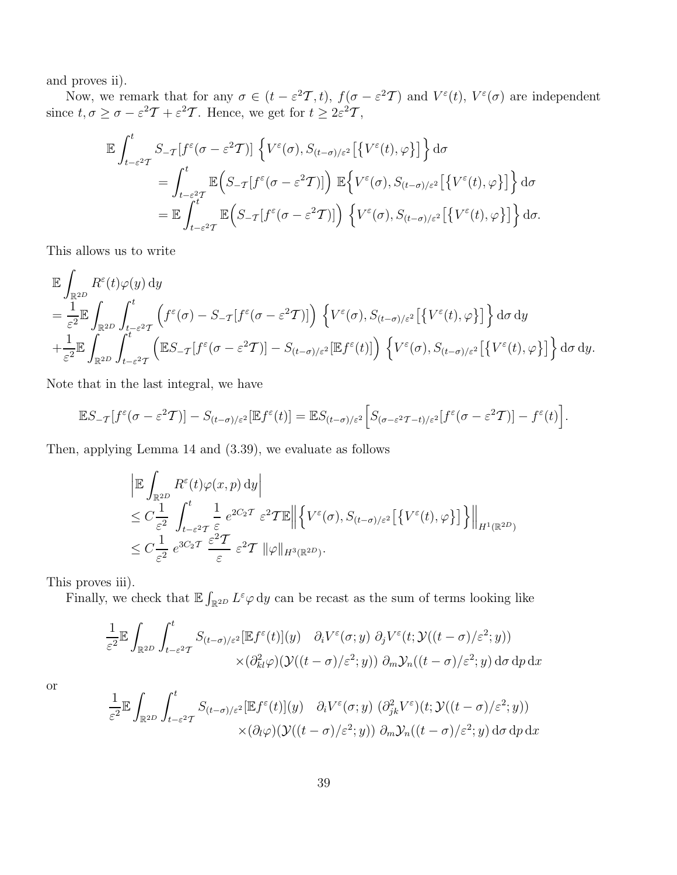and proves ii).

Now, we remark that for any  $\sigma \in (t - \varepsilon^2 \mathcal{T}, t)$ ,  $f(\sigma - \varepsilon^2 \mathcal{T})$  and  $V^{\varepsilon}(t)$ ,  $V^{\varepsilon}(\sigma)$  are independent since  $t, \sigma \ge \sigma - \varepsilon^2 T + \varepsilon^2 T$ . Hence, we get for  $t \ge 2\varepsilon^2 T$ ,

$$
\mathbb{E} \int_{t-\varepsilon^2}^t S_{-\mathcal{T}}[f^{\varepsilon}(\sigma-\varepsilon^2 T)] \left\{ V^{\varepsilon}(\sigma), S_{(t-\sigma)/\varepsilon^2}[\{V^{\varepsilon}(t), \varphi\}] \right\} d\sigma
$$
\n
$$
= \int_{t-\varepsilon^2}^t \mathbb{E} \Big( S_{-\mathcal{T}}[f^{\varepsilon}(\sigma-\varepsilon^2 T)] \Big) \mathbb{E} \Big\{ V^{\varepsilon}(\sigma), S_{(t-\sigma)/\varepsilon^2}[\{V^{\varepsilon}(t), \varphi\}] \Big\} d\sigma
$$
\n
$$
= \mathbb{E} \int_{t-\varepsilon^2}^t \mathbb{E} \Big( S_{-\mathcal{T}}[f^{\varepsilon}(\sigma-\varepsilon^2 T)] \Big) \left\{ V^{\varepsilon}(\sigma), S_{(t-\sigma)/\varepsilon^2}[\{V^{\varepsilon}(t), \varphi\}] \right\} d\sigma.
$$

This allows us to write

$$
\mathbb{E} \int_{\mathbb{R}^{2D}} R^{\varepsilon}(t) \varphi(y) dy \n= \frac{1}{\varepsilon^{2}} \mathbb{E} \int_{\mathbb{R}^{2D}} \int_{t-\varepsilon^{2}T}^{t} \left( f^{\varepsilon}(\sigma) - S_{-T}[f^{\varepsilon}(\sigma - \varepsilon^{2}T)] \right) \left\{ V^{\varepsilon}(\sigma), S_{(t-\sigma)/\varepsilon^{2}}[\{V^{\varepsilon}(t), \varphi\}] \right\} d\sigma dy \n+ \frac{1}{\varepsilon^{2}} \mathbb{E} \int_{\mathbb{R}^{2D}} \int_{t-\varepsilon^{2}T}^{t} \left( \mathbb{E} S_{-T}[f^{\varepsilon}(\sigma - \varepsilon^{2}T)] - S_{(t-\sigma)/\varepsilon^{2}}[\mathbb{E} f^{\varepsilon}(t)] \right) \left\{ V^{\varepsilon}(\sigma), S_{(t-\sigma)/\varepsilon^{2}}[\{V^{\varepsilon}(t), \varphi\}] \right\} d\sigma dy.
$$

Note that in the last integral, we have

$$
\mathbb{E}S_{-\mathcal{T}}[f^{\varepsilon}(\sigma-\varepsilon^2\mathcal{T})]-S_{(t-\sigma)/\varepsilon^2}[\mathbb{E}f^{\varepsilon}(t)]=\mathbb{E}S_{(t-\sigma)/\varepsilon^2}\Big[S_{(\sigma-\varepsilon^2\mathcal{T}-t)/\varepsilon^2}[f^{\varepsilon}(\sigma-\varepsilon^2\mathcal{T})]-f^{\varepsilon}(t)\Big].
$$

Then, applying Lemma 14 and (3.39), we evaluate as follows

$$
\begin{split}\n&\left| \mathbb{E} \int_{\mathbb{R}^{2D}} R^{\varepsilon}(t) \varphi(x, p) \, dy \right| \\
&\leq C \frac{1}{\varepsilon^{2}} \int_{t-\varepsilon^{2} \mathcal{T}}^{t} \frac{1}{\varepsilon} e^{2C_{2} \mathcal{T}} \varepsilon^{2} \mathcal{T} \mathbb{E} \left\| \left\{ V^{\varepsilon}(\sigma), S_{(t-\sigma)/\varepsilon^{2}} \left[ \left\{ V^{\varepsilon}(t), \varphi \right\} \right] \right\} \right\|_{H^{1}(\mathbb{R}^{2D})} \\
&\leq C \frac{1}{\varepsilon^{2}} e^{3C_{2} \mathcal{T}} \frac{\varepsilon^{2} \mathcal{T}}{\varepsilon} \varepsilon^{2} \mathcal{T} \|\varphi\|_{H^{3}(\mathbb{R}^{2D})}.\n\end{split}
$$

This proves iii).

Finally, we check that  $\mathbb{E} \int_{\mathbb{R}^{2D}} L^{\varepsilon} \varphi \, dy$  can be recast as the sum of terms looking like

$$
\frac{1}{\varepsilon^2} \mathbb{E} \int_{\mathbb{R}^{2D}} \int_{t-\varepsilon^2}^t S_{(t-\sigma)/\varepsilon^2} [\mathbb{E} f^{\varepsilon}(t)](y) \partial_i V^{\varepsilon}(\sigma; y) \partial_j V^{\varepsilon}(t; \mathcal{Y}((t-\sigma)/\varepsilon^2; y))
$$
  
 
$$
\times (\partial_{kl}^2 \varphi) (\mathcal{Y}((t-\sigma)/\varepsilon^2; y)) \partial_m \mathcal{Y}_n((t-\sigma)/\varepsilon^2; y) d\sigma dp dx
$$

or

$$
\frac{1}{\varepsilon^2} \mathbb{E} \int_{\mathbb{R}^{2D}} \int_{t-\varepsilon^2}^t S_{(t-\sigma)/\varepsilon^2} [\mathbb{E} f^{\varepsilon}(t)](y) \partial_t V^{\varepsilon}(\sigma; y) \left(\partial_{jk}^2 V^{\varepsilon}\right)(t; \mathcal{Y}((t-\sigma)/\varepsilon^2; y))
$$
  
 
$$
\times (\partial_t \varphi) (\mathcal{Y}((t-\sigma)/\varepsilon^2; y)) \partial_m \mathcal{Y}_n((t-\sigma)/\varepsilon^2; y) d\sigma dp dx
$$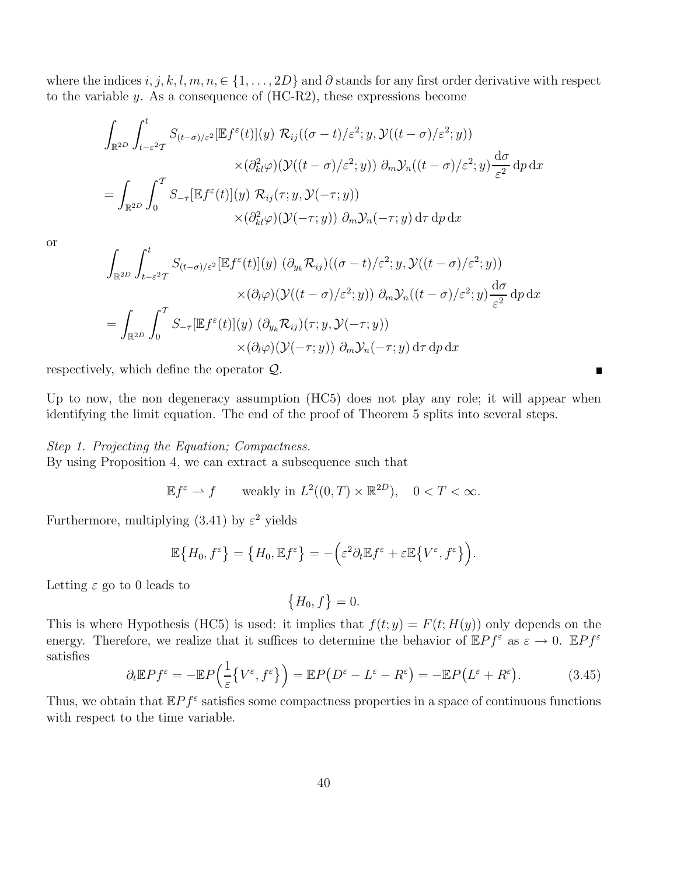where the indices i, j, k, l, m, n, ∈ {1, ..., 2D} and  $\partial$  stands for any first order derivative with respect to the variable y. As a consequence of (HC-R2), these expressions become

$$
\int_{\mathbb{R}^{2D}} \int_{t-\varepsilon^2}^t S_{(t-\sigma)/\varepsilon^2}[\mathbb{E} f^{\varepsilon}(t)](y) \mathcal{R}_{ij}((\sigma-t)/\varepsilon^2; y, \mathcal{Y}((t-\sigma)/\varepsilon^2; y))
$$
\n
$$
\times (\partial_{kl}^2 \varphi) (\mathcal{Y}((t-\sigma)/\varepsilon^2; y)) \partial_m \mathcal{Y}_n((t-\sigma)/\varepsilon^2; y) \frac{d\sigma}{\varepsilon^2} dp dx
$$
\n
$$
= \int_{\mathbb{R}^{2D}} \int_0^{\mathcal{T}} S_{-\tau}[\mathbb{E} f^{\varepsilon}(t)](y) \mathcal{R}_{ij}(\tau; y, \mathcal{Y}(-\tau; y))
$$
\n
$$
\times (\partial_{kl}^2 \varphi) (\mathcal{Y}(-\tau; y)) \partial_m \mathcal{Y}_n(-\tau; y) d\tau dp dx
$$

or

$$
\int_{\mathbb{R}^{2D}} \int_{t-\varepsilon^2}^t S_{(t-\sigma)/\varepsilon^2}[\mathbb{E} f^{\varepsilon}(t)](y) \, (\partial_{y_k} \mathcal{R}_{ij})((\sigma - t)/\varepsilon^2; y, \mathcal{Y}((t - \sigma)/\varepsilon^2; y))
$$
\n
$$
\times (\partial_t \varphi) (\mathcal{Y}((t - \sigma)/\varepsilon^2; y)) \, \partial_m \mathcal{Y}_n((t - \sigma)/\varepsilon^2; y) \frac{d\sigma}{\varepsilon^2} dp dx
$$
\n
$$
= \int_{\mathbb{R}^{2D}} \int_0^T S_{-\tau}[\mathbb{E} f^{\varepsilon}(t)](y) \, (\partial_{y_k} \mathcal{R}_{ij})(\tau; y, \mathcal{Y}(-\tau; y))
$$
\n
$$
\times (\partial_t \varphi) (\mathcal{Y}(-\tau; y)) \, \partial_m \mathcal{Y}_n(-\tau; y) d\tau dp dx
$$

respectively, which define the operator Q.

Up to now, the non degeneracy assumption (HC5) does not play any role; it will appear when identifying the limit equation. The end of the proof of Theorem 5 splits into several steps.

 $\blacksquare$ 

#### Step 1. Projecting the Equation; Compactness.

By using Proposition 4, we can extract a subsequence such that

$$
\mathbb{E}f^{\varepsilon} \to f \qquad \text{weakly in } L^{2}((0,T) \times \mathbb{R}^{2D}), \quad 0 < T < \infty.
$$

Furthermore, multiplying (3.41) by  $\varepsilon^2$  yields

$$
\mathbb{E}\big\{H_0,f^{\varepsilon}\big\}=\big\{H_0,\mathbb{E}f^{\varepsilon}\big\}=-\Big(\varepsilon^2\partial_t\mathbb{E}f^{\varepsilon}+\varepsilon\mathbb{E}\big\{V^{\varepsilon},f^{\varepsilon}\big\}\Big).
$$

Letting  $\varepsilon$  go to 0 leads to

$$
\{H_0, f\} = 0.
$$

This is where Hypothesis (HC5) is used: it implies that  $f(t; y) = F(t; H(y))$  only depends on the energy. Therefore, we realize that it suffices to determine the behavior of  $\mathbb{E}Pf^{\varepsilon}$  as  $\varepsilon \to 0$ .  $\mathbb{E}Pf^{\varepsilon}$ satisfies

$$
\partial_t \mathbb{E} P f^{\varepsilon} = -\mathbb{E} P \Big( \frac{1}{\varepsilon} \big\{ V^{\varepsilon}, f^{\varepsilon} \big\} \Big) = \mathbb{E} P \big( D^{\varepsilon} - L^{\varepsilon} - R^{\varepsilon} \big) = -\mathbb{E} P \big( L^{\varepsilon} + R^{\varepsilon} \big). \tag{3.45}
$$

Thus, we obtain that  $\mathbb{E}Pf^{\varepsilon}$  satisfies some compactness properties in a space of continuous functions with respect to the time variable.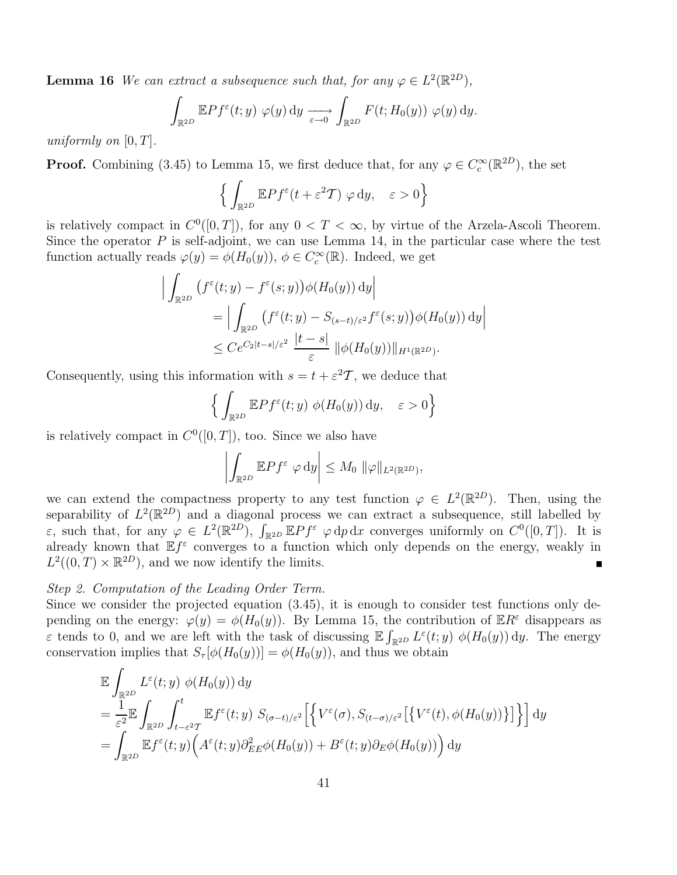**Lemma 16** We can extract a subsequence such that, for any  $\varphi \in L^2(\mathbb{R}^{2D})$ ,

$$
\int_{\mathbb{R}^{2D}} \mathbb{E} P f^{\varepsilon}(t; y) \varphi(y) dy \longrightarrow \int_{\mathbb{R}^{2D}} F(t; H_0(y)) \varphi(y) dy.
$$

uniformly on  $[0, T]$ .

**Proof.** Combining (3.45) to Lemma 15, we first deduce that, for any  $\varphi \in C_c^{\infty}(\mathbb{R}^{2D})$ , the set

$$
\Big\{ \int_{\mathbb{R}^{2D}} \mathbb{E} P f^{\varepsilon}(t + \varepsilon^2 T) \varphi \, dy, \quad \varepsilon > 0 \Big\}
$$

is relatively compact in  $C^0([0,T])$ , for any  $0 < T < \infty$ , by virtue of the Arzela-Ascoli Theorem. Since the operator  $P$  is self-adjoint, we can use Lemma 14, in the particular case where the test function actually reads  $\varphi(y) = \phi(H_0(y)), \phi \in C_c^{\infty}(\mathbb{R})$ . Indeed, we get

$$
\left| \int_{\mathbb{R}^{2D}} \left( f^{\varepsilon}(t; y) - f^{\varepsilon}(s; y) \right) \phi(H_0(y)) \, dy \right|
$$
  
\n
$$
= \left| \int_{\mathbb{R}^{2D}} \left( f^{\varepsilon}(t; y) - S_{(s-t)/\varepsilon^2} f^{\varepsilon}(s; y) \right) \phi(H_0(y)) \, dy \right|
$$
  
\n
$$
\leq C e^{C_2 |t-s|/\varepsilon^2} \frac{|t-s|}{\varepsilon} \left\| \phi(H_0(y)) \right\|_{H^1(\mathbb{R}^{2D})}.
$$

Consequently, using this information with  $s = t + \varepsilon^2 \mathcal{T}$ , we deduce that

$$
\Big\{ \int_{\mathbb{R}^{2D}} \mathbb{E} P f^{\varepsilon}(t; y) \phi(H_0(y)) dy, \quad \varepsilon > 0 \Big\}
$$

is relatively compact in  $C^0([0,T])$ , too. Since we also have

$$
\left| \int_{\mathbb{R}^{2D}} \mathbb{E} P f^{\varepsilon} \varphi \, dy \right| \leq M_0 \, \|\varphi\|_{L^2(\mathbb{R}^{2D})},
$$

we can extend the compactness property to any test function  $\varphi \in L^2(\mathbb{R}^{2D})$ . Then, using the separability of  $L^2(\mathbb{R}^{2D})$  and a diagonal process we can extract a subsequence, still labelled by ε, such that, for any  $\varphi \in L^2(\mathbb{R}^{2D})$ ,  $\int_{\mathbb{R}^{2D}} \mathbb{E}Pf^{\varepsilon} \varphi \,dp \,dx$  converges uniformly on  $C^0([0,T])$ . It is already known that  $\mathbb{E} f^{\varepsilon}$  converges to a function which only depends on the energy, weakly in  $L^2((0,T)\times \mathbb{R}^{2D})$ , and we now identify the limits.

### Step 2. Computation of the Leading Order Term.

Since we consider the projected equation (3.45), it is enough to consider test functions only depending on the energy:  $\varphi(y) = \phi(H_0(y))$ . By Lemma 15, the contribution of  $\mathbb{E}R^{\varepsilon}$  disappears as  $\varepsilon$  tends to 0, and we are left with the task of discussing  $\mathbb{E} \int_{\mathbb{R}^{2D}} L^{\varepsilon}(t; y) \phi(H_0(y)) dy$ . The energy conservation implies that  $S_{\tau}[\phi(H_0(y))] = \phi(H_0(y))$ , and thus we obtain

$$
\mathbb{E} \int_{\mathbb{R}^{2D}} L^{\varepsilon}(t; y) \phi(H_0(y)) dy
$$
\n
$$
= \frac{1}{\varepsilon^2} \mathbb{E} \int_{\mathbb{R}^{2D}} \int_{t-\varepsilon^2 T}^{t} \mathbb{E} f^{\varepsilon}(t; y) S_{(\sigma-t)/\varepsilon^2} \Big[ \Big\{ V^{\varepsilon}(\sigma), S_{(t-\sigma)/\varepsilon^2} \Big[ \big\{ V^{\varepsilon}(t), \phi(H_0(y)) \big\} \Big] \Big\} \Big] dy
$$
\n
$$
= \int_{\mathbb{R}^{2D}} \mathbb{E} f^{\varepsilon}(t; y) \Big( A^{\varepsilon}(t; y) \partial_{EE}^{2} \phi(H_0(y)) + B^{\varepsilon}(t; y) \partial_{E} \phi(H_0(y)) \Big) dy
$$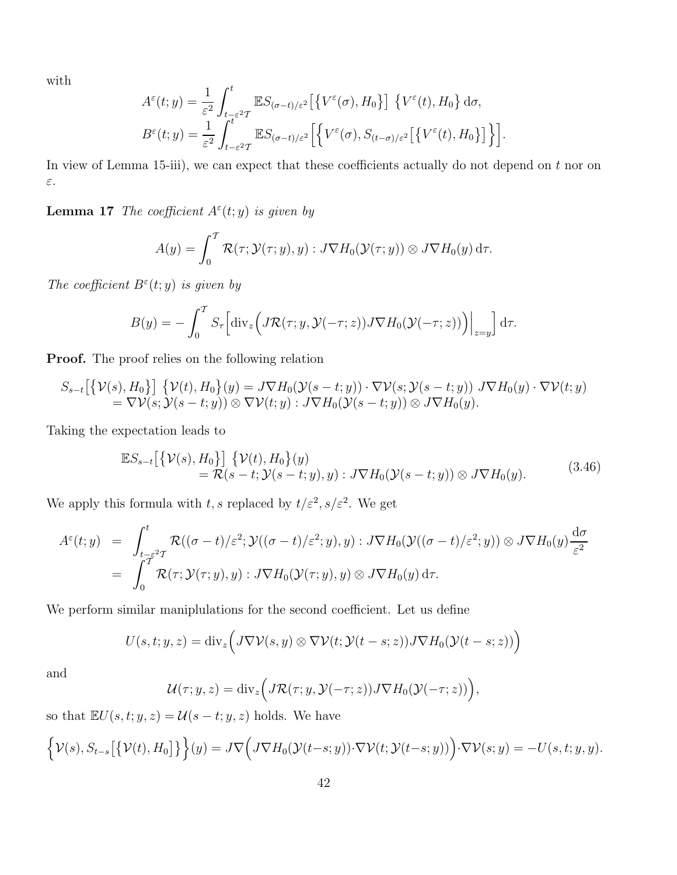with

$$
A^{\varepsilon}(t; y) = \frac{1}{\varepsilon^{2}} \int_{t-\varepsilon^{2}T}^{t} \mathbb{E}S_{(\sigma-t)/\varepsilon^{2}} \left[ \left\{ V^{\varepsilon}(\sigma), H_{0} \right\} \right] \left\{ V^{\varepsilon}(t), H_{0} \right\} d\sigma,
$$
  

$$
B^{\varepsilon}(t; y) = \frac{1}{\varepsilon^{2}} \int_{t-\varepsilon^{2}T}^{t} \mathbb{E}S_{(\sigma-t)/\varepsilon^{2}} \left[ \left\{ V^{\varepsilon}(\sigma), S_{(t-\sigma)/\varepsilon^{2}} \left[ \left\{ V^{\varepsilon}(t), H_{0} \right\} \right] \right\} \right].
$$

In view of Lemma 15-iii), we can expect that these coefficients actually do not depend on  $t$  nor on ε.

**Lemma 17** The coefficient  $A^{\varepsilon}(t; y)$  is given by

$$
A(y) = \int_0^T \mathcal{R}(\tau; \mathcal{Y}(\tau; y), y) : J \nabla H_0(\mathcal{Y}(\tau; y)) \otimes J \nabla H_0(y) d\tau.
$$

The coefficient  $B^{\varepsilon}(t; y)$  is given by

$$
B(y) = -\int_0^T S_\tau \Big[ \operatorname{div}_z \Big( J \mathcal{R}(\tau; y, \mathcal{Y}(-\tau; z)) J \nabla H_0(\mathcal{Y}(-\tau; z)) \Big) \Big|_{z=y} \Big] d\tau.
$$

Proof. The proof relies on the following relation

$$
S_{s-t}\big[\big\{\mathcal{V}(s),H_0\big\}\big]\big\{\mathcal{V}(t),H_0\big\}(y)=J\nabla H_0(\mathcal{Y}(s-t;y))\cdot\nabla \mathcal{V}(s;\mathcal{Y}(s-t;y))\,J\nabla H_0(y)\cdot\nabla \mathcal{V}(t;y)=\nabla \mathcal{V}(s;\mathcal{Y}(s-t;y))\otimes\nabla \mathcal{V}(t;y):J\nabla H_0(\mathcal{Y}(s-t;y))\otimes J\nabla H_0(y).
$$

Taking the expectation leads to

$$
\mathbb{E}S_{s-t}\big[\big\{\mathcal{V}(s),H_0\big\}\big]\big\{\mathcal{V}(t),H_0\big\}(y) = \mathcal{R}(s-t;\mathcal{Y}(s-t;y),y): J\nabla H_0(\mathcal{Y}(s-t;y)) \otimes J\nabla H_0(y).
$$
\n(3.46)

We apply this formula with t, s replaced by  $t/\varepsilon^2$ ,  $s/\varepsilon^2$ . We get

$$
A^{\varepsilon}(t; y) = \int_{t-\varepsilon^2}^t \mathcal{R}((\sigma-t)/\varepsilon^2; \mathcal{Y}((\sigma-t)/\varepsilon^2; y), y) : J \nabla H_0(\mathcal{Y}((\sigma-t)/\varepsilon^2; y)) \otimes J \nabla H_0(y) \frac{d\sigma}{\varepsilon^2}
$$
  
= 
$$
\int_0^{\mathcal{T}} \mathcal{R}(\tau; \mathcal{Y}(\tau; y), y) : J \nabla H_0(\mathcal{Y}(\tau; y), y) \otimes J \nabla H_0(y) d\tau.
$$

We perform similar maniplulations for the second coefficient. Let us define

$$
U(s,t;y,z) = \mathrm{div}_z\Big(J\nabla \mathcal{V}(s,y)\otimes \nabla \mathcal{V}(t;\mathcal{Y}(t-s;z))J\nabla H_0(\mathcal{Y}(t-s;z))\Big)
$$

and

$$
\mathcal{U}(\tau; y, z) = \text{div}_z \Big( J \mathcal{R}(\tau; y, \mathcal{Y}(-\tau; z)) J \nabla H_0(\mathcal{Y}(-\tau; z)) \Big),
$$

so that  $\mathbb{E}U(s,t;y,z) = \mathcal{U}(s-t;y,z)$  holds. We have

$$
\left\{\mathcal{V}(s), S_{t-s}\big[\big\{\mathcal{V}(t), H_0\big]\big\}\right\}(y) = J\nabla\Big(J\nabla H_0(\mathcal{Y}(t-s; y))\cdot \nabla \mathcal{V}(t; \mathcal{Y}(t-s; y))\Big)\cdot \nabla \mathcal{V}(s; y) = -U(s, t; y, y).
$$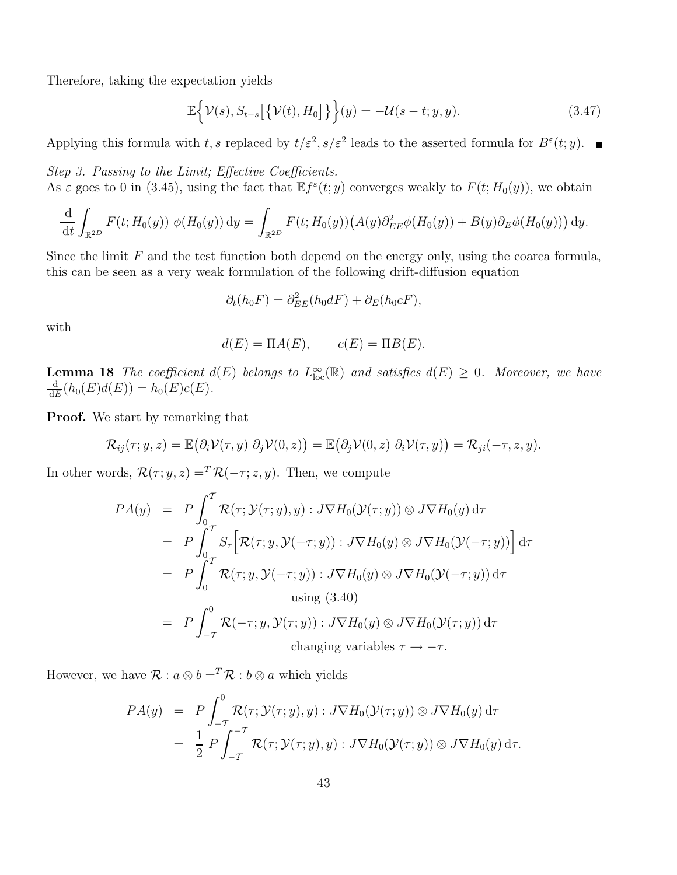Therefore, taking the expectation yields

$$
\mathbb{E}\left\{\mathcal{V}(s), S_{t-s}\big[\{\mathcal{V}(t), H_0\big]\}\right\}(y) = -\mathcal{U}(s-t; y, y). \tag{3.47}
$$

Applying this formula with t, s replaced by  $t/\varepsilon^2$ ,  $s/\varepsilon^2$  leads to the asserted formula for  $B^{\varepsilon}(t; y)$ .

Step 3. Passing to the Limit; Effective Coefficients. As  $\varepsilon$  goes to 0 in (3.45), using the fact that  $\mathbb{E} f^{\varepsilon}(t; y)$  converges weakly to  $F(t; H_0(y))$ , we obtain

$$
\frac{\mathrm{d}}{\mathrm{d}t} \int_{\mathbb{R}^{2D}} F(t; H_0(y)) \phi(H_0(y)) \, \mathrm{d}y = \int_{\mathbb{R}^{2D}} F(t; H_0(y)) \big( A(y) \partial_{EE}^2 \phi(H_0(y)) + B(y) \partial_E \phi(H_0(y)) \big) \, \mathrm{d}y.
$$

Since the limit  $F$  and the test function both depend on the energy only, using the coarea formula, this can be seen as a very weak formulation of the following drift-diffusion equation

$$
\partial_t(h_0 F) = \partial_{EE}^2(h_0 dF) + \partial_E(h_0 cF),
$$

with

$$
d(E) = \Pi A(E), \qquad c(E) = \Pi B(E).
$$

**Lemma 18** The coefficient  $d(E)$  belongs to  $L^{\infty}_{loc}(\mathbb{R})$  and satisfies  $d(E) \geq 0$ . Moreover, we have  $\frac{d}{d(E)}(E)d(E) = h_o(E)c(E)$  $\frac{d}{dE}(h_0(E)d(E)) = h_0(E)c(E).$ 

Proof. We start by remarking that

$$
\mathcal{R}_{ij}(\tau; y, z) = \mathbb{E}(\partial_i \mathcal{V}(\tau, y) \, \partial_j \mathcal{V}(0, z)) = \mathbb{E}(\partial_j \mathcal{V}(0, z) \, \partial_i \mathcal{V}(\tau, y)) = \mathcal{R}_{ji}(-\tau, z, y).
$$

In other words,  $\mathcal{R}(\tau; y, z) =^T \mathcal{R}(-\tau; z, y)$ . Then, we compute

$$
PA(y) = P \int_0^T \mathcal{R}(\tau; \mathcal{Y}(\tau; y), y) : J \nabla H_0(\mathcal{Y}(\tau; y)) \otimes J \nabla H_0(y) d\tau
$$
  
\n
$$
= P \int_0^T S_\tau \Big[ \mathcal{R}(\tau; y, \mathcal{Y}(-\tau; y)) : J \nabla H_0(y) \otimes J \nabla H_0(\mathcal{Y}(-\tau; y)) \Big] d\tau
$$
  
\n
$$
= P \int_0^T \mathcal{R}(\tau; y, \mathcal{Y}(-\tau; y)) : J \nabla H_0(y) \otimes J \nabla H_0(\mathcal{Y}(-\tau; y)) d\tau
$$
  
\nusing (3.40)  
\n
$$
= P \int_{-\tau}^0 \mathcal{R}(-\tau; y, \mathcal{Y}(\tau; y)) : J \nabla H_0(y) \otimes J \nabla H_0(\mathcal{Y}(\tau; y)) d\tau
$$
  
\nchanging variables  $\tau \to -\tau$ .

However, we have  $\mathcal{R}: a \otimes b = T \mathcal{R}: b \otimes a$  which yields

$$
PA(y) = P \int_{-\tau}^{0} \mathcal{R}(\tau; \mathcal{Y}(\tau; y), y) : J \nabla H_0(\mathcal{Y}(\tau; y)) \otimes J \nabla H_0(y) d\tau
$$
  
= 
$$
\frac{1}{2} P \int_{-\tau}^{-\tau} \mathcal{R}(\tau; \mathcal{Y}(\tau; y), y) : J \nabla H_0(\mathcal{Y}(\tau; y)) \otimes J \nabla H_0(y) d\tau.
$$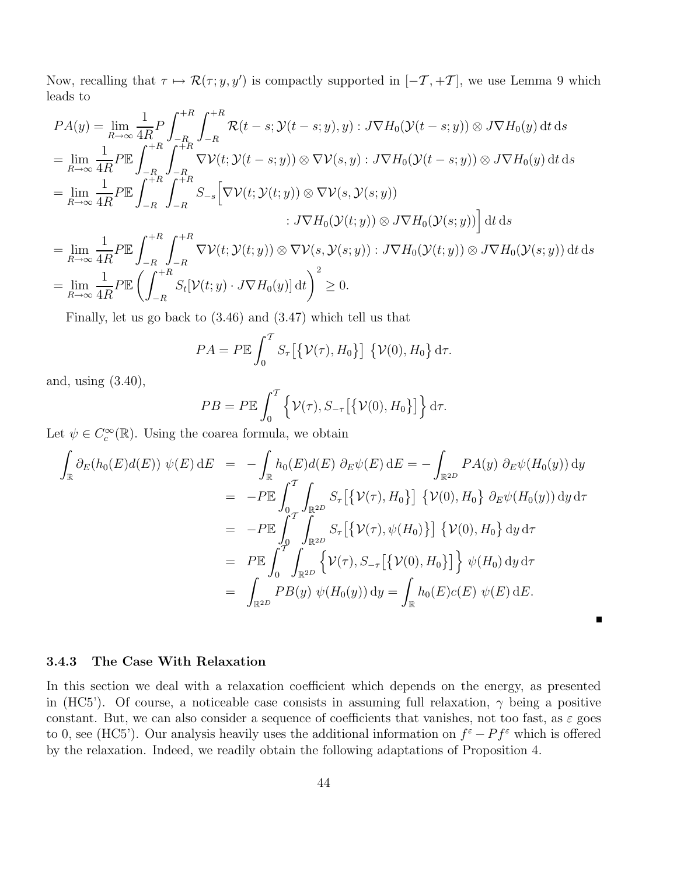Now, recalling that  $\tau \mapsto \mathcal{R}(\tau; y, y')$  is compactly supported in  $[-\mathcal{T}, +\mathcal{T}]$ , we use Lemma 9 which leads to

$$
PA(y) = \lim_{R \to \infty} \frac{1}{4R} P \int_{-R}^{+R} \int_{-R}^{+R} \mathcal{R}(t-s; \mathcal{Y}(t-s; y), y) : J \nabla H_0(\mathcal{Y}(t-s; y)) \otimes J \nabla H_0(y) dt ds
$$
  
\n
$$
= \lim_{R \to \infty} \frac{1}{4R} P \mathbb{E} \int_{-R}^{+R} \int_{-R}^{+R} \nabla \mathcal{V}(t; \mathcal{Y}(t-s; y)) \otimes \nabla \mathcal{V}(s, y) : J \nabla H_0(\mathcal{Y}(t-s; y)) \otimes J \nabla H_0(y) dt ds
$$
  
\n
$$
= \lim_{R \to \infty} \frac{1}{4R} P \mathbb{E} \int_{-R}^{+R} \int_{-R}^{+R} S_{-s} [\nabla \mathcal{V}(t; \mathcal{Y}(t; y)) \otimes \nabla \mathcal{V}(s, \mathcal{Y}(s; y))
$$
  
\n
$$
: J \nabla H_0(\mathcal{Y}(t; y)) \otimes J \nabla H_0(\mathcal{Y}(s; y)) ] dt ds
$$
  
\n
$$
= \lim_{R \to \infty} \frac{1}{4R} P \mathbb{E} \int_{-R}^{+R} \int_{-R}^{+R} \nabla \mathcal{V}(t; \mathcal{Y}(t; y)) \otimes \nabla \mathcal{V}(s, \mathcal{Y}(s; y)) : J \nabla H_0(\mathcal{Y}(t; y)) \otimes J \nabla H_0(\mathcal{Y}(s; y)) dt ds
$$
  
\n
$$
= \lim_{R \to \infty} \frac{1}{4R} P \mathbb{E} \left( \int_{-R}^{+R} S_t [\mathcal{V}(t; y) \cdot J \nabla H_0(y)] dt \right)^2 \ge 0.
$$

Finally, let us go back to (3.46) and (3.47) which tell us that

$$
PA = P \mathbb{E} \int_0^T S_\tau \big[ \{ \mathcal{V}(\tau), H_0 \} \big] \, \{ \mathcal{V}(0), H_0 \} \, d\tau.
$$

and, using (3.40),

$$
PB = P \mathbb{E} \int_0^T \left\{ \mathcal{V}(\tau), S_{-\tau} \left[ \{ \mathcal{V}(0), H_0 \} \right] \right\} d\tau.
$$

Let  $\psi \in C_c^{\infty}(\mathbb{R})$ . Using the coarea formula, we obtain

$$
\int_{\mathbb{R}} \partial_{E}(h_{0}(E)d(E)) \psi(E) dE = -\int_{\mathbb{R}} h_{0}(E)d(E) \partial_{E}\psi(E) dE = -\int_{\mathbb{R}^{2D}} P A(y) \partial_{E}\psi(H_{0}(y)) dy
$$
\n
$$
= -P \mathbb{E} \int_{0}^{T} \int_{\mathbb{R}^{2D}} S_{\tau} [\{\mathcal{V}(\tau), H_{0}\}] \{\mathcal{V}(0), H_{0}\} \partial_{E}\psi(H_{0}(y)) dy d\tau
$$
\n
$$
= -P \mathbb{E} \int_{0}^{T} \int_{\mathbb{R}^{2D}} S_{\tau} [\{\mathcal{V}(\tau), \psi(H_{0})\}] \{\mathcal{V}(0), H_{0}\} dy d\tau
$$
\n
$$
= P \mathbb{E} \int_{0}^{T} \int_{\mathbb{R}^{2D}} \{\mathcal{V}(\tau), S_{-\tau} [\{\mathcal{V}(0), H_{0}\}] \} \psi(H_{0}) dy d\tau
$$
\n
$$
= \int_{\mathbb{R}^{2D}} P B(y) \psi(H_{0}(y)) dy = \int_{\mathbb{R}} h_{0}(E)c(E) \psi(E) dE.
$$

П

### 3.4.3 The Case With Relaxation

In this section we deal with a relaxation coefficient which depends on the energy, as presented in (HC5'). Of course, a noticeable case consists in assuming full relaxation,  $\gamma$  being a positive constant. But, we can also consider a sequence of coefficients that vanishes, not too fast, as  $\varepsilon$  goes to 0, see (HC5'). Our analysis heavily uses the additional information on  $f^{\varepsilon} - Pf^{\varepsilon}$  which is offered by the relaxation. Indeed, we readily obtain the following adaptations of Proposition 4.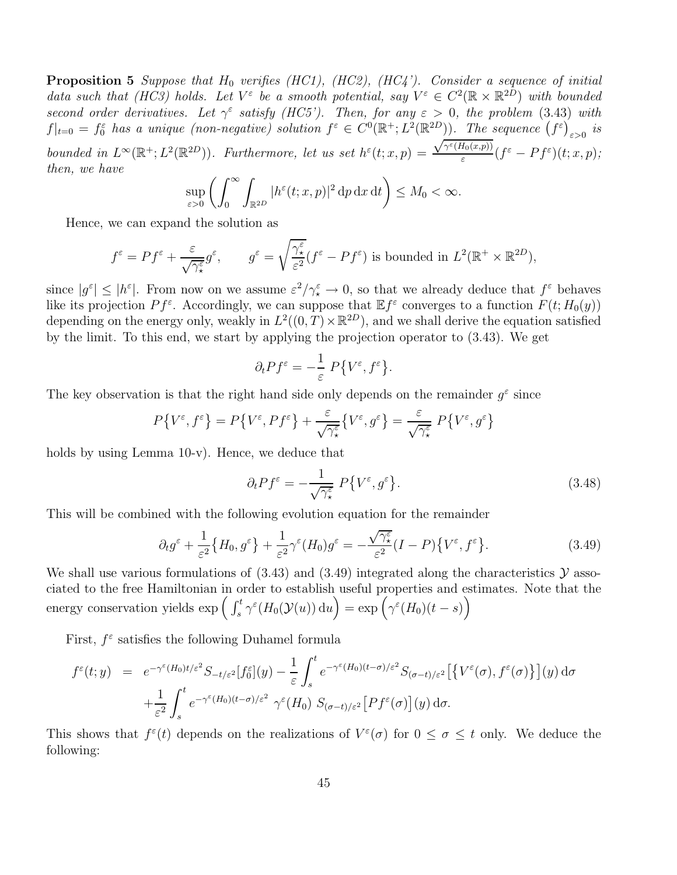**Proposition 5** Suppose that  $H_0$  verifies (HC1), (HC2), (HC4'). Consider a sequence of initial data such that (HC3) holds. Let  $V^{\varepsilon}$  be a smooth potential, say  $V^{\varepsilon} \in C^2(\mathbb{R} \times \mathbb{R}^{2D})$  with bounded second order derivatives. Let  $\gamma^{\varepsilon}$  satisfy (HC5'). Then, for any  $\varepsilon > 0$ , the problem (3.43) with  $f|_{t=0} = f_0^{\varepsilon}$  has a unique (non-negative) solution  $f^{\varepsilon} \in C^0(\mathbb{R}^+; L^2(\mathbb{R}^{2D}))$ . The sequence  $(f^{\varepsilon})_{\varepsilon>0}$  is bounded in  $L^{\infty}(\mathbb{R}^+; L^2(\mathbb{R}^{2D}))$ . Furthermore, let us set  $h^{\varepsilon}(t; x, p) =$  $\sqrt{\gamma^{\varepsilon}(H_0(x,p))}$  $\frac{\sigma_0(x,p))}{\varepsilon}(f^{\varepsilon}-Pf^{\varepsilon})(t;x,p);$ then, we have

$$
\sup_{\varepsilon>0}\left(\int_0^\infty \int_{\mathbb{R}^{2D}}|h^\varepsilon(t;x,p)|^2\,\mathrm{d} p\,\mathrm{d} x\,\mathrm{d} t\right)\leq M_0<\infty.
$$

Hence, we can expand the solution as

$$
f^{\varepsilon} = Pf^{\varepsilon} + \frac{\varepsilon}{\sqrt{\gamma_{\star}^{\varepsilon}}} g^{\varepsilon}, \qquad g^{\varepsilon} = \sqrt{\frac{\gamma_{\star}^{\varepsilon}}{\varepsilon^2}} (f^{\varepsilon} - Pf^{\varepsilon}) \text{ is bounded in } L^{2}(\mathbb{R}^{+} \times \mathbb{R}^{2D}),
$$

since  $|g^{\varepsilon}| \leq |h^{\varepsilon}|$ . From now on we assume  $\varepsilon^2/\gamma^{\varepsilon} \to 0$ , so that we already deduce that  $f^{\varepsilon}$  behaves like its projection  $Pf^{\varepsilon}$ . Accordingly, we can suppose that  $\mathbb{E}f^{\varepsilon}$  converges to a function  $F(t; H_0(y))$ depending on the energy only, weakly in  $L^2((0,T)\times\mathbb{R}^{2D})$ , and we shall derive the equation satisfied by the limit. To this end, we start by applying the projection operator to (3.43). We get

$$
\partial_t P f^{\varepsilon} = -\frac{1}{\varepsilon} P \{ V^{\varepsilon}, f^{\varepsilon} \}.
$$

The key observation is that the right hand side only depends on the remainder  $g^{\varepsilon}$  since

$$
P\big\{V^{\varepsilon},f^{\varepsilon}\big\}=P\big\{V^{\varepsilon},Pf^{\varepsilon}\big\}+\frac{\varepsilon}{\sqrt{\gamma_{\star}^{\varepsilon}}}\big\{V^{\varepsilon},g^{\varepsilon}\big\}=\frac{\varepsilon}{\sqrt{\gamma_{\star}^{\varepsilon}}}\;P\big\{V^{\varepsilon},g^{\varepsilon}\big\}
$$

holds by using Lemma 10-v). Hence, we deduce that

$$
\partial_t P f^{\varepsilon} = -\frac{1}{\sqrt{\gamma_{\star}^{\varepsilon}}} P \{ V^{\varepsilon}, g^{\varepsilon} \}.
$$
\n(3.48)

This will be combined with the following evolution equation for the remainder

$$
\partial_t g^{\varepsilon} + \frac{1}{\varepsilon^2} \{ H_0, g^{\varepsilon} \} + \frac{1}{\varepsilon^2} \gamma^{\varepsilon} (H_0) g^{\varepsilon} = -\frac{\sqrt{\gamma_{\star}^{\varepsilon}}}{\varepsilon^2} (I - P) \{ V^{\varepsilon}, f^{\varepsilon} \}.
$$
 (3.49)

We shall use various formulations of  $(3.43)$  and  $(3.49)$  integrated along the characteristics  $\mathcal Y$  associated to the free Hamiltonian in order to establish useful properties and estimates. Note that the energy conservation yields  $\exp\left(\int_s^t \gamma^{\varepsilon}(H_0(\mathcal{Y}(u)) du\right) = \exp\left(\gamma^{\varepsilon}(H_0)(t-s)\right)$ 

First,  $f^{\varepsilon}$  satisfies the following Duhamel formula

$$
f^{\varepsilon}(t; y) = e^{-\gamma^{\varepsilon}(H_0)t/\varepsilon^2} S_{-t/\varepsilon^2} [f_0^{\varepsilon}](y) - \frac{1}{\varepsilon} \int_s^t e^{-\gamma^{\varepsilon}(H_0)(t-\sigma)/\varepsilon^2} S_{(\sigma-t)/\varepsilon^2} [\{V^{\varepsilon}(\sigma), f^{\varepsilon}(\sigma)\}] (y) d\sigma + \frac{1}{\varepsilon^2} \int_s^t e^{-\gamma^{\varepsilon}(H_0)(t-\sigma)/\varepsilon^2} \gamma^{\varepsilon}(H_0) S_{(\sigma-t)/\varepsilon^2} [Pf^{\varepsilon}(\sigma)] (y) d\sigma.
$$

This shows that  $f^{\varepsilon}(t)$  depends on the realizations of  $V^{\varepsilon}(\sigma)$  for  $0 \leq \sigma \leq t$  only. We deduce the following: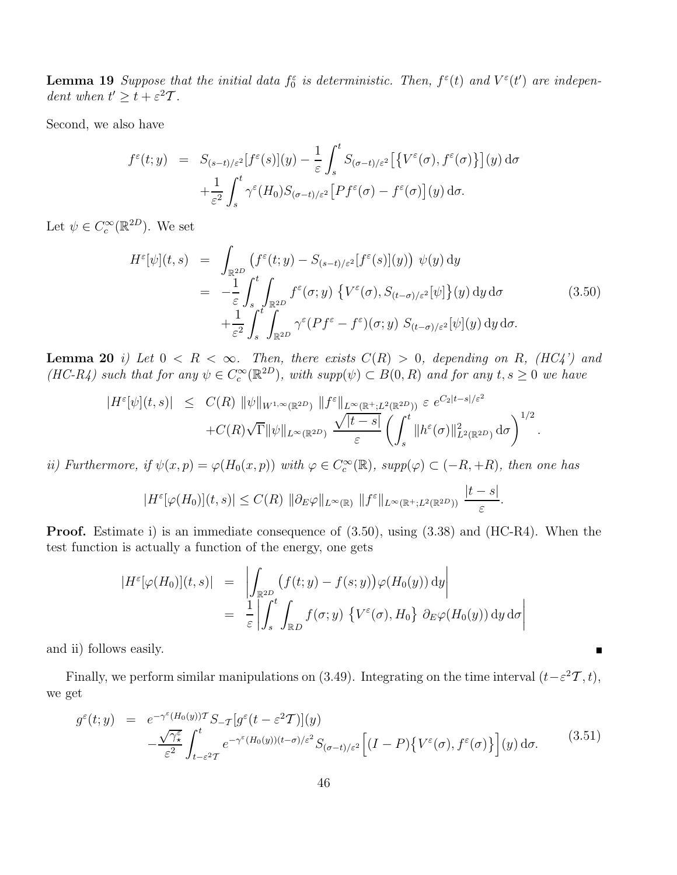**Lemma 19** Suppose that the initial data  $f_0^{\varepsilon}$  is deterministic. Then,  $f^{\varepsilon}(t)$  and  $V^{\varepsilon}(t')$  are independent when  $t' \geq t + \varepsilon^2 \mathcal{T}$ .

Second, we also have

$$
f^{\varepsilon}(t; y) = S_{(s-t)/\varepsilon^2}[f^{\varepsilon}(s)](y) - \frac{1}{\varepsilon} \int_s^t S_{(\sigma-t)/\varepsilon^2}[\{V^{\varepsilon}(\sigma), f^{\varepsilon}(\sigma)\}(y)](y) d\sigma + \frac{1}{\varepsilon^2} \int_s^t \gamma^{\varepsilon}(H_0) S_{(\sigma-t)/\varepsilon^2}[Pf^{\varepsilon}(\sigma) - f^{\varepsilon}(\sigma)](y) d\sigma.
$$

Let  $\psi \in C_c^{\infty}(\mathbb{R}^{2D})$ . We set

$$
H^{\varepsilon}[\psi](t,s) = \int_{\mathbb{R}^{2D}} (f^{\varepsilon}(t;y) - S_{(s-t)/\varepsilon^2}[f^{\varepsilon}(s)](y)) \psi(y) dy
$$
  
\n
$$
= -\frac{1}{\varepsilon} \int_{s}^{t} \int_{\mathbb{R}^{2D}} f^{\varepsilon}(\sigma; y) \{ V^{\varepsilon}(\sigma), S_{(t-\sigma)/\varepsilon^2}[\psi] \}(y) dy d\sigma
$$
(3.50)  
\n
$$
+ \frac{1}{\varepsilon^2} \int_{s}^{t} \int_{\mathbb{R}^{2D}} \gamma^{\varepsilon} (Pf^{\varepsilon} - f^{\varepsilon}) (\sigma; y) S_{(t-\sigma)/\varepsilon^2}[\psi](y) dy d\sigma.
$$

**Lemma 20** i) Let  $0 \lt R \lt \infty$ . Then, there exists  $C(R) > 0$ , depending on R, (HC4') and  $(HC-R_4)$  such that for any  $\psi \in C_c^{\infty}(\mathbb{R}^{2D})$ , with supp $(\psi) \subset B(0,R)$  and for any  $t,s \geq 0$  we have

$$
|H^{\varepsilon}[\psi](t,s)| \leq C(R) \|\psi\|_{W^{1,\infty}(\mathbb{R}^{2D})} \|f^{\varepsilon}\|_{L^{\infty}(\mathbb{R}^{+};L^{2}(\mathbb{R}^{2D}))} \varepsilon e^{C_{2}|t-s|/\varepsilon^{2}} + C(R)\sqrt{\Gamma} \|\psi\|_{L^{\infty}(\mathbb{R}^{2D})} \frac{\sqrt{|t-s|}}{\varepsilon} \left(\int_{s}^{t} \|h^{\varepsilon}(\sigma)\|_{L^{2}(\mathbb{R}^{2D})}^{2} d\sigma\right)^{1/2}.
$$

ii) Furthermore, if  $\psi(x,p) = \varphi(H_0(x,p))$  with  $\varphi \in C_c^{\infty}(\mathbb{R})$ , supp $(\varphi) \subset (-R,+R)$ , then one has

$$
|H^{\varepsilon}[\varphi(H_0)](t,s)| \leq C(R) \|\partial_E \varphi\|_{L^{\infty}(\mathbb{R})} \|f^{\varepsilon}\|_{L^{\infty}(\mathbb{R}^+;L^2(\mathbb{R}^{2D}))} \frac{|t-s|}{\varepsilon}.
$$

Proof. Estimate i) is an immediate consequence of (3.50), using (3.38) and (HC-R4). When the test function is actually a function of the energy, one gets

$$
|H^{\varepsilon}[\varphi(H_0)](t,s)| = \left| \int_{\mathbb{R}^{2D}} (f(t;y) - f(s;y)) \varphi(H_0(y)) dy \right|
$$
  
= 
$$
\frac{1}{\varepsilon} \left| \int_s^t \int_{\mathbb{R}^D} f(\sigma; y) \{ V^{\varepsilon}(\sigma), H_0 \} \partial_E \varphi(H_0(y)) dy d\sigma \right|
$$

and ii) follows easily.

Finally, we perform similar manipulations on (3.49). Integrating on the time interval  $(t-\varepsilon^2\mathcal{T}, t)$ , we get

$$
g^{\varepsilon}(t; y) = e^{-\gamma^{\varepsilon}(H_0(y))\mathcal{T}} S_{-\mathcal{T}}[g^{\varepsilon}(t-\varepsilon^2 \mathcal{T})](y)
$$
  
 
$$
-\frac{\sqrt{\gamma_{\star}^{\varepsilon}}}{\varepsilon^2} \int_{t-\varepsilon^2 \mathcal{T}}^{t} e^{-\gamma^{\varepsilon}(H_0(y))(t-\sigma)/\varepsilon^2} S_{(\sigma-t)/\varepsilon^2} \Big[ (I-P) \big\{ V^{\varepsilon}(\sigma), f^{\varepsilon}(\sigma) \big\} \Big] (y) d\sigma. \tag{3.51}
$$

 $\blacksquare$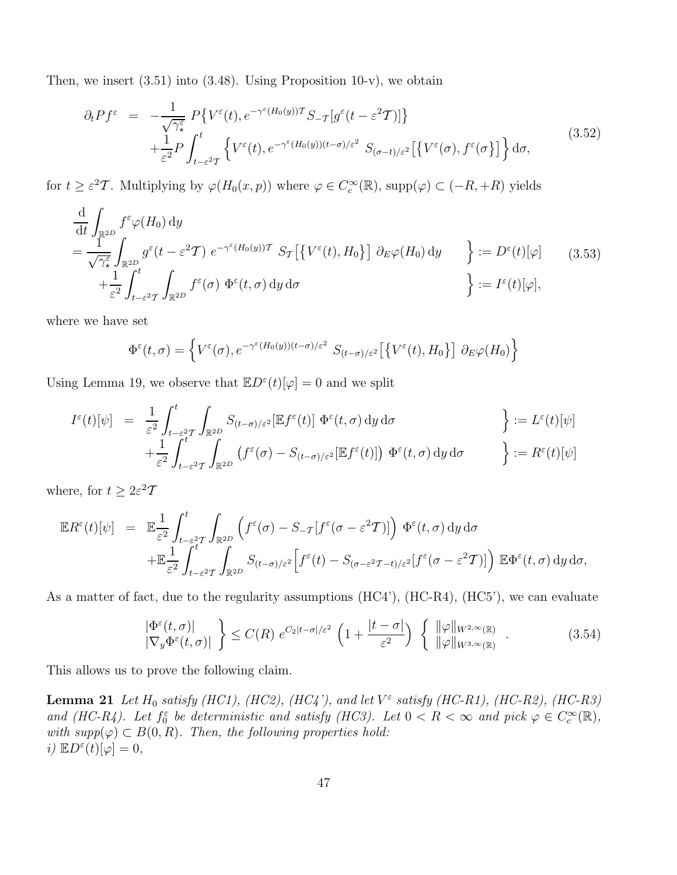Then, we insert  $(3.51)$  into  $(3.48)$ . Using Proposition 10-v), we obtain

$$
\partial_t P f^{\varepsilon} = -\frac{1}{\sqrt{\gamma_{\star}^{\varepsilon}}} P \{ V^{\varepsilon}(t), e^{-\gamma^{\varepsilon}(H_0(y))T} S_{-T} [g^{\varepsilon}(t - \varepsilon^2 T)] \} + \frac{1}{\varepsilon^2} P \int_{t-\varepsilon^2 T}^t \{ V^{\varepsilon}(t), e^{-\gamma^{\varepsilon}(H_0(y))(t-\sigma)/\varepsilon^2} S_{(\sigma-t)/\varepsilon^2} [\{ V^{\varepsilon}(\sigma), f^{\varepsilon}(\sigma \}] \} d\sigma,
$$
\n(3.52)

for  $t \geq \varepsilon^2 T$ . Multiplying by  $\varphi(H_0(x, p))$  where  $\varphi \in C_c^{\infty}(\mathbb{R})$ , supp $(\varphi) \subset (-R, +R)$  yields

$$
\frac{\mathrm{d}}{\mathrm{d}t} \int_{\mathbb{R}^{2D}} f^{\varepsilon} \varphi(H_0) \, \mathrm{d}y \n= \frac{1}{\sqrt{\gamma_{\varepsilon}^{\varepsilon}}} \int_{\mathbb{R}^{2D}} g^{\varepsilon}(t - \varepsilon^2 T) \, e^{-\gamma^{\varepsilon}(H_0(y))T} \, S_{\mathcal{T}} \left[ \left\{ V^{\varepsilon}(t), H_0 \right\} \right] \, \partial_E \varphi(H_0) \, \mathrm{d}y \n\right] := D^{\varepsilon}(t)[\varphi] \qquad (3.53) \n+ \frac{1}{\varepsilon^2} \int_{t - \varepsilon^2 T}^t \int_{\mathbb{R}^{2D}} f^{\varepsilon}(\sigma) \, \Phi^{\varepsilon}(t, \sigma) \, \mathrm{d}y \, \mathrm{d}\sigma \n\right] := I^{\varepsilon}(t)[\varphi],
$$

where we have set

$$
\Phi^{\varepsilon}(t,\sigma) = \left\{ V^{\varepsilon}(\sigma), e^{-\gamma^{\varepsilon}(H_0(y))(t-\sigma)/\varepsilon^2} S_{(t-\sigma)/\varepsilon^2} \left[ \left\{ V^{\varepsilon}(t), H_0 \right\} \right] \partial_E \varphi(H_0) \right\}
$$

Using Lemma 19, we observe that  $\mathbb{E}D^{\varepsilon}(t)[\varphi] = 0$  and we split

$$
I^{\varepsilon}(t)[\psi] = \frac{1}{\varepsilon^{2}} \int_{t-\varepsilon^{2}T}^{t} \int_{\mathbb{R}^{2D}} S_{(t-\sigma)/\varepsilon^{2}}[\mathbb{E}f^{\varepsilon}(t)] \Phi^{\varepsilon}(t,\sigma) dy d\sigma \n+ \frac{1}{\varepsilon^{2}} \int_{t-\varepsilon^{2}T}^{t} \int_{\mathbb{R}^{2D}} (f^{\varepsilon}(\sigma) - S_{(t-\sigma)/\varepsilon^{2}}[\mathbb{E}f^{\varepsilon}(t)]) \Phi^{\varepsilon}(t,\sigma) dy d\sigma \n\qquad \qquad \bigg\} := R^{\varepsilon}(t)[\psi]
$$

where, for  $t \geq 2\varepsilon^2 T$ 

$$
\mathbb{E}R^{\varepsilon}(t)[\psi] = \mathbb{E}\frac{1}{\varepsilon^{2}}\int_{t-\varepsilon^{2}T}^{t}\int_{\mathbb{R}^{2D}}\left(f^{\varepsilon}(\sigma)-S_{-T}[f^{\varepsilon}(\sigma-\varepsilon^{2}T)]\right)\Phi^{\varepsilon}(t,\sigma)\,dy\,d\sigma
$$

$$
+\mathbb{E}\frac{1}{\varepsilon^{2}}\int_{t-\varepsilon^{2}T}^{t}\int_{\mathbb{R}^{2D}}S_{(t-\sigma)/\varepsilon^{2}}\Big[f^{\varepsilon}(t)-S_{(\sigma-\varepsilon^{2}T-t)/\varepsilon^{2}}[f^{\varepsilon}(\sigma-\varepsilon^{2}T)]\Big)\,\mathbb{E}\Phi^{\varepsilon}(t,\sigma)\,dy\,d\sigma,
$$

As a matter of fact, due to the regularity assumptions (HC4'), (HC-R4), (HC5'), we can evaluate

$$
\left| \frac{\Phi^{\varepsilon}(t,\sigma)}{|\nabla_y \Phi^{\varepsilon}(t,\sigma)|} \right| \le C(R) e^{C_2|t-\sigma|/\varepsilon^2} \left(1 + \frac{|t-\sigma|}{\varepsilon^2}\right) \left\{ \begin{array}{l} ||\varphi||_{W^{2,\infty}(\mathbb{R})} \\ ||\varphi||_{W^{3,\infty}(\mathbb{R})} \end{array} \right. . \tag{3.54}
$$

This allows us to prove the following claim.

**Lemma 21** Let  $H_0$  satisfy (HC1), (HC2), (HC4'), and let  $V^{\varepsilon}$  satisfy (HC-R1), (HC-R2), (HC-R3) and (HC-R4). Let  $f_0^{\varepsilon}$  be deterministic and satisfy (HC3). Let  $0 < R < \infty$  and pick  $\varphi \in C_c^{\infty}(\mathbb{R})$ , with  $supp(\varphi) \subset B(0,R)$ . Then, the following properties hold: i)  $\mathbb{E}D^{\varepsilon}(t)[\varphi]=0,$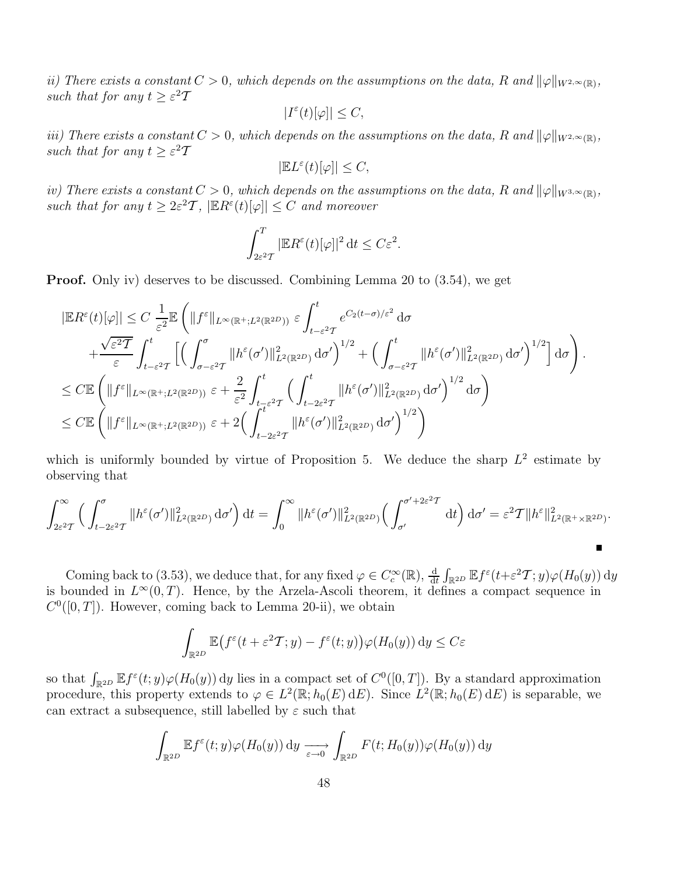ii) There exists a constant  $C > 0$ , which depends on the assumptions on the data, R and  $\|\varphi\|_{W^{2,\infty}(\mathbb{R})}$ , such that for any  $t \geq \varepsilon^2 T$ 

$$
|I^{\varepsilon}(t)[\varphi]|\leq C,
$$

iii) There exists a constant  $C > 0$ , which depends on the assumptions on the data, R and  $\|\varphi\|_{W^{2,\infty}(\mathbb{R})}$ , such that for any  $t \geq \varepsilon^2 T$ 

$$
|\mathbb{E} L^{\varepsilon}(t)[\varphi]|\leq C,
$$

iv) There exists a constant  $C > 0$ , which depends on the assumptions on the data, R and  $\|\varphi\|_{W^{3,\infty}(\mathbb{R})}$ , such that for any  $t \geq 2\varepsilon^2 \mathcal{T}$ ,  $|\mathbb{E} R^{\varepsilon}(t)[\varphi]| \leq C$  and moreover

$$
\int_{2\varepsilon^2 T}^T |\mathbb{E} R^\varepsilon(t)[\varphi]|^2 \, \mathrm{d} t \le C\varepsilon^2.
$$

Proof. Only iv) deserves to be discussed. Combining Lemma 20 to (3.54), we get

$$
\begin{split} &\left|\mathbb{E}R^{\varepsilon}(t)[\varphi]\right| \leq C \, \frac{1}{\varepsilon^{2}} \mathbb{E}\left(\|f^{\varepsilon}\|_{L^{\infty}(\mathbb{R}^{+};L^{2}(\mathbb{R}^{2D}))} \, \varepsilon \int_{t-\varepsilon^{2}T}^{t} e^{C_{2}(t-\sigma)/\varepsilon^{2}} \, \mathrm{d}\sigma \right. \\ & \left. + \frac{\sqrt{\varepsilon^{2}T}}{\varepsilon} \int_{t-\varepsilon^{2}T}^{t} \left[\left(\int_{\sigma-\varepsilon^{2}T}^{\sigma} \|h^{\varepsilon}(\sigma')\|_{L^{2}(\mathbb{R}^{2D})}^{2} \, \mathrm{d}\sigma'\right)^{1/2} + \left(\int_{\sigma-\varepsilon^{2}T}^{t} \|h^{\varepsilon}(\sigma')\|_{L^{2}(\mathbb{R}^{2D})}^{2} \, \mathrm{d}\sigma'\right)^{1/2}\right] \mathrm{d}\sigma\right). \\ & \leq C \mathbb{E}\left(\|f^{\varepsilon}\|_{L^{\infty}(\mathbb{R}^{+};L^{2}(\mathbb{R}^{2D}))} \, \varepsilon + \frac{2}{\varepsilon^{2}} \int_{t-\varepsilon^{2}T}^{t} \left(\int_{t-2\varepsilon^{2}T}^{t} \|h^{\varepsilon}(\sigma')\|_{L^{2}(\mathbb{R}^{2D})}^{2} \, \mathrm{d}\sigma'\right)^{1/2} \mathrm{d}\sigma\right) \\ & \leq C \mathbb{E}\left(\|f^{\varepsilon}\|_{L^{\infty}(\mathbb{R}^{+};L^{2}(\mathbb{R}^{2D}))} \, \varepsilon + 2\left(\int_{t-2\varepsilon^{2}T}^{t} \|h^{\varepsilon}(\sigma')\|_{L^{2}(\mathbb{R}^{2D})}^{2} \, \mathrm{d}\sigma'\right)^{1/2}\right) \end{split}
$$

which is uniformly bounded by virtue of Proposition 5. We deduce the sharp  $L^2$  estimate by observing that

$$
\int_{2\varepsilon^2 T}^{\infty} \left( \int_{t-2\varepsilon^2 T}^{\sigma} \|h^{\varepsilon}(\sigma')\|_{L^2(\mathbb{R}^{2D})}^2 d\sigma' \right) dt = \int_{0}^{\infty} \|h^{\varepsilon}(\sigma')\|_{L^2(\mathbb{R}^{2D})}^2 \left( \int_{\sigma'}^{\sigma'+2\varepsilon^2 T} dt \right) d\sigma' = \varepsilon^2 T \|h^{\varepsilon}\|_{L^2(\mathbb{R}^+\times\mathbb{R}^{2D})}^2.
$$

Coming back to (3.53), we deduce that, for any fixed  $\varphi \in C_c^{\infty}(\mathbb{R})$ ,  $\frac{d}{dt} \int_{\mathbb{R}^{2D}} \mathbb{E} f^{\varepsilon}(t+\varepsilon^2 T; y) \varphi(H_0(y)) dy$ is bounded in  $L^{\infty}(0,T)$ . Hence, by the Arzela-Ascoli theorem, it defines a compact sequence in  $C<sup>0</sup>([0, T])$ . However, coming back to Lemma 20-ii), we obtain

$$
\int_{\mathbb{R}^{2D}} \mathbb{E} \big( f^{\varepsilon}(t + \varepsilon^2 \mathcal{T}; y) - f^{\varepsilon}(t; y) \big) \varphi(H_0(y)) \, dy \le C\varepsilon
$$

so that  $\int_{\mathbb{R}^{2D}} \mathbb{E} f^{\varepsilon}(t; y) \varphi(H_0(y)) dy$  lies in a compact set of  $C^0([0,T])$ . By a standard approximation procedure, this property extends to  $\varphi \in L^2(\mathbb{R}; h_0(E) dE)$ . Since  $L^2(\mathbb{R}; h_0(E) dE)$  is separable, we can extract a subsequence, still labelled by  $\varepsilon$  such that

$$
\int_{\mathbb{R}^{2D}} \mathbb{E} f^{\varepsilon}(t; y) \varphi(H_0(y)) dy \xrightarrow[\varepsilon \to 0]{} \int_{\mathbb{R}^{2D}} F(t; H_0(y)) \varphi(H_0(y)) dy
$$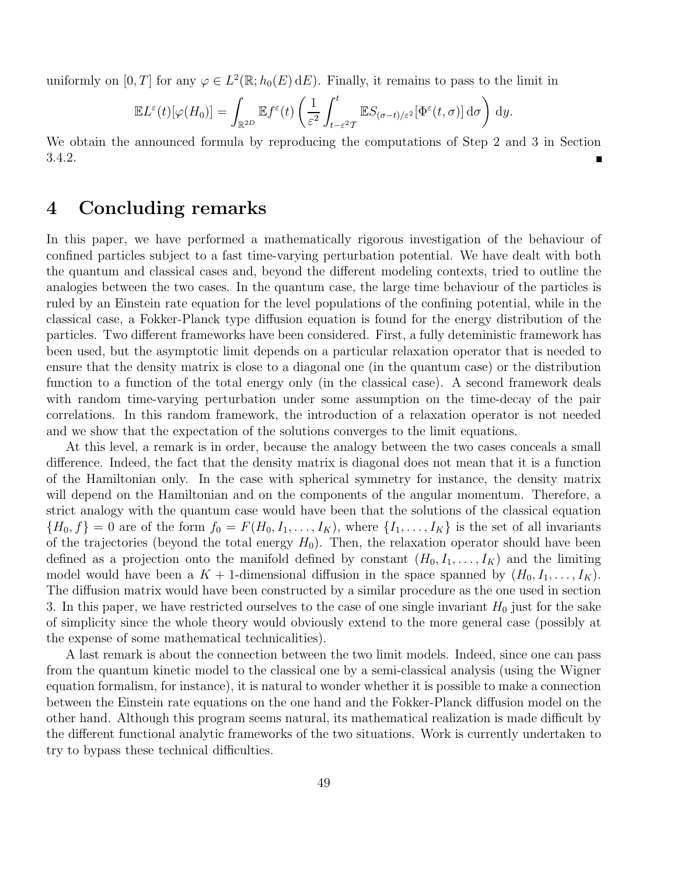uniformly on  $[0, T]$  for any  $\varphi \in L^2(\mathbb{R}; h_0(E) dE)$ . Finally, it remains to pass to the limit in

$$
\mathbb{E}L^{\varepsilon}(t)[\varphi(H_0)] = \int_{\mathbb{R}^{2D}} \mathbb{E}f^{\varepsilon}(t) \left(\frac{1}{\varepsilon^2} \int_{t-\varepsilon^2 T}^{t} \mathbb{E}S_{(\sigma-t)/\varepsilon^2}[\Phi^{\varepsilon}(t,\sigma)] d\sigma\right) dy.
$$

We obtain the announced formula by reproducing the computations of Step 2 and 3 in Section 3.4.2.

## 4 Concluding remarks

In this paper, we have performed a mathematically rigorous investigation of the behaviour of confined particles subject to a fast time-varying perturbation potential. We have dealt with both the quantum and classical cases and, beyond the different modeling contexts, tried to outline the analogies between the two cases. In the quantum case, the large time behaviour of the particles is ruled by an Einstein rate equation for the level populations of the confining potential, while in the classical case, a Fokker-Planck type diffusion equation is found for the energy distribution of the particles. Two different frameworks have been considered. First, a fully deteministic framework has been used, but the asymptotic limit depends on a particular relaxation operator that is needed to ensure that the density matrix is close to a diagonal one (in the quantum case) or the distribution function to a function of the total energy only (in the classical case). A second framework deals with random time-varying perturbation under some assumption on the time-decay of the pair correlations. In this random framework, the introduction of a relaxation operator is not needed and we show that the expectation of the solutions converges to the limit equations.

At this level, a remark is in order, because the analogy between the two cases conceals a small difference. Indeed, the fact that the density matrix is diagonal does not mean that it is a function of the Hamiltonian only. In the case with spherical symmetry for instance, the density matrix will depend on the Hamiltonian and on the components of the angular momentum. Therefore, a strict analogy with the quantum case would have been that the solutions of the classical equation  ${H_0, f} = 0$  are of the form  $f_0 = F(H_0, I_1, \ldots, I_K)$ , where  $\{I_1, \ldots, I_K\}$  is the set of all invariants of the trajectories (beyond the total energy  $H_0$ ). Then, the relaxation operator should have been defined as a projection onto the manifold defined by constant  $(H_0, I_1, \ldots, I_K)$  and the limiting model would have been a  $K + 1$ -dimensional diffusion in the space spanned by  $(H_0, I_1, \ldots, I_K)$ . The diffusion matrix would have been constructed by a similar procedure as the one used in section 3. In this paper, we have restricted ourselves to the case of one single invariant  $H_0$  just for the sake of simplicity since the whole theory would obviously extend to the more general case (possibly at the expense of some mathematical technicalities).

A last remark is about the connection between the two limit models. Indeed, since one can pass from the quantum kinetic model to the classical one by a semi-classical analysis (using the Wigner equation formalism, for instance), it is natural to wonder whether it is possible to make a connection between the Einstein rate equations on the one hand and the Fokker-Planck diffusion model on the other hand. Although this program seems natural, its mathematical realization is made difficult by the different functional analytic frameworks of the two situations. Work is currently undertaken to try to bypass these technical difficulties.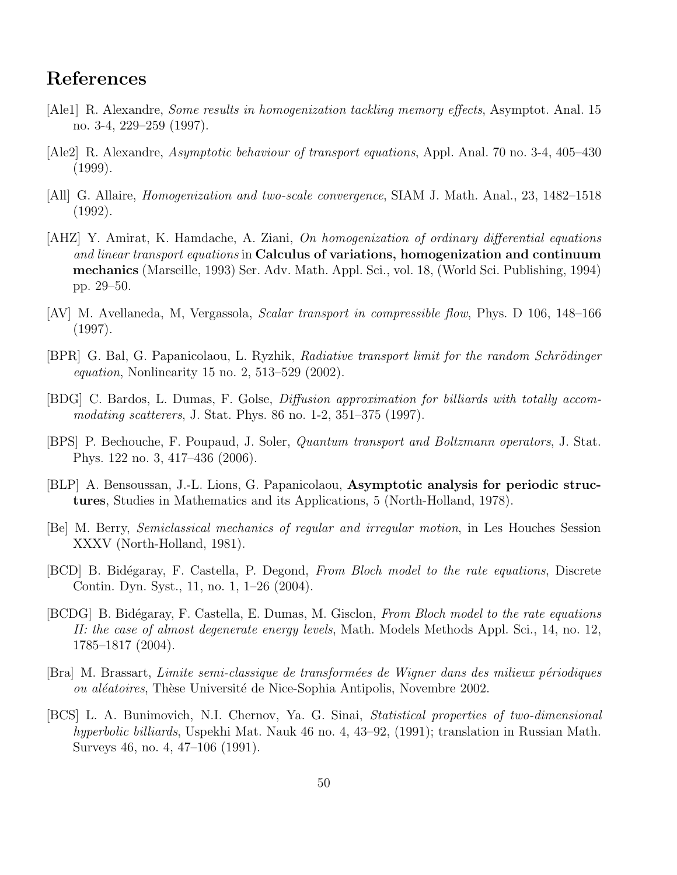# References

- [Ale1] R. Alexandre, Some results in homogenization tackling memory effects, Asymptot. Anal. 15 no. 3-4, 229–259 (1997).
- [Ale2] R. Alexandre, Asymptotic behaviour of transport equations, Appl. Anal. 70 no. 3-4, 405–430 (1999).
- [All] G. Allaire, Homogenization and two-scale convergence, SIAM J. Math. Anal., 23, 1482–1518 (1992).
- [AHZ] Y. Amirat, K. Hamdache, A. Ziani, On homogenization of ordinary differential equations and linear transport equations in Calculus of variations, homogenization and continuum mechanics (Marseille, 1993) Ser. Adv. Math. Appl. Sci., vol. 18, (World Sci. Publishing, 1994) pp. 29–50.
- [AV] M. Avellaneda, M, Vergassola, Scalar transport in compressible flow, Phys. D 106, 148–166 (1997).
- [BPR] G. Bal, G. Papanicolaou, L. Ryzhik, *Radiative transport limit for the random Schrödinger* equation, Nonlinearity 15 no. 2, 513–529 (2002).
- [BDG] C. Bardos, L. Dumas, F. Golse, Diffusion approximation for billiards with totally accommodating scatterers, J. Stat. Phys. 86 no. 1-2, 351–375 (1997).
- [BPS] P. Bechouche, F. Poupaud, J. Soler, Quantum transport and Boltzmann operators, J. Stat. Phys. 122 no. 3, 417–436 (2006).
- [BLP] A. Bensoussan, J.-L. Lions, G. Papanicolaou, Asymptotic analysis for periodic structures, Studies in Mathematics and its Applications, 5 (North-Holland, 1978).
- [Be] M. Berry, Semiclassical mechanics of regular and irregular motion, in Les Houches Session XXXV (North-Holland, 1981).
- [BCD] B. Bidégaray, F. Castella, P. Degond, From Bloch model to the rate equations, Discrete Contin. Dyn. Syst., 11, no. 1, 1–26 (2004).
- [BCDG] B. Bidégaray, F. Castella, E. Dumas, M. Gisclon, From Bloch model to the rate equations II: the case of almost degenerate energy levels, Math. Models Methods Appl. Sci., 14, no. 12, 1785–1817 (2004).
- [Bra] M. Brassart, Limite semi-classique de transform´ees de Wigner dans des milieux p´eriodiques ou aléatoires, Thèse Université de Nice-Sophia Antipolis, Novembre 2002.
- [BCS] L. A. Bunimovich, N.I. Chernov, Ya. G. Sinai, Statistical properties of two-dimensional hyperbolic billiards, Uspekhi Mat. Nauk 46 no. 4, 43–92, (1991); translation in Russian Math. Surveys 46, no. 4, 47–106 (1991).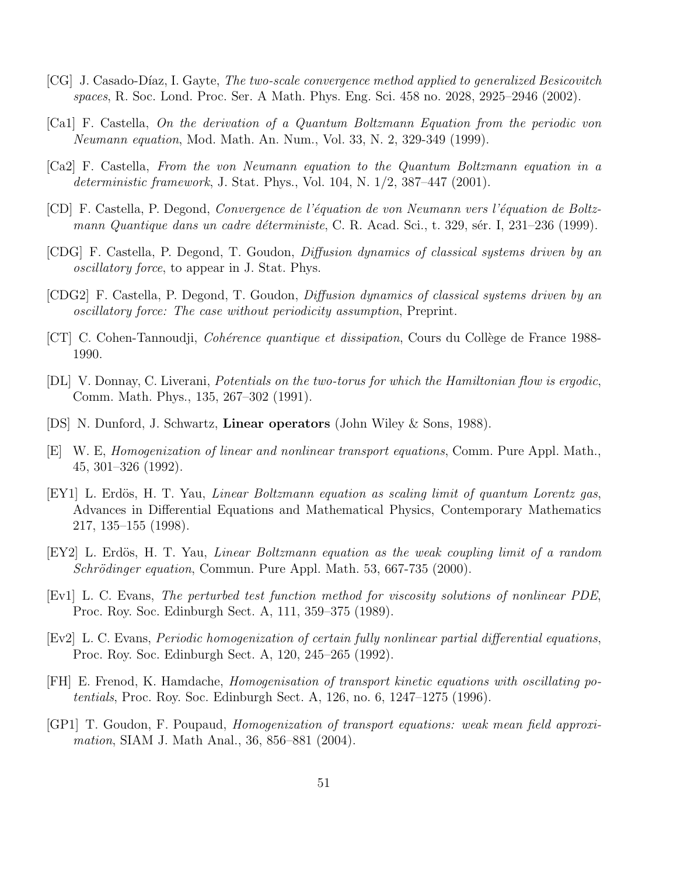- [CG] J. Casado-Díaz, I. Gayte, The two-scale convergence method applied to generalized Besicovitch spaces, R. Soc. Lond. Proc. Ser. A Math. Phys. Eng. Sci. 458 no. 2028, 2925–2946 (2002).
- [Ca1] F. Castella, On the derivation of a Quantum Boltzmann Equation from the periodic von Neumann equation, Mod. Math. An. Num., Vol. 33, N. 2, 329-349 (1999).
- [Ca2] F. Castella, From the von Neumann equation to the Quantum Boltzmann equation in a deterministic framework, J. Stat. Phys., Vol. 104, N. 1/2, 387–447 (2001).
- [CD] F. Castella, P. Degond, Convergence de l'´equation de von Neumann vers l'´equation de Boltzmann Quantique dans un cadre déterministe, C. R. Acad. Sci., t. 329, sér. I, 231–236 (1999).
- [CDG] F. Castella, P. Degond, T. Goudon, Diffusion dynamics of classical systems driven by an oscillatory force, to appear in J. Stat. Phys.
- [CDG2] F. Castella, P. Degond, T. Goudon, Diffusion dynamics of classical systems driven by an oscillatory force: The case without periodicity assumption, Preprint.
- $|CT|$  C. Cohen-Tannoudji, *Cohérence quantique et dissipation*, Cours du Collège de France 1988-1990.
- [DL] V. Donnay, C. Liverani, Potentials on the two-torus for which the Hamiltonian flow is ergodic, Comm. Math. Phys., 135, 267–302 (1991).
- [DS] N. Dunford, J. Schwartz, Linear operators (John Wiley & Sons, 1988).
- [E] W. E, Homogenization of linear and nonlinear transport equations, Comm. Pure Appl. Math., 45, 301–326 (1992).
- [EY1] L. Erdös, H. T. Yau, *Linear Boltzmann equation as scaling limit of quantum Lorentz gas*, Advances in Differential Equations and Mathematical Physics, Contemporary Mathematics 217, 135–155 (1998).
- [EY2] L. Erdös, H. T. Yau, *Linear Boltzmann equation as the weak coupling limit of a random*  $Schrödinger equation$ , Commun. Pure Appl. Math. 53, 667-735 (2000).
- [Ev1] L. C. Evans, The perturbed test function method for viscosity solutions of nonlinear PDE, Proc. Roy. Soc. Edinburgh Sect. A, 111, 359–375 (1989).
- [Ev2] L. C. Evans, Periodic homogenization of certain fully nonlinear partial differential equations, Proc. Roy. Soc. Edinburgh Sect. A, 120, 245–265 (1992).
- [FH] E. Frenod, K. Hamdache, Homogenisation of transport kinetic equations with oscillating potentials, Proc. Roy. Soc. Edinburgh Sect. A, 126, no. 6, 1247–1275 (1996).
- [GP1] T. Goudon, F. Poupaud, Homogenization of transport equations: weak mean field approximation, SIAM J. Math Anal., 36, 856–881 (2004).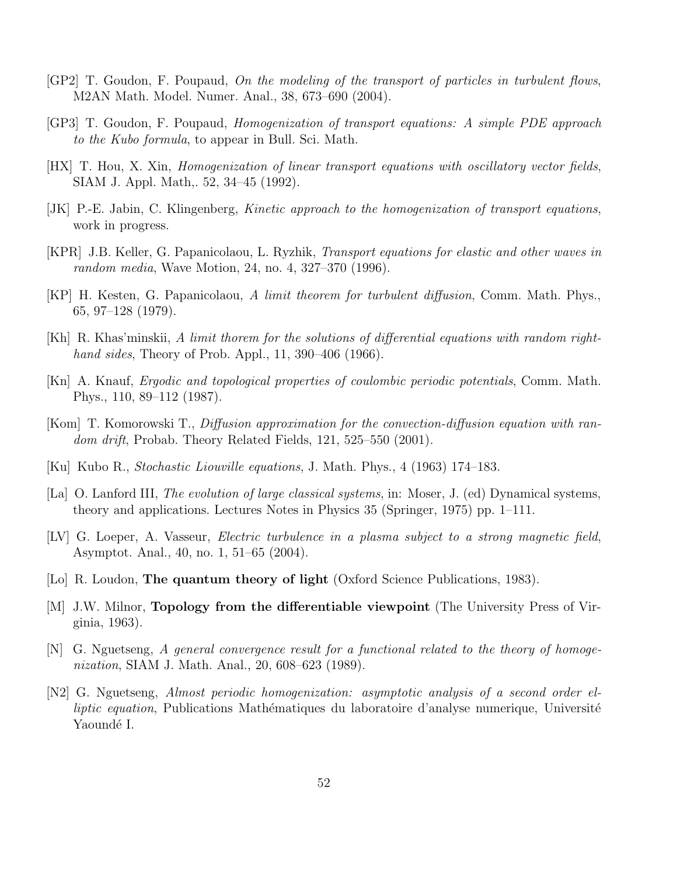- [GP2] T. Goudon, F. Poupaud, On the modeling of the transport of particles in turbulent flows, M2AN Math. Model. Numer. Anal., 38, 673–690 (2004).
- [GP3] T. Goudon, F. Poupaud, Homogenization of transport equations: A simple PDE approach to the Kubo formula, to appear in Bull. Sci. Math.
- [HX] T. Hou, X. Xin, Homogenization of linear transport equations with oscillatory vector fields, SIAM J. Appl. Math,. 52, 34–45 (1992).
- [JK] P.-E. Jabin, C. Klingenberg, Kinetic approach to the homogenization of transport equations, work in progress.
- [KPR] J.B. Keller, G. Papanicolaou, L. Ryzhik, Transport equations for elastic and other waves in random media, Wave Motion, 24, no. 4, 327–370 (1996).
- [KP] H. Kesten, G. Papanicolaou, A limit theorem for turbulent diffusion, Comm. Math. Phys., 65, 97–128 (1979).
- [Kh] R. Khas'minskii, A limit thorem for the solutions of differential equations with random righthand sides, Theory of Prob. Appl., 11, 390–406 (1966).
- [Kn] A. Knauf, Ergodic and topological properties of coulombic periodic potentials, Comm. Math. Phys., 110, 89–112 (1987).
- [Kom] T. Komorowski T., Diffusion approximation for the convection-diffusion equation with random drift, Probab. Theory Related Fields, 121, 525-550 (2001).
- [Ku] Kubo R., Stochastic Liouville equations, J. Math. Phys., 4 (1963) 174–183.
- [La] O. Lanford III, *The evolution of large classical systems*, in: Moser, J. (ed) Dynamical systems, theory and applications. Lectures Notes in Physics 35 (Springer, 1975) pp. 1–111.
- [LV] G. Loeper, A. Vasseur, Electric turbulence in a plasma subject to a strong magnetic field, Asymptot. Anal., 40, no. 1, 51–65 (2004).
- [Lo] R. Loudon, The quantum theory of light (Oxford Science Publications, 1983).
- [M] J.W. Milnor, Topology from the differentiable viewpoint (The University Press of Virginia, 1963).
- [N] G. Nguetseng, A general convergence result for a functional related to the theory of homogenization, SIAM J. Math. Anal., 20, 608–623 (1989).
- [N2] G. Nguetseng, Almost periodic homogenization: asymptotic analysis of a second order elliptic equation, Publications Mathématiques du laboratoire d'analyse numerique, Université Yaoundé I.